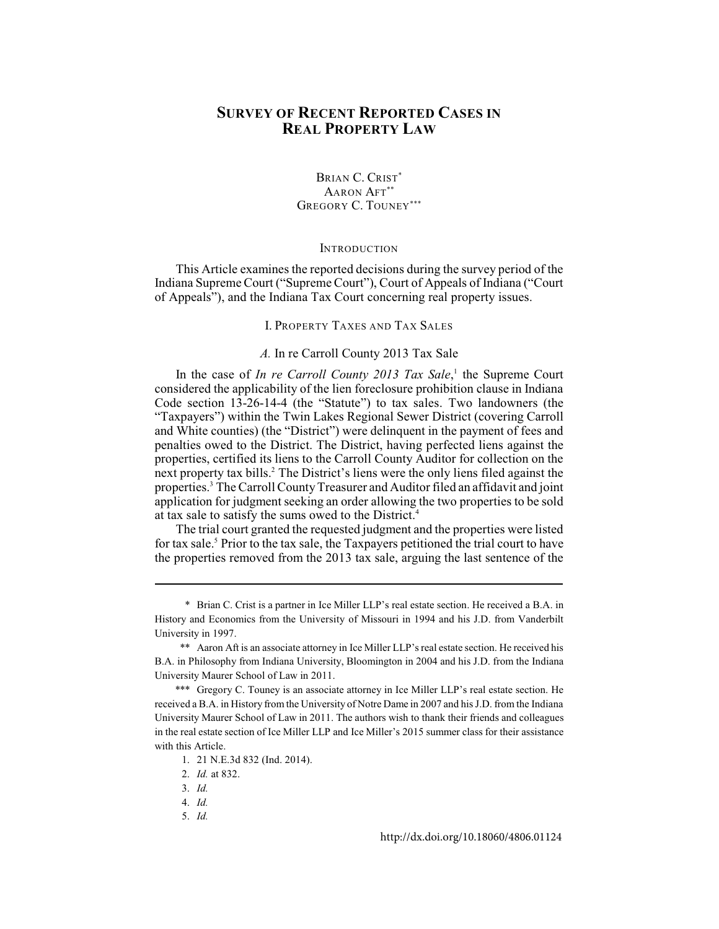# **SURVEY OF RECENT REPORTED CASES IN REAL PROPERTY LAW**

## BRIAN C. CRIST\* AARON AFT\*\* GREGORY C. TOUNEY\*\*\*

#### **INTRODUCTION**

This Article examines the reported decisions during the survey period of the Indiana Supreme Court ("Supreme Court"), Court of Appeals of Indiana ("Court of Appeals"), and the Indiana Tax Court concerning real property issues.

I. PROPERTY TAXES AND TAX SALES

## *A.* In re Carroll County 2013 Tax Sale

In the case of *In re Carroll County 2013 Tax Sale*,<sup>1</sup> the Supreme Court considered the applicability of the lien foreclosure prohibition clause in Indiana Code section 13-26-14-4 (the "Statute") to tax sales. Two landowners (the "Taxpayers") within the Twin Lakes Regional Sewer District (covering Carroll and White counties) (the "District") were delinquent in the payment of fees and penalties owed to the District. The District, having perfected liens against the properties, certified its liens to the Carroll County Auditor for collection on the next property tax bills.<sup>2</sup> The District's liens were the only liens filed against the properties. The Carroll County Treasurer and Auditor filed an affidavit and joint <sup>3</sup> application for judgment seeking an order allowing the two properties to be sold at tax sale to satisfy the sums owed to the District.<sup>4</sup>

The trial court granted the requested judgment and the properties were listed for tax sale.<sup>5</sup> Prior to the tax sale, the Taxpayers petitioned the trial court to have the properties removed from the 2013 tax sale, arguing the last sentence of the

5. *Id.*

<sup>\*</sup> Brian C. Crist is a partner in Ice Miller LLP's real estate section. He received a B.A. in History and Economics from the University of Missouri in 1994 and his J.D. from Vanderbilt University in 1997.

<sup>\*\*</sup> Aaron Aft is an associate attorney in Ice Miller LLP's real estate section. He received his B.A. in Philosophy from Indiana University, Bloomington in 2004 and his J.D. from the Indiana University Maurer School of Law in 2011.

<sup>\*\*\*</sup> Gregory C. Touney is an associate attorney in Ice Miller LLP's real estate section. He received a B.A. in History from the University of Notre Dame in 2007 and his J.D. from the Indiana University Maurer School of Law in 2011. The authors wish to thank their friends and colleagues in the real estate section of Ice Miller LLP and Ice Miller's 2015 summer class for their assistance with this Article.

<sup>1. 21</sup> N.E.3d 832 (Ind. 2014).

<sup>2.</sup> *Id.* at 832.

<sup>3.</sup> *Id.*

<sup>4.</sup> *Id.*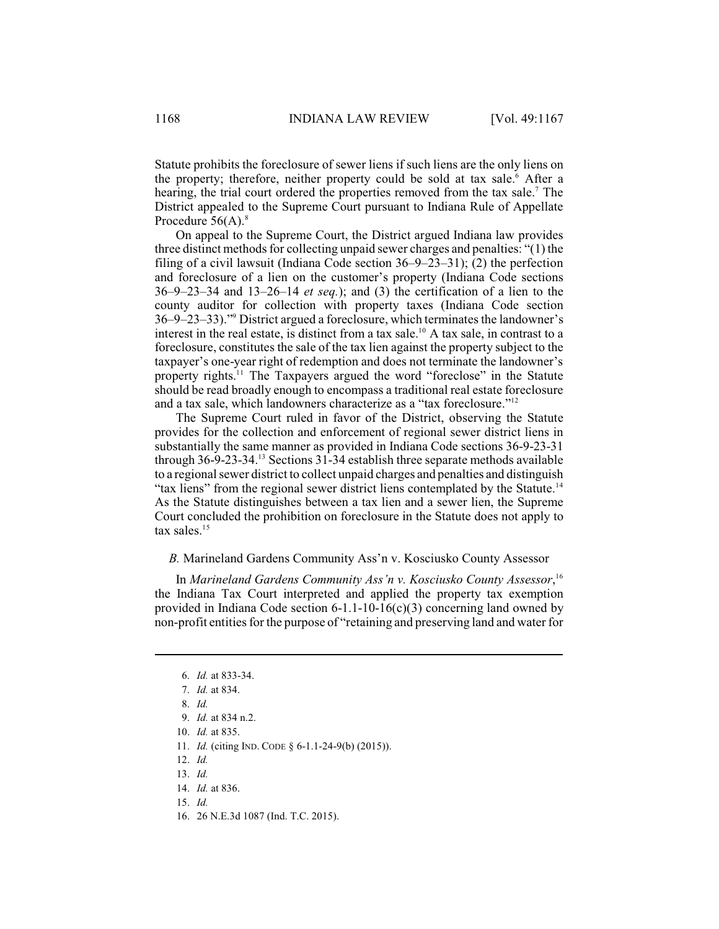Statute prohibits the foreclosure of sewer liens if such liens are the only liens on the property; therefore, neither property could be sold at tax sale.<sup>6</sup> After a hearing, the trial court ordered the properties removed from the tax sale.<sup>7</sup> The District appealed to the Supreme Court pursuant to Indiana Rule of Appellate Procedure  $56(A)$ .<sup>8</sup>

On appeal to the Supreme Court, the District argued Indiana law provides three distinct methods for collecting unpaid sewer charges and penalties:  $"(1)$  the filing of a civil lawsuit (Indiana Code section 36–9–23–31); (2) the perfection and foreclosure of a lien on the customer's property (Indiana Code sections 36–9–23–34 and 13–26–14 *et seq.*); and (3) the certification of a lien to the county auditor for collection with property taxes (Indiana Code section 36–9–23–33)." District argued a foreclosure, which terminates the landowner's <sup>9</sup> interest in the real estate, is distinct from a tax sale.<sup>10</sup> A tax sale, in contrast to a foreclosure, constitutes the sale of the tax lien against the property subject to the taxpayer's one-year right of redemption and does not terminate the landowner's property rights.<sup>11</sup> The Taxpayers argued the word "foreclose" in the Statute should be read broadly enough to encompass a traditional real estate foreclosure and a tax sale, which landowners characterize as a "tax foreclosure."<sup>12</sup>

The Supreme Court ruled in favor of the District, observing the Statute provides for the collection and enforcement of regional sewer district liens in substantially the same manner as provided in Indiana Code sections 36-9-23-31 through  $36$ -9-23-34.<sup>13</sup> Sections 31-34 establish three separate methods available to a regionalsewer district to collect unpaid charges and penalties and distinguish "tax liens" from the regional sewer district liens contemplated by the Statute.<sup>14</sup> As the Statute distinguishes between a tax lien and a sewer lien, the Supreme Court concluded the prohibition on foreclosure in the Statute does not apply to tax sales.<sup>15</sup>

#### *B.* Marineland Gardens Community Ass'n v. Kosciusko County Assessor

In *Marineland Gardens Community Ass'n v. Kosciusko County Assessor*, 16 the Indiana Tax Court interpreted and applied the property tax exemption provided in Indiana Code section 6-1.1-10-16(c)(3) concerning land owned by non-profit entities for the purpose of "retaining and preserving land and water for

- 11. *Id.* (citing IND. CODE § 6-1.1-24-9(b) (2015)).
- 12. *Id.*
- 13. *Id.*

- 15. *Id.*
- 16. 26 N.E.3d 1087 (Ind. T.C. 2015).

<sup>6.</sup> *Id.* at 833-34.

<sup>7.</sup> *Id.* at 834.

<sup>8.</sup> *Id.*

<sup>9.</sup> *Id.* at 834 n.2.

<sup>10.</sup> *Id.* at 835.

<sup>14.</sup> *Id.* at 836.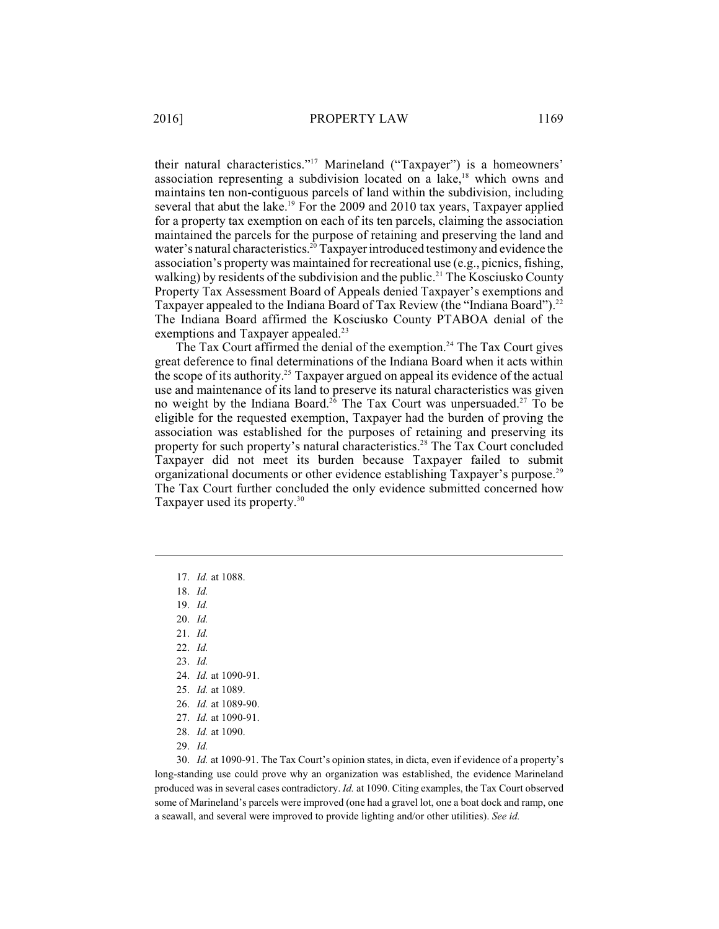their natural characteristics."<sup>17</sup> Marineland ("Taxpayer") is a homeowners' association representing a subdivision located on a lake, $18$  which owns and maintains ten non-contiguous parcels of land within the subdivision, including several that abut the lake.<sup>19</sup> For the 2009 and 2010 tax years, Taxpayer applied for a property tax exemption on each of its ten parcels, claiming the association maintained the parcels for the purpose of retaining and preserving the land and water's natural characteristics.<sup>20</sup> Taxpayer introduced testimony and evidence the association's property was maintained for recreational use (e.g., picnics, fishing, walking) by residents of the subdivision and the public.<sup>21</sup> The Kosciusko County Property Tax Assessment Board of Appeals denied Taxpayer's exemptions and Taxpayer appealed to the Indiana Board of Tax Review (the "Indiana Board").<sup>22</sup> The Indiana Board affirmed the Kosciusko County PTABOA denial of the exemptions and Taxpayer appealed.<sup>23</sup>

The Tax Court affirmed the denial of the exemption.<sup>24</sup> The Tax Court gives great deference to final determinations of the Indiana Board when it acts within the scope of its authority.<sup>25</sup> Taxpayer argued on appeal its evidence of the actual use and maintenance of its land to preserve its natural characteristics was given no weight by the Indiana Board.<sup>26</sup> The Tax Court was unpersuaded.<sup>27</sup> To be eligible for the requested exemption, Taxpayer had the burden of proving the association was established for the purposes of retaining and preserving its property for such property's natural characteristics.<sup>28</sup> The Tax Court concluded Taxpayer did not meet its burden because Taxpayer failed to submit organizational documents or other evidence establishing Taxpayer's purpose.<sup>29</sup> The Tax Court further concluded the only evidence submitted concerned how Taxpayer used its property.<sup>30</sup>

- 17. *Id.* at 1088.
- 18. *Id.*
- 19. *Id.*
- 20. *Id.*
- 21. *Id.*
- 22. *Id.*
- 23. *Id.*
- 24. *Id.* at 1090-91.
- 25. *Id.* at 1089.
- 26. *Id.* at 1089-90.
- 27. *Id.* at 1090-91.
- 28. *Id.* at 1090.
- 
- 29. *Id.*

30. *Id.* at 1090-91. The Tax Court's opinion states, in dicta, even if evidence of a property's long-standing use could prove why an organization was established, the evidence Marineland produced was in several cases contradictory. *Id.* at 1090. Citing examples, the Tax Court observed some of Marineland's parcels were improved (one had a gravel lot, one a boat dock and ramp, one a seawall, and several were improved to provide lighting and/or other utilities). *See id.*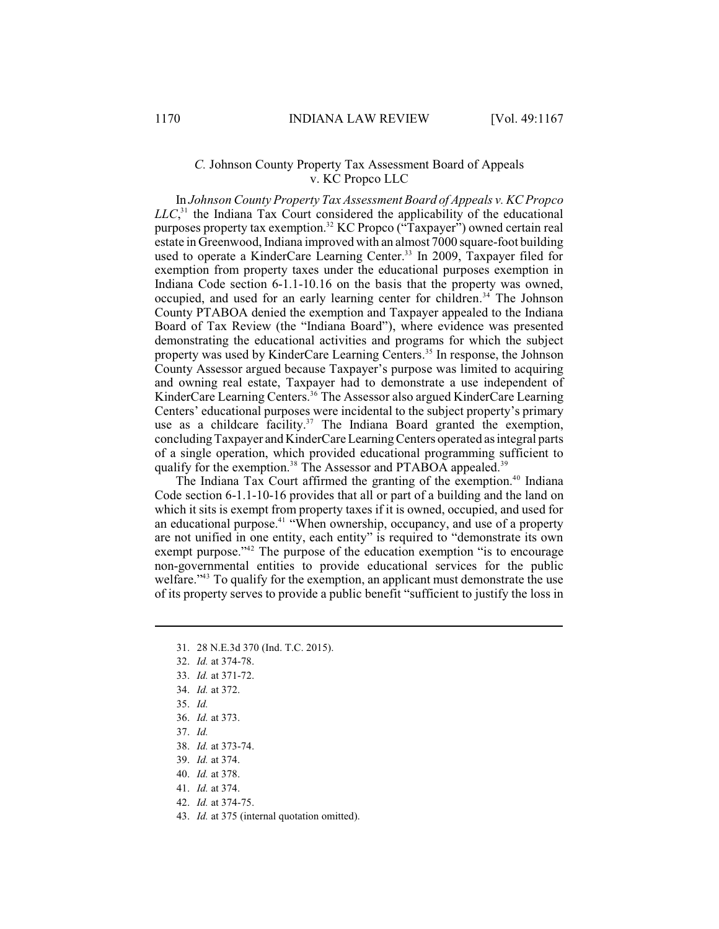## *C.* Johnson County Property Tax Assessment Board of Appeals v. KC Propco LLC

In *Johnson County Property Tax Assessment Board of Appeals v. KC Propco*  $LLC<sub>31</sub>$ <sup>1</sup> the Indiana Tax Court considered the applicability of the educational purposes property tax exemption.<sup>32</sup> KC Propco ("Taxpayer") owned certain real estate in Greenwood, Indiana improved with an almost 7000 square-foot building used to operate a KinderCare Learning Center.<sup>33</sup> In 2009, Taxpayer filed for exemption from property taxes under the educational purposes exemption in Indiana Code section 6-1.1-10.16 on the basis that the property was owned, occupied, and used for an early learning center for children.<sup> $34$ </sup> The Johnson County PTABOA denied the exemption and Taxpayer appealed to the Indiana Board of Tax Review (the "Indiana Board"), where evidence was presented demonstrating the educational activities and programs for which the subject property was used by KinderCare Learning Centers.<sup>35</sup> In response, the Johnson County Assessor argued because Taxpayer's purpose was limited to acquiring and owning real estate, Taxpayer had to demonstrate a use independent of KinderCare Learning Centers.<sup>36</sup> The Assessor also argued KinderCare Learning Centers' educational purposes were incidental to the subject property's primary use as a childcare facility.<sup>37</sup> The Indiana Board granted the exemption, concluding Taxpayer and KinderCare Learning Centers operated as integral parts of a single operation, which provided educational programming sufficient to qualify for the exemption.<sup>38</sup> The Assessor and PTABOA appealed.<sup>39</sup>

The Indiana Tax Court affirmed the granting of the exemption.<sup>40</sup> Indiana Code section 6-1.1-10-16 provides that all or part of a building and the land on which it sits is exempt from property taxes if it is owned, occupied, and used for an educational purpose.<sup>41</sup> "When ownership, occupancy, and use of a property are not unified in one entity, each entity" is required to "demonstrate its own exempt purpose." $42$  The purpose of the education exemption "is to encourage non-governmental entities to provide educational services for the public welfare."<sup>43</sup> To qualify for the exemption, an applicant must demonstrate the use of its property serves to provide a public benefit "sufficient to justify the loss in

- 31. 28 N.E.3d 370 (Ind. T.C. 2015).
- 32. *Id.* at 374-78.
- 33. *Id.* at 371-72.
- 34. *Id.* at 372.
- 35. *Id.*
- 36. *Id.* at 373.
- 37. *Id.*
- 38. *Id.* at 373-74.
- 39. *Id.* at 374.
- 40. *Id.* at 378.
- 41. *Id.* at 374.
- 42. *Id.* at 374-75.
- 43. *Id.* at 375 (internal quotation omitted).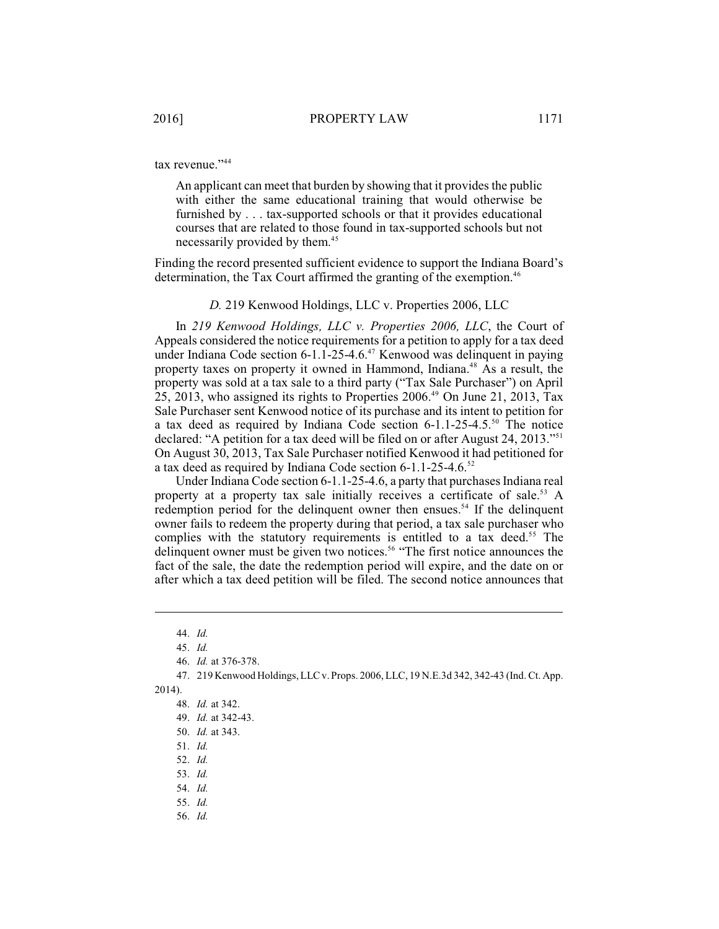tax revenue."<sup>44</sup>

An applicant can meet that burden by showing that it provides the public with either the same educational training that would otherwise be furnished by . . . tax-supported schools or that it provides educational courses that are related to those found in tax-supported schools but not necessarily provided by them. 45

Finding the record presented sufficient evidence to support the Indiana Board's determination, the Tax Court affirmed the granting of the exemption.<sup>46</sup>

*D.* 219 Kenwood Holdings, LLC v. Properties 2006, LLC

In *219 Kenwood Holdings, LLC v. Properties 2006, LLC*, the Court of Appeals considered the notice requirements for a petition to apply for a tax deed under Indiana Code section  $6-1.1-25-4.6$ .<sup> $47$ </sup> Kenwood was delinquent in paying property taxes on property it owned in Hammond, Indiana.<sup>48</sup> As a result, the property was sold at a tax sale to a third party ("Tax Sale Purchaser") on April 25, 2013, who assigned its rights to Properties  $2006<sup>49</sup>$  On June 21, 2013, Tax Sale Purchaser sent Kenwood notice of its purchase and its intent to petition for a tax deed as required by Indiana Code section 6-1.1-25-4.5.<sup>50</sup> The notice declared: "A petition for a tax deed will be filed on or after August 24, 2013."<sup>51</sup> On August 30, 2013, Tax Sale Purchaser notified Kenwood it had petitioned for a tax deed as required by Indiana Code section 6-1.1-25-4.6.<sup>52</sup>

Under Indiana Code section 6-1.1-25-4.6, a party that purchases Indiana real property at a property tax sale initially receives a certificate of sale.<sup>53</sup> A redemption period for the delinquent owner then ensues.<sup>54</sup> If the delinquent owner fails to redeem the property during that period, a tax sale purchaser who complies with the statutory requirements is entitled to a tax deed.<sup>55</sup> The delinquent owner must be given two notices.<sup>56</sup> "The first notice announces the fact of the sale, the date the redemption period will expire, and the date on or after which a tax deed petition will be filed. The second notice announces that

47. 219 Kenwood Holdings, LLC v. Props. 2006, LLC, 19 N.E.3d 342, 342-43 (Ind. Ct. App.

- 52. *Id.*
- 53. *Id.*
- 54. *Id.*
- 55. *Id.*
- 56. *Id.*

<sup>44.</sup> *Id.*

<sup>45.</sup> *Id.*

<sup>46.</sup> *Id.* at 376-378.

<sup>2014).</sup> 

<sup>48.</sup> *Id.* at 342.

<sup>49.</sup> *Id.* at 342-43.

<sup>50.</sup> *Id.* at 343.

<sup>51.</sup> *Id.*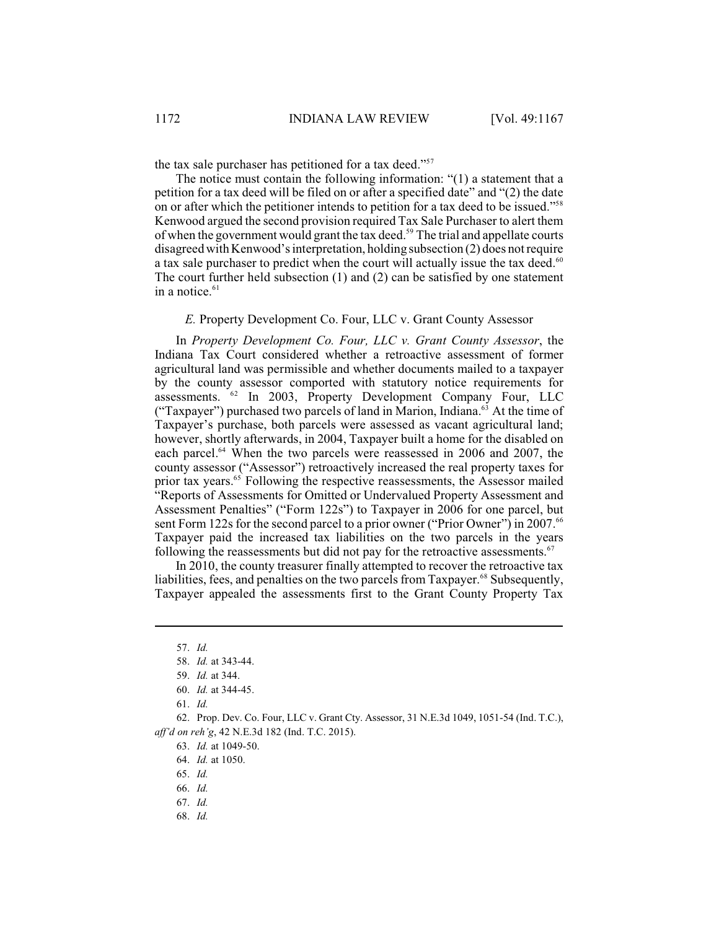the tax sale purchaser has petitioned for a tax deed."<sup>57</sup>

The notice must contain the following information: "(1) a statement that a petition for a tax deed will be filed on or after a specified date" and "(2) the date on or after which the petitioner intends to petition for a tax deed to be issued."<sup>58</sup> Kenwood argued the second provision required Tax Sale Purchaser to alert them of when the government would grant the tax deed.<sup>59</sup> The trial and appellate courts disagreed with Kenwood's interpretation, holding subsection (2) does notrequire a tax sale purchaser to predict when the court will actually issue the tax deed.<sup>60</sup> The court further held subsection (1) and (2) can be satisfied by one statement in a notice. $61$ 

## *E.* Property Development Co. Four, LLC v. Grant County Assessor

In *Property Development Co. Four, LLC v. Grant County Assessor*, the Indiana Tax Court considered whether a retroactive assessment of former agricultural land was permissible and whether documents mailed to a taxpayer by the county assessor comported with statutory notice requirements for assessments.  $^{62}$  In 2003, Property Development Company Four, LLC ("Taxpayer") purchased two parcels of land in Marion, Indiana.<sup>63</sup> At the time of Taxpayer's purchase, both parcels were assessed as vacant agricultural land; however, shortly afterwards, in 2004, Taxpayer built a home for the disabled on each parcel. $^{64}$  When the two parcels were reassessed in 2006 and 2007, the county assessor ("Assessor") retroactively increased the real property taxes for prior tax years.<sup>65</sup> Following the respective reassessments, the Assessor mailed "Reports of Assessments for Omitted or Undervalued Property Assessment and Assessment Penalties" ("Form 122s") to Taxpayer in 2006 for one parcel, but sent Form 122s for the second parcel to a prior owner ("Prior Owner") in 2007.<sup>66</sup> Taxpayer paid the increased tax liabilities on the two parcels in the years following the reassessments but did not pay for the retroactive assessments.<sup>67</sup>

In 2010, the county treasurer finally attempted to recover the retroactive tax liabilities, fees, and penalties on the two parcels from Taxpayer.<sup>68</sup> Subsequently, Taxpayer appealed the assessments first to the Grant County Property Tax

68. *Id.*

<sup>57.</sup> *Id.*

<sup>58.</sup> *Id.* at 343-44.

<sup>59.</sup> *Id.* at 344.

<sup>60.</sup> *Id.* at 344-45.

<sup>61.</sup> *Id.*

<sup>62.</sup> Prop. Dev. Co. Four, LLC v. Grant Cty. Assessor, 31 N.E.3d 1049, 1051-54 (Ind. T.C.), *aff'd on reh'g*, 42 N.E.3d 182 (Ind. T.C. 2015).

<sup>63.</sup> *Id.* at 1049-50.

<sup>64.</sup> *Id.* at 1050.

<sup>65.</sup> *Id.*

<sup>66.</sup> *Id.*

<sup>67.</sup> *Id.*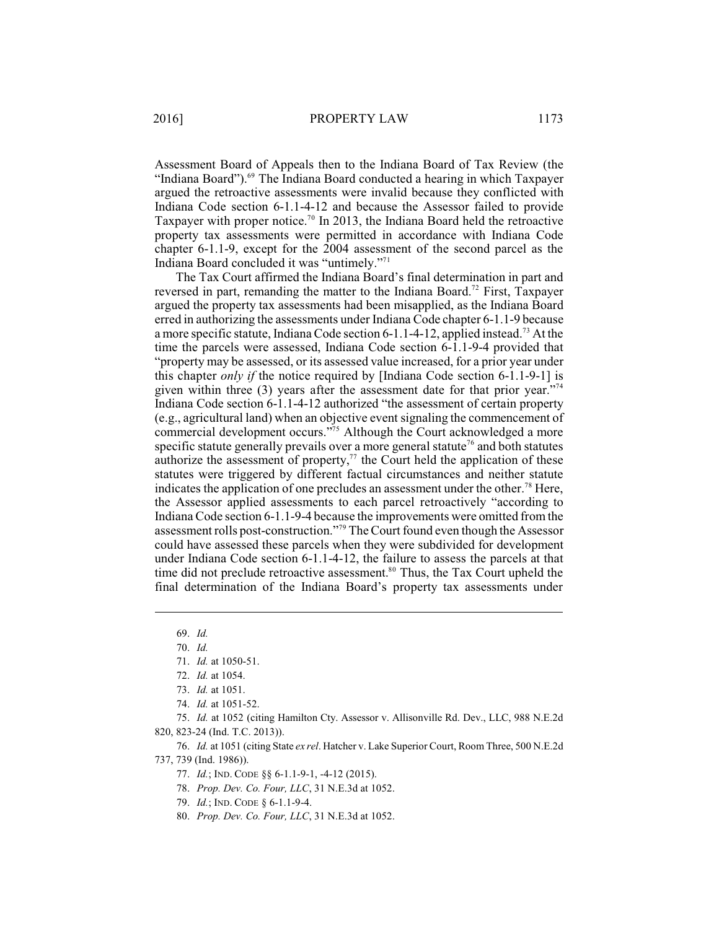Assessment Board of Appeals then to the Indiana Board of Tax Review (the "Indiana Board").<sup>69</sup> The Indiana Board conducted a hearing in which Taxpayer argued the retroactive assessments were invalid because they conflicted with Indiana Code section 6-1.1-4-12 and because the Assessor failed to provide Taxpayer with proper notice.<sup>70</sup> In 2013, the Indiana Board held the retroactive property tax assessments were permitted in accordance with Indiana Code chapter 6-1.1-9, except for the 2004 assessment of the second parcel as the Indiana Board concluded it was "untimely."<sup>71</sup>

The Tax Court affirmed the Indiana Board's final determination in part and reversed in part, remanding the matter to the Indiana Board.<sup>72</sup> First, Taxpayer argued the property tax assessments had been misapplied, as the Indiana Board erred in authorizing the assessments under Indiana Code chapter 6-1.1-9 because a more specific statute, Indiana Code section 6-1.1-4-12, applied instead.<sup>73</sup> At the time the parcels were assessed, Indiana Code section 6-1.1-9-4 provided that "property may be assessed, or its assessed value increased, for a prior year under this chapter *only if* the notice required by [Indiana Code section 6-1.1-9-1] is given within three  $(3)$  years after the assessment date for that prior year."<sup>74</sup> Indiana Code section 6-1.1-4-12 authorized "the assessment of certain property (e.g., agricultural land) when an objective event signaling the commencement of commercial development occurs."<sup>75</sup> Although the Court acknowledged a more specific statute generally prevails over a more general statute<sup>76</sup> and both statutes authorize the assessment of property, $^{77}$  the Court held the application of these statutes were triggered by different factual circumstances and neither statute indicates the application of one precludes an assessment under the other.<sup>78</sup> Here, the Assessor applied assessments to each parcel retroactively "according to Indiana Code section 6-1.1-9-4 because the improvements were omitted fromthe assessment rolls post-construction."<sup>79</sup> The Court found even though the Assessor could have assessed these parcels when they were subdivided for development under Indiana Code section 6-1.1-4-12, the failure to assess the parcels at that time did not preclude retroactive assessment. $80$  Thus, the Tax Court upheld the final determination of the Indiana Board's property tax assessments under

- 77. *Id.*; IND. CODE §§ 6-1.1-9-1, -4-12 (2015).
- 78. *Prop. Dev. Co. Four, LLC*, 31 N.E.3d at 1052.
- 79. *Id.*; IND. CODE § 6-1.1-9-4.
- 80. *Prop. Dev. Co. Four, LLC*, 31 N.E.3d at 1052.

<sup>69.</sup> *Id.*

<sup>70.</sup> *Id.*

<sup>71.</sup> *Id.* at 1050-51.

<sup>72.</sup> *Id.* at 1054.

<sup>73.</sup> *Id.* at 1051.

<sup>74.</sup> *Id.* at 1051-52.

<sup>75.</sup> *Id.* at 1052 (citing Hamilton Cty. Assessor v. Allisonville Rd. Dev., LLC, 988 N.E.2d 820, 823-24 (Ind. T.C. 2013)).

<sup>76.</sup> *Id.* at 1051 (citing State *ex rel*. Hatcher v. Lake Superior Court, Room Three, 500 N.E.2d 737, 739 (Ind. 1986)).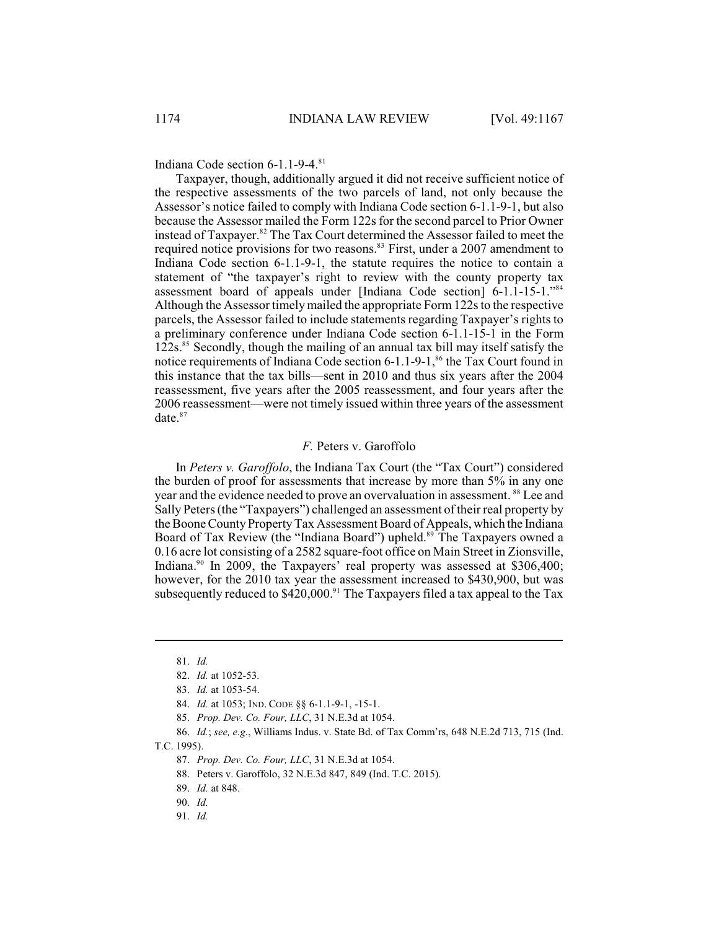Indiana Code section  $6-1.1-9-4.^{81}$ 

Taxpayer, though, additionally argued it did not receive sufficient notice of the respective assessments of the two parcels of land, not only because the Assessor's notice failed to comply with Indiana Code section 6-1.1-9-1, but also because the Assessor mailed the Form 122s for the second parcel to Prior Owner instead of Taxpayer.<sup>82</sup> The Tax Court determined the Assessor failed to meet the required notice provisions for two reasons.<sup>83</sup> First, under a 2007 amendment to Indiana Code section 6-1.1-9-1, the statute requires the notice to contain a statement of "the taxpayer's right to review with the county property tax assessment board of appeals under [Indiana Code section] 6-1.1-15-1."<sup>84</sup> Although the Assessor timely mailed the appropriate Form 122s to the respective parcels, the Assessor failed to include statements regarding Taxpayer's rights to a preliminary conference under Indiana Code section 6-1.1-15-1 in the Form  $122s$ .<sup>85</sup> Secondly, though the mailing of an annual tax bill may itself satisfy the notice requirements of Indiana Code section  $6-1.1-9-1$ ,  $86$  the Tax Court found in this instance that the tax bills—sent in 2010 and thus six years after the 2004 reassessment, five years after the 2005 reassessment, and four years after the 2006 reassessment—were not timely issued within three years of the assessment date.<sup>87</sup>

## *F.* Peters v. Garoffolo

In *Peters v. Garoffolo*, the Indiana Tax Court (the "Tax Court") considered the burden of proof for assessments that increase by more than 5% in any one year and the evidence needed to prove an overvaluation in assessment. <sup>88</sup> Lee and Sally Peters (the "Taxpayers") challenged an assessment of their real property by the Boone County Property Tax Assessment Board of Appeals, which the Indiana Board of Tax Review (the "Indiana Board") upheld.<sup>89</sup> The Taxpayers owned a 0.16 acre lot consisting of a 2582 square-foot office on Main Street in Zionsville, Indiana.<sup>90</sup> In 2009, the Taxpayers' real property was assessed at \$306,400; however, for the 2010 tax year the assessment increased to \$430,900, but was subsequently reduced to  $$420,000.<sup>91</sup>$  The Taxpayers filed a tax appeal to the Tax

85. *Prop. Dev. Co. Four, LLC*, 31 N.E.3d at 1054.

T.C. 1995).

- 87. *Prop. Dev. Co. Four, LLC*, 31 N.E.3d at 1054.
- 88. Peters v. Garoffolo, 32 N.E.3d 847, 849 (Ind. T.C. 2015).

<sup>81.</sup> *Id.*

<sup>82.</sup> *Id.* at 1052-53*.*

<sup>83.</sup> *Id.* at 1053-54.

<sup>84.</sup> *Id.* at 1053; IND. CODE §§ 6-1.1-9-1, -15-1.

<sup>86.</sup> *Id.*; *see, e.g.*, Williams Indus. v. State Bd. of Tax Comm'rs, 648 N.E.2d 713, 715 (Ind.

<sup>89.</sup> *Id.* at 848.

<sup>90.</sup> *Id.* 

<sup>91.</sup> *Id.*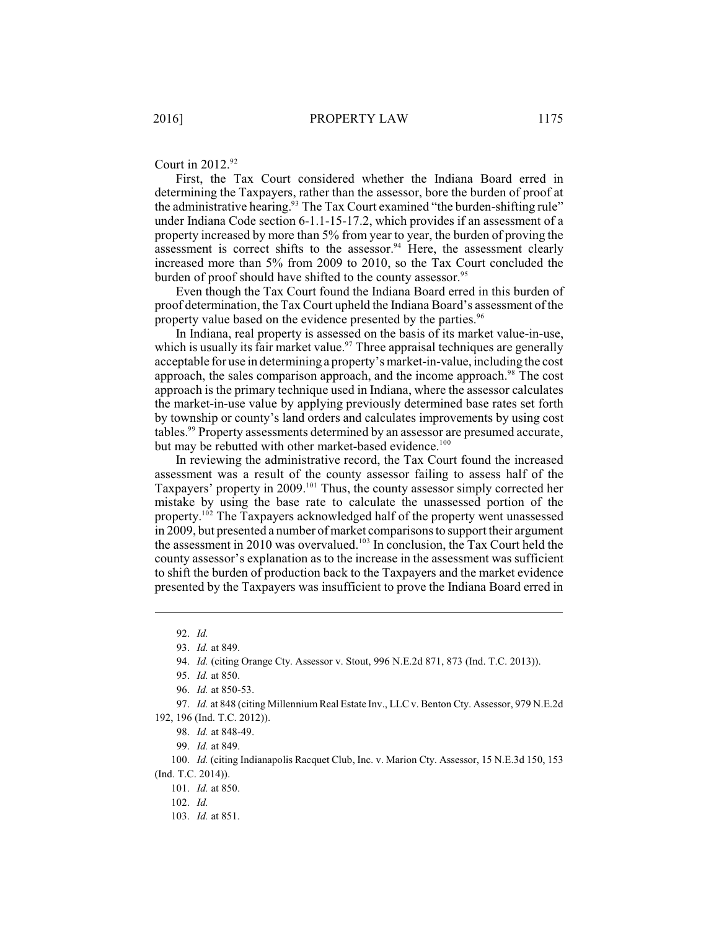Court in 2012.<sup>92</sup>

First, the Tax Court considered whether the Indiana Board erred in determining the Taxpayers, rather than the assessor, bore the burden of proof at the administrative hearing.<sup>93</sup> The Tax Court examined "the burden-shifting rule" under Indiana Code section 6-1.1-15-17.2, which provides if an assessment of a property increased by more than 5% from year to year, the burden of proving the assessment is correct shifts to the assessor.<sup>94</sup> Here, the assessment clearly increased more than 5% from 2009 to 2010, so the Tax Court concluded the burden of proof should have shifted to the county assessor.<sup>95</sup>

Even though the Tax Court found the Indiana Board erred in this burden of proof determination, the Tax Court upheld the Indiana Board's assessment of the property value based on the evidence presented by the parties.<sup>96</sup>

In Indiana, real property is assessed on the basis of its market value-in-use, which is usually its fair market value. $97$  Three appraisal techniques are generally acceptable for use in determining a property's market-in-value, including the cost approach, the sales comparison approach, and the income approach.<sup>98</sup> The cost approach is the primary technique used in Indiana, where the assessor calculates the market-in-use value by applying previously determined base rates set forth by township or county's land orders and calculates improvements by using cost tables.<sup>99</sup> Property assessments determined by an assessor are presumed accurate, but may be rebutted with other market-based evidence.<sup>100</sup>

In reviewing the administrative record, the Tax Court found the increased assessment was a result of the county assessor failing to assess half of the Taxpayers' property in 2009.<sup>101</sup> Thus, the county assessor simply corrected her mistake by using the base rate to calculate the unassessed portion of the property.<sup>102</sup> The Taxpayers acknowledged half of the property went unassessed in 2009, but presented a number of market comparisons to support their argument the assessment in 2010 was overvalued.<sup>103</sup> In conclusion, the Tax Court held the county assessor's explanation as to the increase in the assessment was sufficient to shift the burden of production back to the Taxpayers and the market evidence presented by the Taxpayers was insufficient to prove the Indiana Board erred in

103. *Id.* at 851.

<sup>92.</sup> *Id.*

<sup>93.</sup> *Id.* at 849.

<sup>94.</sup> *Id.* (citing Orange Cty. Assessor v. Stout, 996 N.E.2d 871, 873 (Ind. T.C. 2013)).

<sup>95.</sup> *Id.* at 850.

<sup>96.</sup> *Id.* at 850-53.

<sup>97.</sup> *Id.* at 848 (citing Millennium Real Estate Inv., LLC v. Benton Cty. Assessor, 979 N.E.2d 192, 196 (Ind. T.C. 2012)).

<sup>98.</sup> *Id.* at 848-49.

<sup>99.</sup> *Id.* at 849.

<sup>100.</sup> *Id.* (citing Indianapolis Racquet Club, Inc. v. Marion Cty. Assessor, 15 N.E.3d 150, 153 (Ind. T.C. 2014)).

<sup>101.</sup> *Id.* at 850.

<sup>102.</sup> *Id.*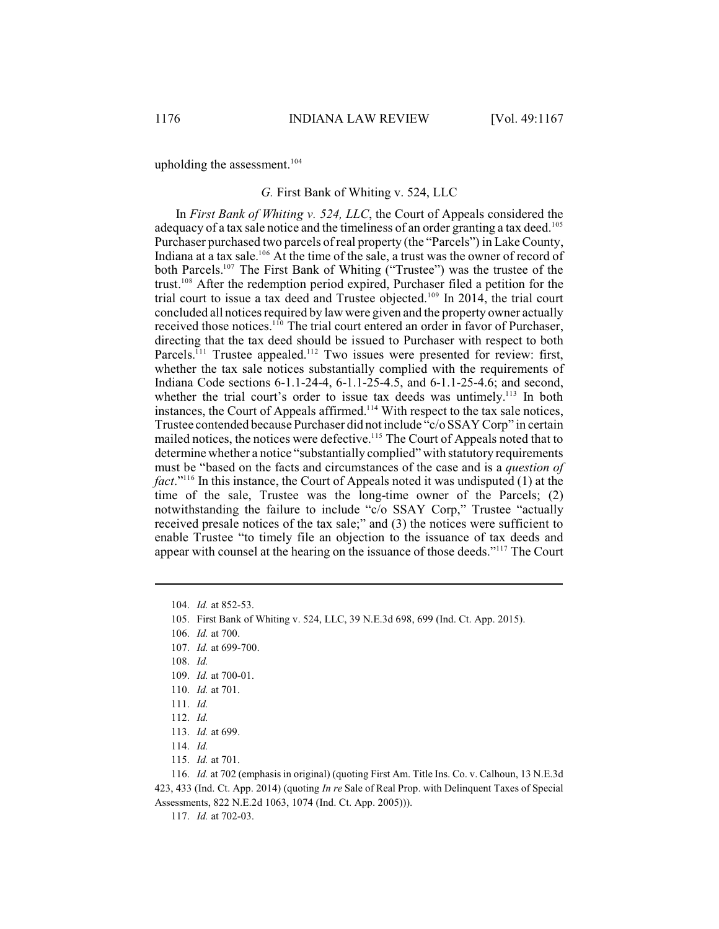upholding the assessment. 104

## *G.* First Bank of Whiting v. 524, LLC

In *First Bank of Whiting v. 524, LLC*, the Court of Appeals considered the adequacy of a tax sale notice and the timeliness of an order granting a tax deed.<sup>105</sup> Purchaser purchased two parcels of real property (the "Parcels") in Lake County, Indiana at a tax sale.<sup>106</sup> At the time of the sale, a trust was the owner of record of both Parcels.<sup>107</sup> The First Bank of Whiting ("Trustee") was the trustee of the trust.<sup>108</sup> After the redemption period expired, Purchaser filed a petition for the trial court to issue a tax deed and Trustee objected.<sup>109</sup> In 2014, the trial court concluded all notices required by law were given and the property owner actually received those notices.<sup>110</sup> The trial court entered an order in favor of Purchaser, directing that the tax deed should be issued to Purchaser with respect to both Parcels.<sup> $111$ </sup> Trustee appealed.<sup> $112$ </sup> Two issues were presented for review: first, whether the tax sale notices substantially complied with the requirements of Indiana Code sections 6-1.1-24-4, 6-1.1-25-4.5, and 6-1.1-25-4.6; and second, whether the trial court's order to issue tax deeds was untimely.<sup>113</sup> In both instances, the Court of Appeals affirmed.<sup> $114$ </sup> With respect to the tax sale notices, Trustee contended because Purchaser did not include "c/o SSAY Corp" in certain mailed notices, the notices were defective.<sup>115</sup> The Court of Appeals noted that to determine whether a notice "substantially complied" with statutory requirements must be "based on the facts and circumstances of the case and is a *question of fact*."<sup>116</sup> In this instance, the Court of Appeals noted it was undisputed (1) at the time of the sale, Trustee was the long-time owner of the Parcels; (2) notwithstanding the failure to include "c/o SSAY Corp," Trustee "actually received presale notices of the tax sale;" and (3) the notices were sufficient to enable Trustee "to timely file an objection to the issuance of tax deeds and appear with counsel at the hearing on the issuance of those deeds."<sup>117</sup> The Court

106. *Id.* at 700.

- 109. *Id.* at 700-01.
- 110. *Id.* at 701.
- 111. *Id.*
- 112. *Id.*

117. *Id.* at 702-03.

<sup>104.</sup> *Id.* at 852-53.

<sup>105.</sup> First Bank of Whiting v. 524, LLC, 39 N.E.3d 698, 699 (Ind. Ct. App. 2015).

<sup>107.</sup> *Id.* at 699-700.

<sup>108.</sup> *Id.*

<sup>113.</sup> *Id.* at 699.

<sup>114.</sup> *Id.*

<sup>115.</sup> *Id.* at 701.

<sup>116.</sup> *Id.* at 702 (emphasis in original) (quoting First Am. Title Ins. Co. v. Calhoun, 13 N.E.3d 423, 433 (Ind. Ct. App. 2014) (quoting *In re* Sale of Real Prop. with Delinquent Taxes of Special Assessments, 822 N.E.2d 1063, 1074 (Ind. Ct. App. 2005))).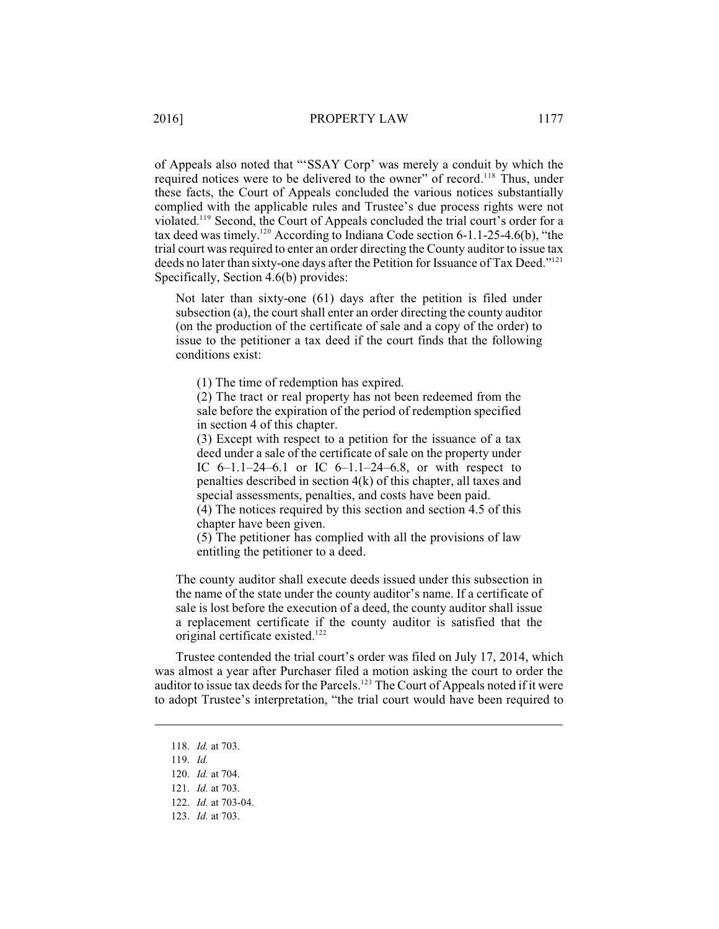of Appeals also noted that "'SSAY Corp' was merely a conduit by which the required notices were to be delivered to the owner" of record.<sup>118</sup> Thus, under these facts, the Court of Appeals concluded the various notices substantially complied with the applicable rules and Trustee's due process rights were not violated.<sup>119</sup> Second, the Court of Appeals concluded the trial court's order for a tax deed was timely.<sup>120</sup> According to Indiana Code section 6-1.1-25-4.6(b), "the trial court was required to enter an order directing the County auditor to issue tax deeds no later than sixty-one days after the Petition for Issuance of Tax Deed."<sup>121</sup> Specifically, Section 4.6(b) provides:

Not later than sixty-one (61) days after the petition is filed under subsection (a), the court shall enter an order directing the county auditor (on the production of the certificate of sale and a copy of the order) to issue to the petitioner a tax deed if the court finds that the following conditions exist:

(1) The time of redemption has expired.

(2) The tract or real property has not been redeemed from the sale before the expiration of the period of redemption specified in section 4 of this chapter.

(3) Except with respect to a petition for the issuance of a tax deed under a sale of the certificate of sale on the property under IC  $6-1.1-24-6.1$  or IC  $6-1.1-24-6.8$ , or with respect to penalties described in section 4(k) of this chapter, all taxes and special assessments, penalties, and costs have been paid.

(4) The notices required by this section and section 4.5 of this chapter have been given.

(5) The petitioner has complied with all the provisions of law entitling the petitioner to a deed.

The county auditor shall execute deeds issued under this subsection in the name of the state under the county auditor's name. If a certificate of sale is lost before the execution of a deed, the county auditor shall issue a replacement certificate if the county auditor is satisfied that the original certificate existed.<sup>122</sup>

Trustee contended the trial court's order was filed on July 17, 2014, which was almost a year after Purchaser filed a motion asking the court to order the auditor to issue tax deeds for the Parcels.<sup>123</sup> The Court of Appeals noted if it were to adopt Trustee's interpretation, "the trial court would have been required to

<sup>118.</sup> *Id.* at 703.

<sup>119.</sup> *Id.*

<sup>120.</sup> *Id.* at 704.

<sup>121.</sup> *Id.* at 703.

<sup>122.</sup> *Id.* at 703-04.

<sup>123.</sup> *Id.* at 703.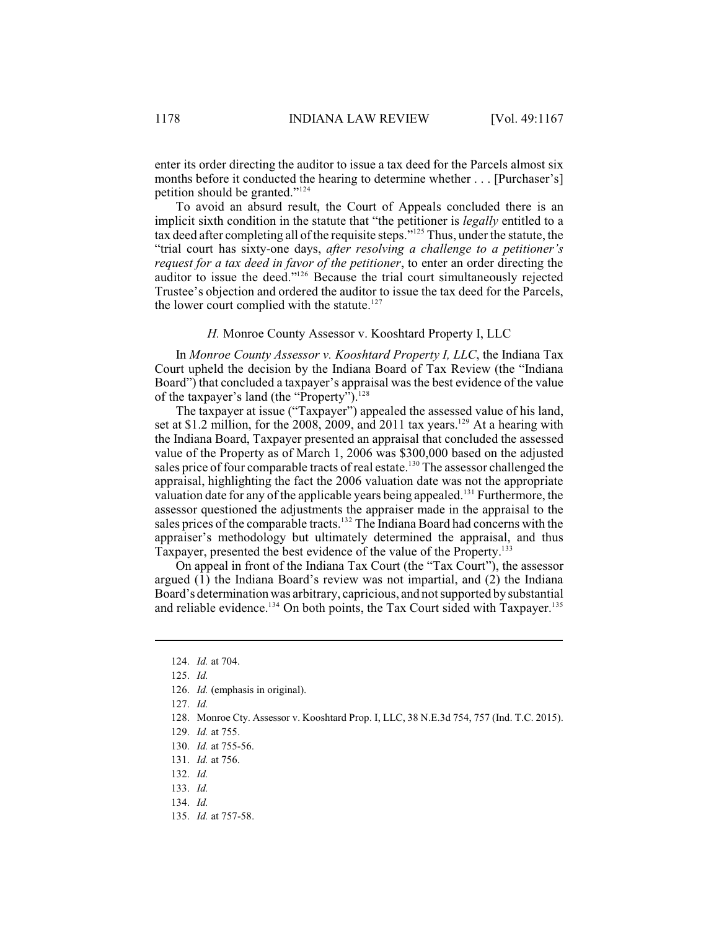enter its order directing the auditor to issue a tax deed for the Parcels almost six months before it conducted the hearing to determine whether . . . [Purchaser's] petition should be granted."<sup>124</sup>

To avoid an absurd result, the Court of Appeals concluded there is an implicit sixth condition in the statute that "the petitioner is *legally* entitled to a tax deed after completing all of the requisite steps."<sup>125</sup> Thus, under the statute, the "trial court has sixty-one days, *after resolving a challenge to a petitioner's request for a tax deed in favor of the petitioner*, to enter an order directing the auditor to issue the deed."<sup>126</sup> Because the trial court simultaneously rejected Trustee's objection and ordered the auditor to issue the tax deed for the Parcels, the lower court complied with the statute.<sup>127</sup>

*H.* Monroe County Assessor v. Kooshtard Property I, LLC

In *Monroe County Assessor v. Kooshtard Property I, LLC*, the Indiana Tax Court upheld the decision by the Indiana Board of Tax Review (the "Indiana Board") that concluded a taxpayer's appraisal was the best evidence of the value of the taxpayer's land (the "Property").<sup>128</sup>

The taxpayer at issue ("Taxpayer") appealed the assessed value of his land, set at \$1.2 million, for the 2008, 2009, and 2011 tax years.<sup>129</sup> At a hearing with the Indiana Board, Taxpayer presented an appraisal that concluded the assessed value of the Property as of March 1, 2006 was \$300,000 based on the adjusted sales price of four comparable tracts of real estate.<sup>130</sup> The assessor challenged the appraisal, highlighting the fact the 2006 valuation date was not the appropriate valuation date for any of the applicable years being appealed.<sup>131</sup> Furthermore, the assessor questioned the adjustments the appraiser made in the appraisal to the sales prices of the comparable tracts.<sup>132</sup> The Indiana Board had concerns with the appraiser's methodology but ultimately determined the appraisal, and thus Taxpayer, presented the best evidence of the value of the Property.<sup>133</sup>

On appeal in front of the Indiana Tax Court (the "Tax Court"), the assessor argued  $(1)$  the Indiana Board's review was not impartial, and  $(2)$  the Indiana Board's determination was arbitrary, capricious, and notsupported by substantial and reliable evidence.<sup>134</sup> On both points, the Tax Court sided with Taxpayer.<sup>135</sup>

135. *Id.* at 757-58.

<sup>124.</sup> *Id.* at 704.

<sup>125.</sup> *Id.*

<sup>126.</sup> *Id.* (emphasis in original).

<sup>127.</sup> *Id.*

<sup>128.</sup> Monroe Cty. Assessor v. Kooshtard Prop. I, LLC, 38 N.E.3d 754, 757 (Ind. T.C. 2015).

<sup>129.</sup> *Id.* at 755.

<sup>130.</sup> *Id.* at 755-56.

<sup>131.</sup> *Id.* at 756.

<sup>132.</sup> *Id.*

<sup>133.</sup> *Id.*

<sup>134.</sup> *Id.*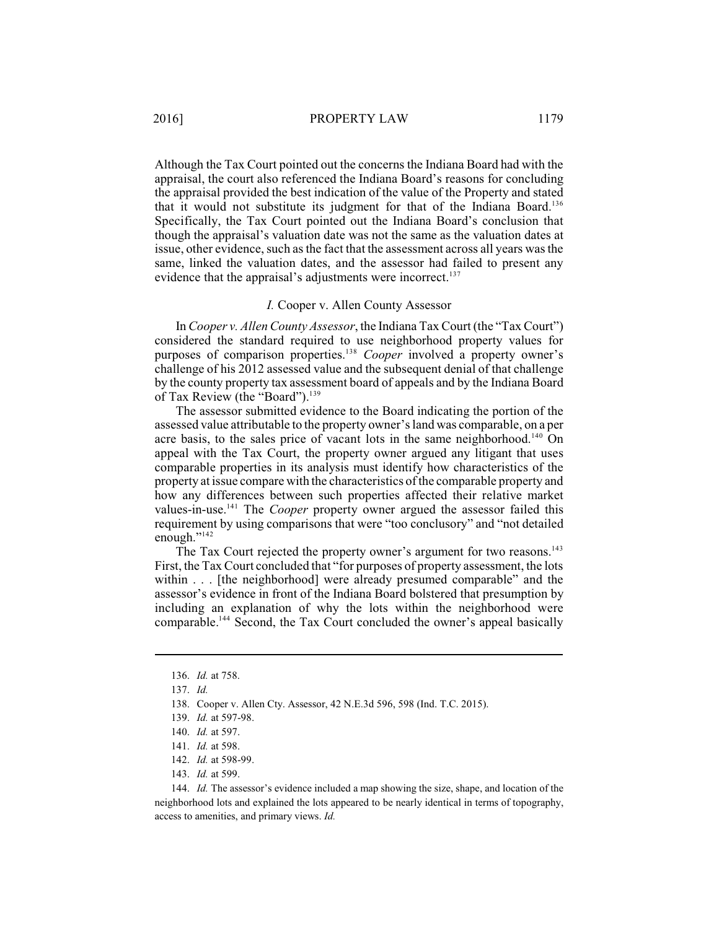Although the Tax Court pointed out the concerns the Indiana Board had with the appraisal, the court also referenced the Indiana Board's reasons for concluding the appraisal provided the best indication of the value of the Property and stated that it would not substitute its judgment for that of the Indiana Board.<sup>136</sup> Specifically, the Tax Court pointed out the Indiana Board's conclusion that though the appraisal's valuation date was not the same as the valuation dates at issue, other evidence, such as the fact that the assessment across all years was the same, linked the valuation dates, and the assessor had failed to present any evidence that the appraisal's adjustments were incorrect.<sup>137</sup>

#### *I.* Cooper v. Allen County Assessor

In *Cooper v. Allen County Assessor*, the Indiana Tax Court (the "Tax Court") considered the standard required to use neighborhood property values for purposes of comparison properties.<sup>138</sup> Cooper involved a property owner's challenge of his 2012 assessed value and the subsequent denial of that challenge by the county property tax assessment board of appeals and by the Indiana Board of Tax Review (the "Board").<sup>139</sup>

The assessor submitted evidence to the Board indicating the portion of the assessed value attributable to the property owner'sland was comparable, on a per acre basis, to the sales price of vacant lots in the same neighborhood.<sup>140</sup> On appeal with the Tax Court, the property owner argued any litigant that uses comparable properties in its analysis must identify how characteristics of the property at issue compare with the characteristics of the comparable property and how any differences between such properties affected their relative market values-in-use.<sup>141</sup> The *Cooper* property owner argued the assessor failed this requirement by using comparisons that were "too conclusory" and "not detailed enough."<sup>142</sup>

The Tax Court rejected the property owner's argument for two reasons.<sup>143</sup> First, the Tax Court concluded that "for purposes of property assessment, the lots within . . . [the neighborhood] were already presumed comparable" and the assessor's evidence in front of the Indiana Board bolstered that presumption by including an explanation of why the lots within the neighborhood were comparable.<sup>144</sup> Second, the Tax Court concluded the owner's appeal basically

144. *Id.* The assessor's evidence included a map showing the size, shape, and location of the neighborhood lots and explained the lots appeared to be nearly identical in terms of topography, access to amenities, and primary views. *Id.*

<sup>136.</sup> *Id.* at 758.

<sup>137.</sup> *Id.*

<sup>138.</sup> Cooper v. Allen Cty. Assessor, 42 N.E.3d 596, 598 (Ind. T.C. 2015).

<sup>139.</sup> *Id.* at 597-98.

<sup>140.</sup> *Id.* at 597.

<sup>141.</sup> *Id.* at 598.

<sup>142.</sup> *Id.* at 598-99.

<sup>143.</sup> *Id.* at 599.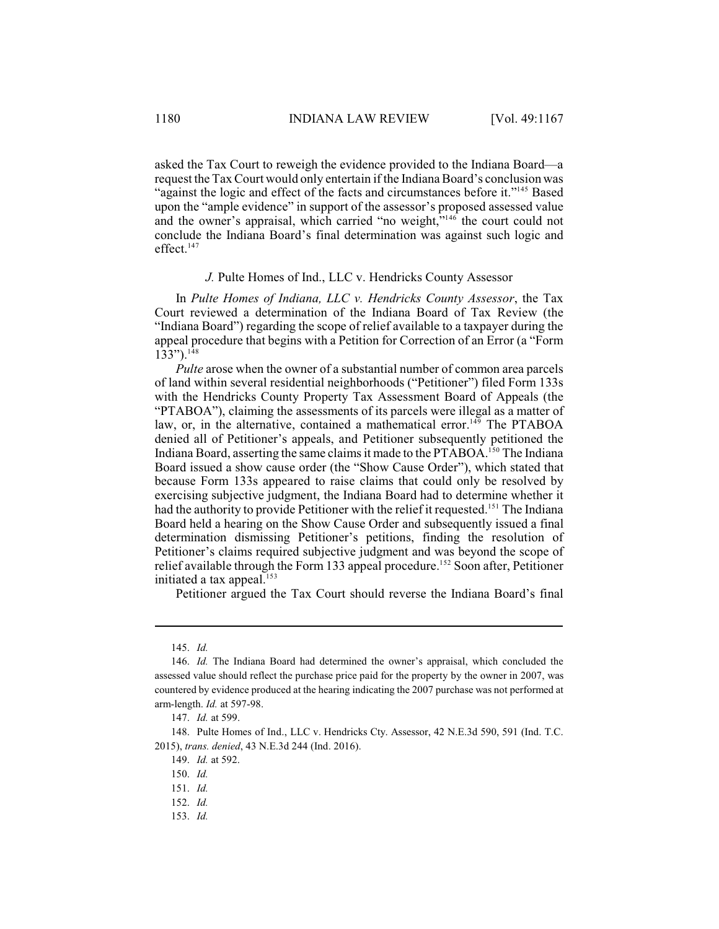asked the Tax Court to reweigh the evidence provided to the Indiana Board—a request the Tax Court would only entertain if the Indiana Board's conclusion was "against the logic and effect of the facts and circumstances before it."<sup>145</sup> Based upon the "ample evidence" in support of the assessor's proposed assessed value and the owner's appraisal, which carried "no weight," $146$  the court could not conclude the Indiana Board's final determination was against such logic and effect. 147

## *J.* Pulte Homes of Ind., LLC v. Hendricks County Assessor

In *Pulte Homes of Indiana, LLC v. Hendricks County Assessor*, the Tax Court reviewed a determination of the Indiana Board of Tax Review (the "Indiana Board") regarding the scope of relief available to a taxpayer during the appeal procedure that begins with a Petition for Correction of an Error (a "Form  $133")$ .<sup>148</sup>

*Pulte* arose when the owner of a substantial number of common area parcels of land within several residential neighborhoods ("Petitioner") filed Form 133s with the Hendricks County Property Tax Assessment Board of Appeals (the "PTABOA"), claiming the assessments of its parcels were illegal as a matter of law, or, in the alternative, contained a mathematical error.<sup>149</sup> The PTABOA denied all of Petitioner's appeals, and Petitioner subsequently petitioned the Indiana Board, asserting the same claims it made to the PTABOA.<sup>150</sup> The Indiana Board issued a show cause order (the "Show Cause Order"), which stated that because Form 133s appeared to raise claims that could only be resolved by exercising subjective judgment, the Indiana Board had to determine whether it had the authority to provide Petitioner with the relief it requested.<sup>151</sup> The Indiana Board held a hearing on the Show Cause Order and subsequently issued a final determination dismissing Petitioner's petitions, finding the resolution of Petitioner's claims required subjective judgment and was beyond the scope of relief available through the Form 133 appeal procedure.<sup>152</sup> Soon after, Petitioner initiated a tax appeal. $153$ 

Petitioner argued the Tax Court should reverse the Indiana Board's final

<sup>145.</sup> *Id.*

<sup>146.</sup> *Id.* The Indiana Board had determined the owner's appraisal, which concluded the assessed value should reflect the purchase price paid for the property by the owner in 2007, was countered by evidence produced at the hearing indicating the 2007 purchase was not performed at arm-length. *Id.* at 597-98.

<sup>147.</sup> *Id.* at 599.

<sup>148.</sup> Pulte Homes of Ind., LLC v. Hendricks Cty. Assessor, 42 N.E.3d 590, 591 (Ind. T.C. 2015), *trans. denied*, 43 N.E.3d 244 (Ind. 2016).

<sup>149.</sup> *Id.* at 592.

<sup>150.</sup> *Id.*

<sup>151.</sup> *Id.*

<sup>152.</sup> *Id.*

<sup>153.</sup> *Id.*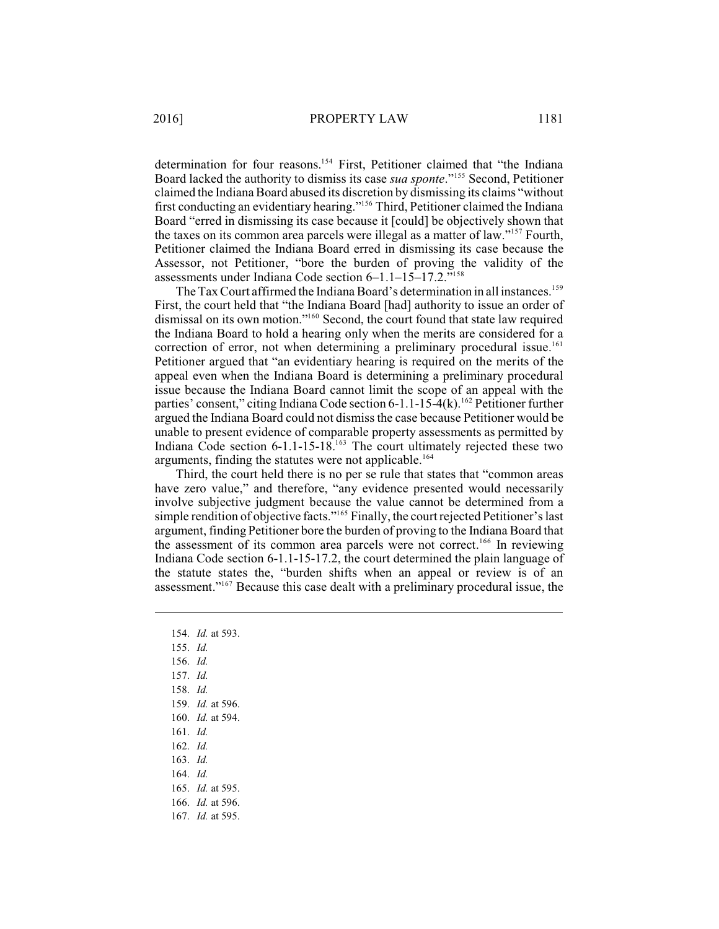determination for four reasons.<sup>154</sup> First, Petitioner claimed that "the Indiana Board lacked the authority to dismiss its case *sua sponte*."<sup>155</sup> Second, Petitioner claimed the Indiana Board abused its discretion by dismissing its claims "without first conducting an evidentiary hearing."<sup>156</sup> Third, Petitioner claimed the Indiana Board "erred in dismissing its case because it [could] be objectively shown that the taxes on its common area parcels were illegal as a matter of law."<sup>157</sup> Fourth, Petitioner claimed the Indiana Board erred in dismissing its case because the Assessor, not Petitioner, "bore the burden of proving the validity of the assessments under Indiana Code section 6–1.1–15–17.2."<sup>158</sup>

The Tax Court affirmed the Indiana Board's determination in all instances.<sup>159</sup> First, the court held that "the Indiana Board [had] authority to issue an order of dismissal on its own motion."<sup>160</sup> Second, the court found that state law required the Indiana Board to hold a hearing only when the merits are considered for a correction of error, not when determining a preliminary procedural issue.<sup>161</sup> Petitioner argued that "an evidentiary hearing is required on the merits of the appeal even when the Indiana Board is determining a preliminary procedural issue because the Indiana Board cannot limit the scope of an appeal with the parties' consent," citing Indiana Code section  $6-1.1-15-4(k)$ . <sup>162</sup> Petitioner further argued the Indiana Board could not dismiss the case because Petitioner would be unable to present evidence of comparable property assessments as permitted by Indiana Code section  $6-1.1-15-18$ .<sup>163</sup> The court ultimately rejected these two arguments, finding the statutes were not applicable.<sup>164</sup>

Third, the court held there is no per se rule that states that "common areas have zero value," and therefore, "any evidence presented would necessarily involve subjective judgment because the value cannot be determined from a simple rendition of objective facts."<sup>165</sup> Finally, the court rejected Petitioner's last argument, finding Petitioner bore the burden of proving to the Indiana Board that the assessment of its common area parcels were not correct.<sup>166</sup> In reviewing Indiana Code section 6-1.1-15-17.2, the court determined the plain language of the statute states the, "burden shifts when an appeal or review is of an assessment."<sup>167</sup> Because this case dealt with a preliminary procedural issue, the

154. *Id.* at 593. 155. *Id.* 156. *Id.* 157. *Id.*  158. *Id.*  159. *Id.* at 596. 160. *Id.* at 594. 161. *Id.*  162. *Id.* 163. *Id.* 164. *Id.* 165. *Id.* at 595. 166. *Id.* at 596. 167. *Id.* at 595.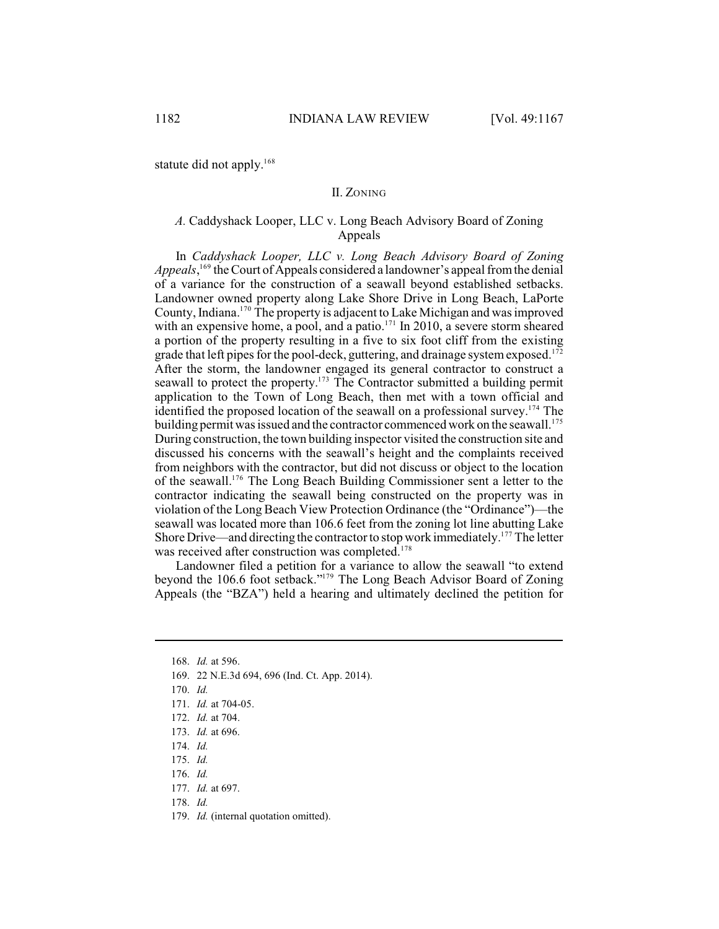statute did not apply.<sup>168</sup>

## II. ZONING

## *A.* Caddyshack Looper, LLC v. Long Beach Advisory Board of Zoning Appeals

In *Caddyshack Looper, LLC v. Long Beach Advisory Board of Zoning* Appeals,<sup>169</sup> the Court of Appeals considered a landowner's appeal from the denial of a variance for the construction of a seawall beyond established setbacks. Landowner owned property along Lake Shore Drive in Long Beach, LaPorte County, Indiana.<sup>170</sup> The property is adjacent to Lake Michigan and was improved with an expensive home, a pool, and a patio. $171$  In 2010, a severe storm sheared a portion of the property resulting in a five to six foot cliff from the existing grade that left pipes for the pool-deck, guttering, and drainage system exposed.<sup>172</sup> After the storm, the landowner engaged its general contractor to construct a seawall to protect the property.<sup>173</sup> The Contractor submitted a building permit application to the Town of Long Beach, then met with a town official and identified the proposed location of the seawall on a professional survey.<sup>174</sup> The building permit was issued and the contractor commenced work on the seawall.<sup>175</sup> During construction, the town building inspector visited the construction site and discussed his concerns with the seawall's height and the complaints received from neighbors with the contractor, but did not discuss or object to the location of the seawall.<sup>176</sup> The Long Beach Building Commissioner sent a letter to the contractor indicating the seawall being constructed on the property was in violation of the Long Beach View Protection Ordinance (the "Ordinance")—the seawall was located more than 106.6 feet from the zoning lot line abutting Lake Shore Drive—and directing the contractor to stop work immediately.<sup>177</sup> The letter was received after construction was completed.<sup>178</sup>

Landowner filed a petition for a variance to allow the seawall "to extend beyond the 106.6 foot setback."<sup>179</sup> The Long Beach Advisor Board of Zoning Appeals (the "BZA") held a hearing and ultimately declined the petition for

169. 22 N.E.3d 694, 696 (Ind. Ct. App. 2014).

175. *Id.* 

<sup>168.</sup> *Id.* at 596.

<sup>170.</sup> *Id.* 

<sup>171.</sup> *Id.* at 704-05.

<sup>172.</sup> *Id.* at 704.

<sup>173.</sup> *Id.* at 696.

<sup>174.</sup> *Id.*

<sup>176.</sup> *Id.*

<sup>177.</sup> *Id.* at 697.

<sup>178.</sup> *Id.*

<sup>179.</sup> *Id.* (internal quotation omitted).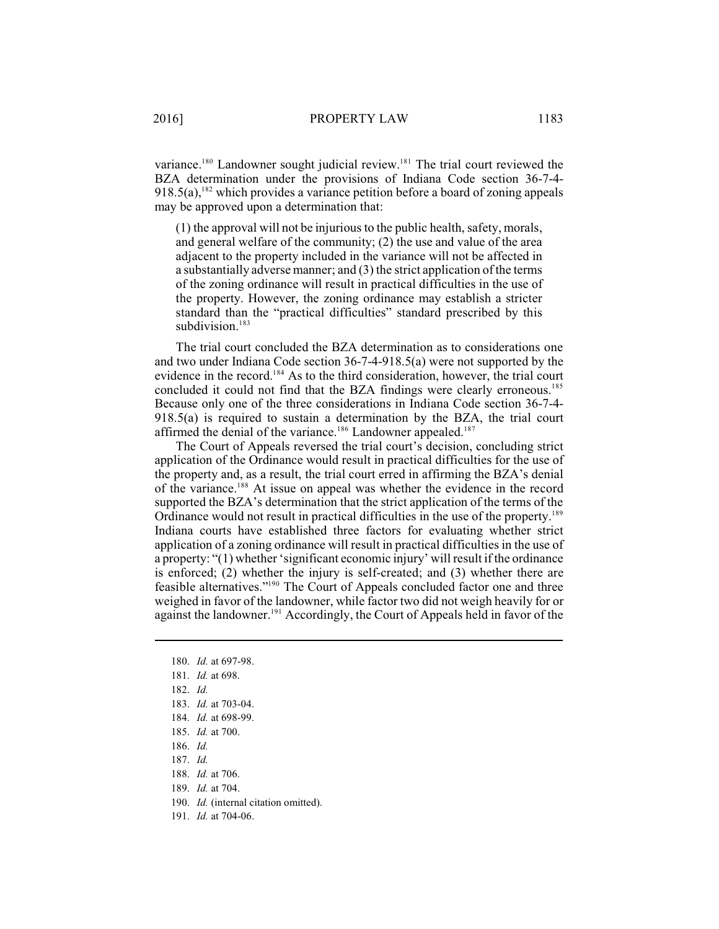variance.<sup>180</sup> Landowner sought judicial review.<sup>181</sup> The trial court reviewed the BZA determination under the provisions of Indiana Code section 36-7-4-  $918.5(a)$ , <sup>182</sup> which provides a variance petition before a board of zoning appeals may be approved upon a determination that:

(1) the approval will not be injurious to the public health, safety, morals, and general welfare of the community; (2) the use and value of the area adjacent to the property included in the variance will not be affected in a substantially adverse manner; and (3) the strict application of the terms of the zoning ordinance will result in practical difficulties in the use of the property. However, the zoning ordinance may establish a stricter standard than the "practical difficulties" standard prescribed by this subdivision.<sup>183</sup>

The trial court concluded the BZA determination as to considerations one and two under Indiana Code section 36-7-4-918.5(a) were not supported by the evidence in the record.<sup>184</sup> As to the third consideration, however, the trial court concluded it could not find that the BZA findings were clearly erroneous.<sup>185</sup> Because only one of the three considerations in Indiana Code section 36-7-4- 918.5(a) is required to sustain a determination by the BZA, the trial court affirmed the denial of the variance.<sup>186</sup> Landowner appealed.<sup>187</sup>

The Court of Appeals reversed the trial court's decision, concluding strict application of the Ordinance would result in practical difficulties for the use of the property and, as a result, the trial court erred in affirming the BZA's denial of the variance.<sup>188</sup> At issue on appeal was whether the evidence in the record supported the BZA's determination that the strict application of the terms of the Ordinance would not result in practical difficulties in the use of the property.<sup>189</sup> Indiana courts have established three factors for evaluating whether strict application of a zoning ordinance will result in practical difficulties in the use of a property: "(1) whether 'significant economic injury' will result if the ordinance is enforced; (2) whether the injury is self-created; and (3) whether there are feasible alternatives."<sup>190</sup> The Court of Appeals concluded factor one and three weighed in favor of the landowner, while factor two did not weigh heavily for or against the landowner. $191$  Accordingly, the Court of Appeals held in favor of the

190. *Id.* (internal citation omitted).

<sup>180.</sup> *Id.* at 697-98.

<sup>181.</sup> *Id.* at 698.

<sup>182.</sup> *Id.*

<sup>183.</sup> *Id.* at 703-04.

<sup>184.</sup> *Id.* at 698-99.

<sup>185.</sup> *Id.* at 700.

<sup>186.</sup> *Id.*

<sup>187.</sup> *Id.*

<sup>188.</sup> *Id.* at 706.

<sup>189.</sup> *Id.* at 704.

<sup>191.</sup> *Id.* at 704-06.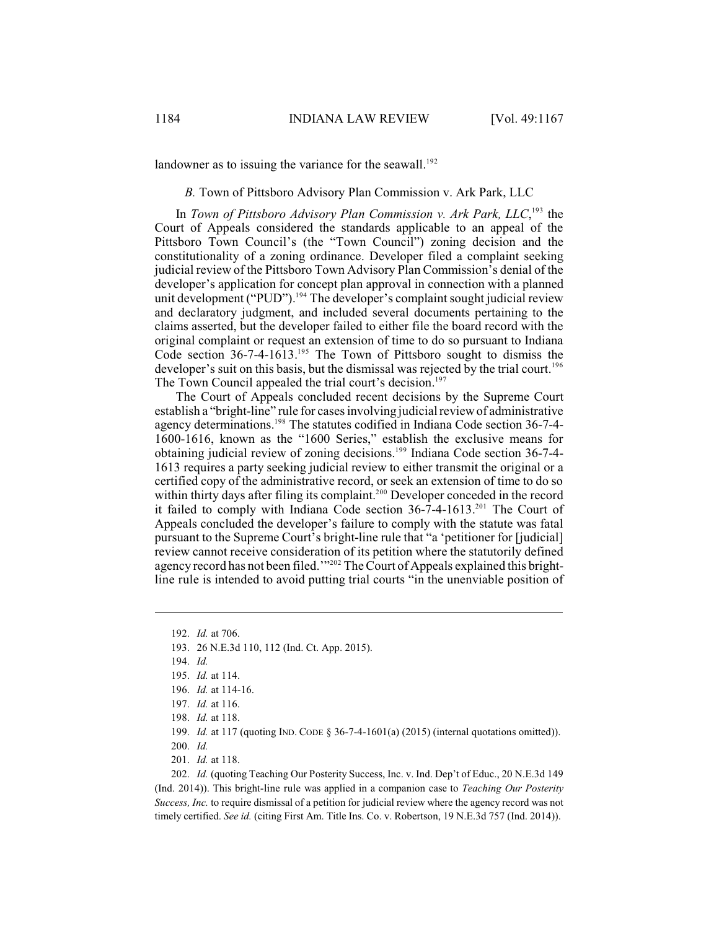landowner as to issuing the variance for the seawall.<sup>192</sup>

*B.* Town of Pittsboro Advisory Plan Commission v. Ark Park, LLC

In *Town of Pittsboro Advisory Plan Commission v. Ark Park, LLC*,<sup>193</sup> the Court of Appeals considered the standards applicable to an appeal of the Pittsboro Town Council's (the "Town Council") zoning decision and the constitutionality of a zoning ordinance. Developer filed a complaint seeking judicial review of the Pittsboro Town Advisory Plan Commission's denial of the developer's application for concept plan approval in connection with a planned unit development ("PUD").<sup>194</sup> The developer's complaint sought judicial review and declaratory judgment, and included several documents pertaining to the claims asserted, but the developer failed to either file the board record with the original complaint or request an extension of time to do so pursuant to Indiana Code section  $36-7-4-1613$ .<sup>195</sup> The Town of Pittsboro sought to dismiss the developer's suit on this basis, but the dismissal was rejected by the trial court.<sup>196</sup> The Town Council appealed the trial court's decision.<sup>197</sup>

The Court of Appeals concluded recent decisions by the Supreme Court establish a "bright-line" rule for cases involving judicial review of administrative agency determinations.<sup>198</sup> The statutes codified in Indiana Code section 36-7-4-1600-1616, known as the "1600 Series," establish the exclusive means for obtaining judicial review of zoning decisions.<sup>199</sup> Indiana Code section 36-7-4-1613 requires a party seeking judicial review to either transmit the original or a certified copy of the administrative record, or seek an extension of time to do so within thirty days after filing its complaint.<sup>200</sup> Developer conceded in the record it failed to comply with Indiana Code section  $36-7-4-1613$ <sup>201</sup> The Court of Appeals concluded the developer's failure to comply with the statute was fatal pursuant to the Supreme Court's bright-line rule that "a 'petitioner for [judicial] review cannot receive consideration of its petition where the statutorily defined agency record has not been filed.'"<sup>202</sup> The Court of Appeals explained this brightline rule is intended to avoid putting trial courts "in the unenviable position of

201. *Id.* at 118.

202. *Id.* (quoting Teaching Our Posterity Success, Inc. v. Ind. Dep't of Educ., 20 N.E.3d 149 (Ind. 2014)). This bright-line rule was applied in a companion case to *Teaching Our Posterity Success, Inc.* to require dismissal of a petition for judicial review where the agency record was not timely certified. *See id.* (citing First Am. Title Ins. Co. v. Robertson, 19 N.E.3d 757 (Ind. 2014)).

<sup>192.</sup> *Id.* at 706.

<sup>193.</sup> 26 N.E.3d 110, 112 (Ind. Ct. App. 2015).

<sup>194.</sup> *Id.*

<sup>195.</sup> *Id.* at 114.

<sup>196.</sup> *Id.* at 114-16.

<sup>197.</sup> *Id.* at 116.

<sup>198.</sup> *Id.* at 118.

<sup>199.</sup> *Id.* at 117 (quoting IND. CODE § 36-7-4-1601(a) (2015) (internal quotations omitted)).

<sup>200.</sup> *Id.*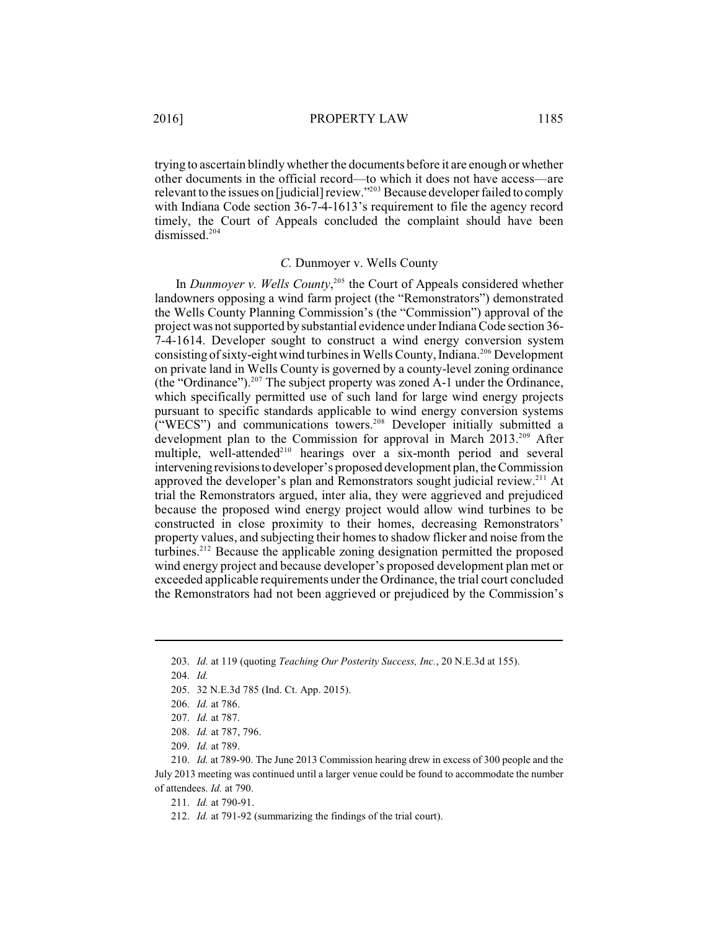trying to ascertain blindly whether the documents before it are enough or whether other documents in the official record—to which it does not have access—are relevant to the issues on [judicial] review."<sup>203</sup> Because developer failed to comply with Indiana Code section 36-7-4-1613's requirement to file the agency record timely, the Court of Appeals concluded the complaint should have been dismissed. 204

#### *C.* Dunmoyer v. Wells County

In *Dunmoyer v. Wells County*,<sup>205</sup> the Court of Appeals considered whether landowners opposing a wind farm project (the "Remonstrators") demonstrated the Wells County Planning Commission's (the "Commission") approval of the project was not supported by substantial evidence under Indiana Code section 36-7-4-1614. Developer sought to construct a wind energy conversion system consisting of sixty-eight wind turbines in Wells County, Indiana.<sup>206</sup> Development on private land in Wells County is governed by a county-level zoning ordinance (the "Ordinance").  $207$  The subject property was zoned A-1 under the Ordinance, which specifically permitted use of such land for large wind energy projects pursuant to specific standards applicable to wind energy conversion systems ("WECS") and communications towers.<sup>208</sup> Developer initially submitted a development plan to the Commission for approval in March 2013.<sup>209</sup> After multiple, well-attended<sup> $210$ </sup> hearings over a six-month period and several intervening revisions to developer's proposed development plan, the Commission approved the developer's plan and Remonstrators sought judicial review.<sup>211</sup> At trial the Remonstrators argued, inter alia, they were aggrieved and prejudiced because the proposed wind energy project would allow wind turbines to be constructed in close proximity to their homes, decreasing Remonstrators' property values, and subjecting their homes to shadow flicker and noise from the turbines.<sup>212</sup> Because the applicable zoning designation permitted the proposed wind energy project and because developer's proposed development plan met or exceeded applicable requirements under the Ordinance, the trial court concluded the Remonstrators had not been aggrieved or prejudiced by the Commission's

211. *Id.* at 790-91.

<sup>203.</sup> *Id.* at 119 (quoting *Teaching Our Posterity Success, Inc.*, 20 N.E.3d at 155).

<sup>204.</sup> *Id.*

<sup>205.</sup> 32 N.E.3d 785 (Ind. Ct. App. 2015).

<sup>206.</sup> *Id.* at 786.

<sup>207.</sup> *Id.* at 787.

<sup>208.</sup> *Id.* at 787, 796.

<sup>209.</sup> *Id.* at 789.

<sup>210.</sup> *Id.* at 789-90. The June 2013 Commission hearing drew in excess of 300 people and the July 2013 meeting was continued until a larger venue could be found to accommodate the number of attendees. *Id.* at 790.

<sup>212.</sup> *Id.* at 791-92 (summarizing the findings of the trial court).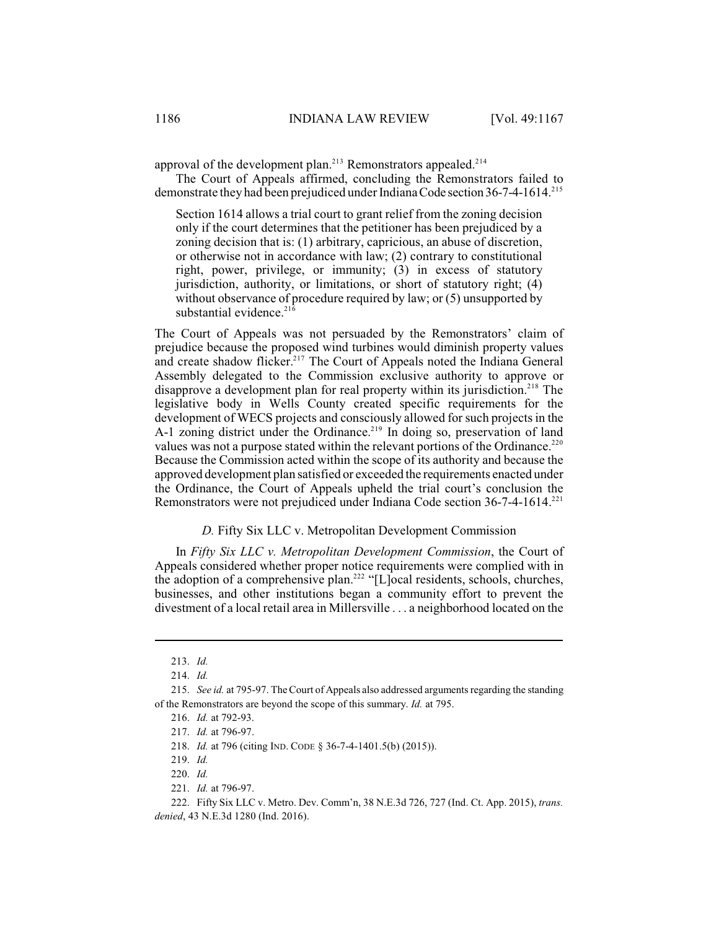approval of the development plan.<sup>213</sup> Remonstrators appealed.<sup>214</sup>

The Court of Appeals affirmed, concluding the Remonstrators failed to demonstrate they had been prejudiced under Indiana Code section 36-7-4-1614.<sup>215</sup>

Section 1614 allows a trial court to grant relief from the zoning decision only if the court determines that the petitioner has been prejudiced by a zoning decision that is: (1) arbitrary, capricious, an abuse of discretion, or otherwise not in accordance with law; (2) contrary to constitutional right, power, privilege, or immunity; (3) in excess of statutory jurisdiction, authority, or limitations, or short of statutory right; (4) without observance of procedure required by law; or (5) unsupported by substantial evidence. $21\overline{6}$ 

The Court of Appeals was not persuaded by the Remonstrators' claim of prejudice because the proposed wind turbines would diminish property values and create shadow flicker.<sup>217</sup> The Court of Appeals noted the Indiana General Assembly delegated to the Commission exclusive authority to approve or disapprove a development plan for real property within its jurisdiction.<sup>218</sup> The legislative body in Wells County created specific requirements for the development of WECS projects and consciously allowed for such projects in the A-1 zoning district under the Ordinance.<sup>219</sup> In doing so, preservation of land values was not a purpose stated within the relevant portions of the Ordinance.<sup>220</sup> Because the Commission acted within the scope of its authority and because the approved development plan satisfied or exceeded the requirements enacted under the Ordinance, the Court of Appeals upheld the trial court's conclusion the Remonstrators were not prejudiced under Indiana Code section 36-7-4-1614. 221

## *D.* Fifty Six LLC v. Metropolitan Development Commission

In *Fifty Six LLC v. Metropolitan Development Commission*, the Court of Appeals considered whether proper notice requirements were complied with in the adoption of a comprehensive plan.<sup>222</sup> "[L]ocal residents, schools, churches, businesses, and other institutions began a community effort to prevent the divestment of a local retail area in Millersville . . . a neighborhood located on the

221. *Id.* at 796-97.

<sup>213.</sup> *Id.*

<sup>214.</sup> *Id.*

<sup>215.</sup> *See id.* at 795-97. The Court of Appeals also addressed arguments regarding the standing of the Remonstrators are beyond the scope of this summary. *Id.* at 795.

<sup>216.</sup> *Id.* at 792-93.

<sup>217.</sup> *Id.* at 796-97.

<sup>218.</sup> *Id.* at 796 (citing IND. CODE § 36-7-4-1401.5(b) (2015)).

<sup>219.</sup> *Id.*

<sup>220.</sup> *Id.*

<sup>222.</sup> Fifty Six LLC v. Metro. Dev. Comm'n, 38 N.E.3d 726, 727 (Ind. Ct. App. 2015), *trans. denied*, 43 N.E.3d 1280 (Ind. 2016).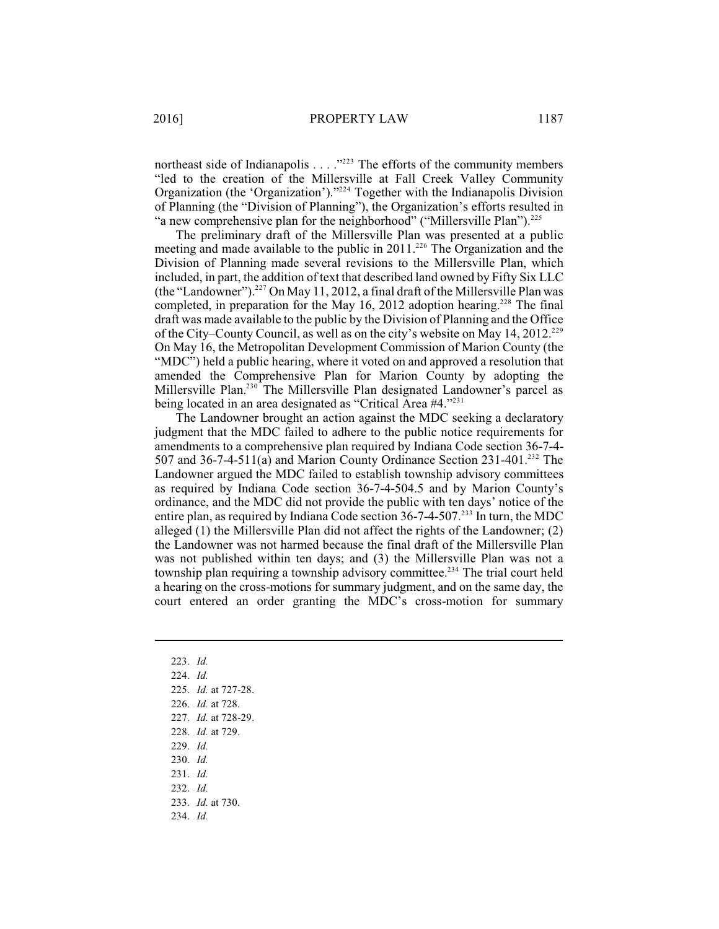northeast side of Indianapolis  $\dots$  ."<sup>223</sup> The efforts of the community members "led to the creation of the Millersville at Fall Creek Valley Community Organization (the 'Organization')."<sup>224</sup> Together with the Indianapolis Division of Planning (the "Division of Planning"), the Organization's efforts resulted in "a new comprehensive plan for the neighborhood" ("Millersville Plan").<sup>225</sup>

The preliminary draft of the Millersville Plan was presented at a public meeting and made available to the public in  $2011$ .<sup>226</sup> The Organization and the Division of Planning made several revisions to the Millersville Plan, which included, in part, the addition of text that described land owned by Fifty Six LLC (the "Landowner").<sup>227</sup> On May 11, 2012, a final draft of the Millersville Plan was completed, in preparation for the May 16, 2012 adoption hearing.<sup>228</sup> The final draft was made available to the public by the Division of Planning and the Office of the City–County Council, as well as on the city's website on May 14, 2012.<sup>229</sup> On May 16, the Metropolitan Development Commission of Marion County (the "MDC") held a public hearing, where it voted on and approved a resolution that amended the Comprehensive Plan for Marion County by adopting the Millersville Plan.<sup>230</sup> The Millersville Plan designated Landowner's parcel as being located in an area designated as "Critical Area #4."<sup>231</sup>

The Landowner brought an action against the MDC seeking a declaratory judgment that the MDC failed to adhere to the public notice requirements for amendments to a comprehensive plan required by Indiana Code section 36-7-4- 507 and 36-7-4-511(a) and Marion County Ordinance Section  $231-401$ .<sup>232</sup> The Landowner argued the MDC failed to establish township advisory committees as required by Indiana Code section 36-7-4-504.5 and by Marion County's ordinance, and the MDC did not provide the public with ten days' notice of the entire plan, as required by Indiana Code section  $36$ -7-4-507.<sup>233</sup> In turn, the MDC alleged (1) the Millersville Plan did not affect the rights of the Landowner; (2) the Landowner was not harmed because the final draft of the Millersville Plan was not published within ten days; and (3) the Millersville Plan was not a township plan requiring a township advisory committee.<sup>234</sup> The trial court held a hearing on the cross-motions for summary judgment, and on the same day, the court entered an order granting the MDC's cross-motion for summary

223. *Id.*  224. *Id.* 225. *Id.* at 727-28. 226. *Id.* at 728. 227. *Id.* at 728-29. 228. *Id.* at 729. 229. *Id.* 230. *Id.* 231. *Id.* 232. *Id.* 233. *Id.* at 730. 234. *Id.*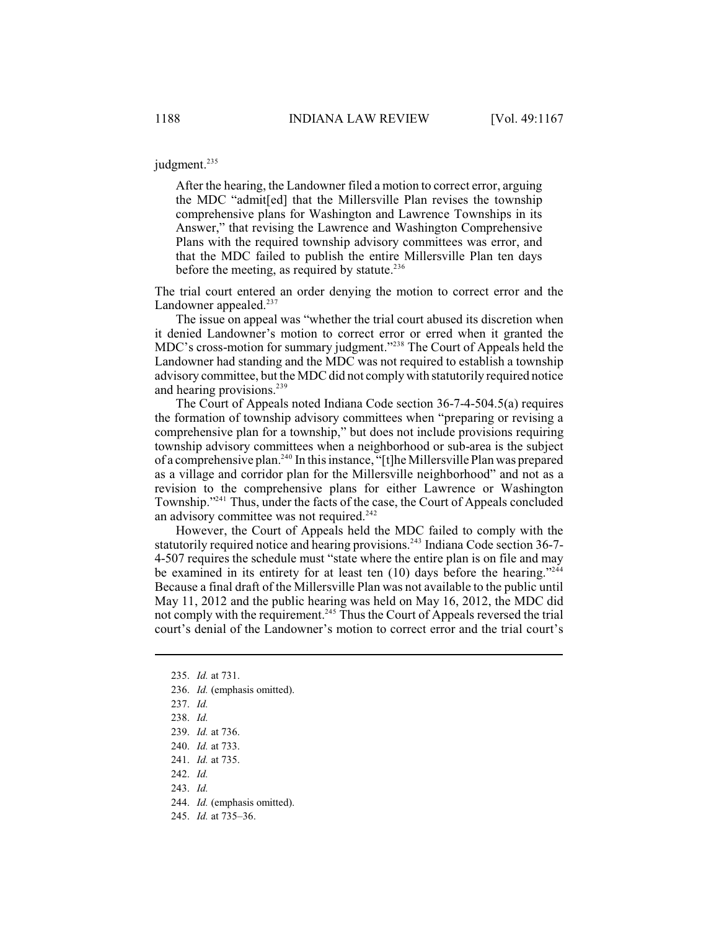judgment. 235

After the hearing, the Landowner filed a motion to correct error, arguing the MDC "admit[ed] that the Millersville Plan revises the township comprehensive plans for Washington and Lawrence Townships in its Answer," that revising the Lawrence and Washington Comprehensive Plans with the required township advisory committees was error, and that the MDC failed to publish the entire Millersville Plan ten days before the meeting, as required by statute.<sup>236</sup>

The trial court entered an order denying the motion to correct error and the Landowner appealed. $237$ 

The issue on appeal was "whether the trial court abused its discretion when it denied Landowner's motion to correct error or erred when it granted the MDC's cross-motion for summary judgment."<sup>238</sup> The Court of Appeals held the Landowner had standing and the MDC was not required to establish a township advisory committee, but the MDC did not comply with statutorily required notice and hearing provisions.<sup>239</sup>

The Court of Appeals noted Indiana Code section 36-7-4-504.5(a) requires the formation of township advisory committees when "preparing or revising a comprehensive plan for a township," but does not include provisions requiring township advisory committees when a neighborhood or sub-area is the subject of a comprehensive plan.<sup>240</sup> In this instance, "[t]he Millersville Plan was prepared as a village and corridor plan for the Millersville neighborhood" and not as a revision to the comprehensive plans for either Lawrence or Washington Township."<sup>241</sup> Thus, under the facts of the case, the Court of Appeals concluded an advisory committee was not required. $242$ 

However, the Court of Appeals held the MDC failed to comply with the statutorily required notice and hearing provisions.<sup>243</sup> Indiana Code section 36-7-4-507 requires the schedule must "state where the entire plan is on file and may be examined in its entirety for at least ten  $(10)$  days before the hearing."<sup>244</sup> Because a final draft of the Millersville Plan was not available to the public until May 11, 2012 and the public hearing was held on May 16, 2012, the MDC did not comply with the requirement.<sup>245</sup> Thus the Court of Appeals reversed the trial court's denial of the Landowner's motion to correct error and the trial court's

- 236. *Id.* (emphasis omitted).
- 237. *Id.*
- 238. *Id.*
- 239. *Id.* at 736.
- 240. *Id.* at 733.
- 241. *Id.* at 735.
- 242. *Id.*
- 
- 243. *Id.*
- 244. *Id.* (emphasis omitted).
- 245. *Id.* at 735–36.

<sup>235.</sup> *Id.* at 731.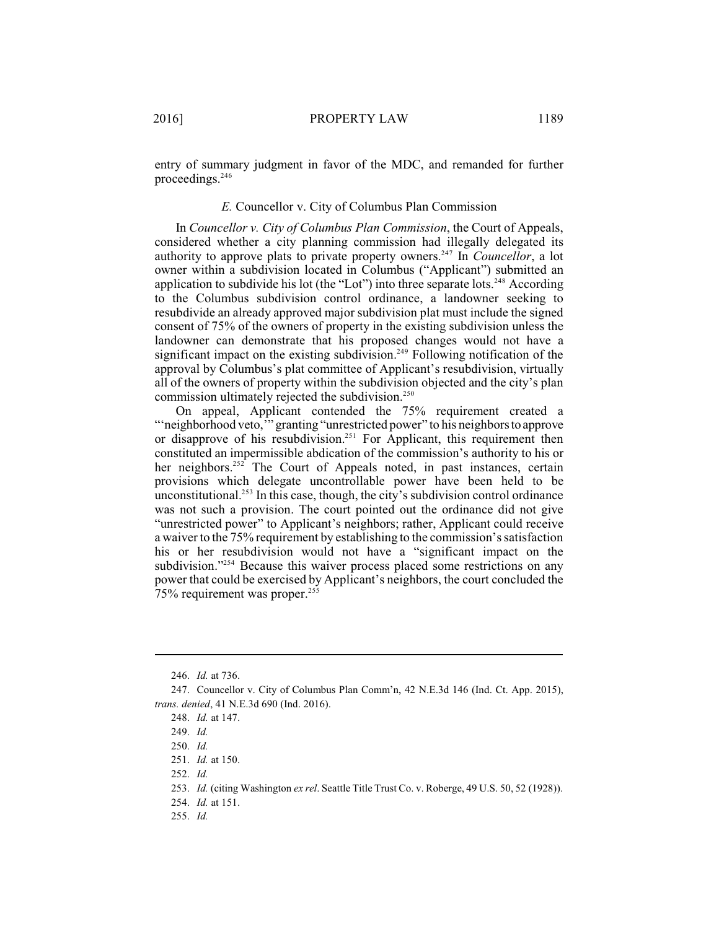entry of summary judgment in favor of the MDC, and remanded for further proceedings.<sup>246</sup>

### *E.* Councellor v. City of Columbus Plan Commission

In *Councellor v. City of Columbus Plan Commission*, the Court of Appeals, considered whether a city planning commission had illegally delegated its authority to approve plats to private property owners.<sup>247</sup> In *Councellor*, a lot owner within a subdivision located in Columbus ("Applicant") submitted an application to subdivide his lot (the "Lot") into three separate lots.<sup>248</sup> According to the Columbus subdivision control ordinance, a landowner seeking to resubdivide an already approved major subdivision plat must include the signed consent of 75% of the owners of property in the existing subdivision unless the landowner can demonstrate that his proposed changes would not have a significant impact on the existing subdivision.<sup>249</sup> Following notification of the approval by Columbus's plat committee of Applicant's resubdivision, virtually all of the owners of property within the subdivision objected and the city's plan commission ultimately rejected the subdivision.<sup>250</sup>

On appeal, Applicant contended the 75% requirement created a ""neighborhood veto," granting "unrestricted power" to his neighbors to approve or disapprove of his resubdivision.<sup>251</sup> For Applicant, this requirement then constituted an impermissible abdication of the commission's authority to his or her neighbors.<sup>252</sup> The Court of Appeals noted, in past instances, certain provisions which delegate uncontrollable power have been held to be unconstitutional.<sup>253</sup> In this case, though, the city's subdivision control ordinance was not such a provision. The court pointed out the ordinance did not give "unrestricted power" to Applicant's neighbors; rather, Applicant could receive a waiver to the 75% requirement by establishing to the commission's satisfaction his or her resubdivision would not have a "significant impact on the subdivision."<sup>254</sup> Because this waiver process placed some restrictions on any power that could be exercised by Applicant's neighbors, the court concluded the 75% requirement was proper.<sup>255</sup>

252. *Id.*

- 254. *Id.* at 151.
- 255. *Id.*

<sup>246.</sup> *Id.* at 736.

<sup>247.</sup> Councellor v. City of Columbus Plan Comm'n, 42 N.E.3d 146 (Ind. Ct. App. 2015), *trans. denied*, 41 N.E.3d 690 (Ind. 2016).

<sup>248.</sup> *Id.* at 147.

<sup>249.</sup> *Id.*

<sup>250.</sup> *Id.*

<sup>251.</sup> *Id.* at 150.

<sup>253.</sup> *Id.* (citing Washington *ex rel*. Seattle Title Trust Co. v. Roberge, 49 U.S. 50, 52 (1928)).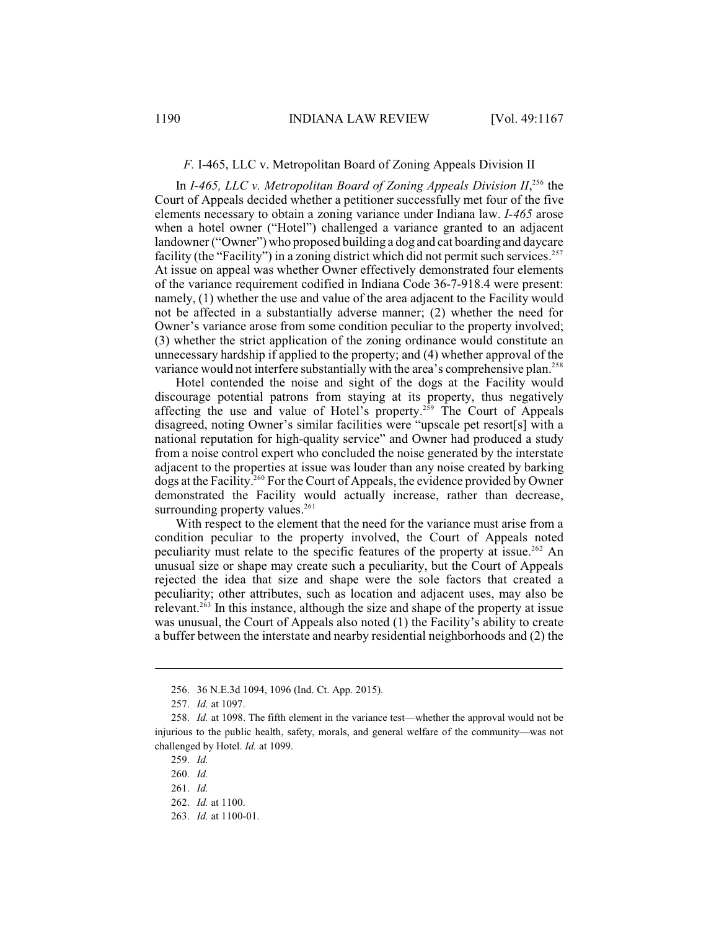## *F.* I-465, LLC v. Metropolitan Board of Zoning Appeals Division II

In *I-465, LLC v. Metropolitan Board of Zoning Appeals Division*  $II^{256}$ *,* the Court of Appeals decided whether a petitioner successfully met four of the five elements necessary to obtain a zoning variance under Indiana law. *I-465* arose when a hotel owner ("Hotel") challenged a variance granted to an adjacent landowner ("Owner") who proposed building a dog and cat boarding and daycare facility (the "Facility") in a zoning district which did not permit such services.<sup>257</sup> At issue on appeal was whether Owner effectively demonstrated four elements of the variance requirement codified in Indiana Code 36-7-918.4 were present: namely, (1) whether the use and value of the area adjacent to the Facility would not be affected in a substantially adverse manner; (2) whether the need for Owner's variance arose from some condition peculiar to the property involved; (3) whether the strict application of the zoning ordinance would constitute an unnecessary hardship if applied to the property; and (4) whether approval of the variance would not interfere substantially with the area's comprehensive plan.<sup>258</sup>

Hotel contended the noise and sight of the dogs at the Facility would discourage potential patrons from staying at its property, thus negatively affecting the use and value of Hotel's property.<sup> $259$ </sup> The Court of Appeals disagreed, noting Owner's similar facilities were "upscale pet resort[s] with a national reputation for high-quality service" and Owner had produced a study from a noise control expert who concluded the noise generated by the interstate adjacent to the properties at issue was louder than any noise created by barking dogs at the Facility.<sup>260</sup> For the Court of Appeals, the evidence provided by Owner demonstrated the Facility would actually increase, rather than decrease, surrounding property values.<sup>261</sup>

With respect to the element that the need for the variance must arise from a condition peculiar to the property involved, the Court of Appeals noted peculiarity must relate to the specific features of the property at issue.<sup>262</sup> An unusual size or shape may create such a peculiarity, but the Court of Appeals rejected the idea that size and shape were the sole factors that created a peculiarity; other attributes, such as location and adjacent uses, may also be relevant.<sup> $263$ </sup> In this instance, although the size and shape of the property at issue was unusual, the Court of Appeals also noted (1) the Facility's ability to create a buffer between the interstate and nearby residential neighborhoods and (2) the

<sup>256.</sup> 36 N.E.3d 1094, 1096 (Ind. Ct. App. 2015).

<sup>257.</sup> *Id.* at 1097.

<sup>258.</sup> *Id.* at 1098. The fifth element in the variance test—whether the approval would not be injurious to the public health, safety, morals, and general welfare of the community—was not challenged by Hotel. *Id.* at 1099.

<sup>259.</sup> *Id.*

<sup>260.</sup> *Id.*

<sup>261.</sup> *Id.*

<sup>262.</sup> *Id.* at 1100.

<sup>263.</sup> *Id.* at 1100-01.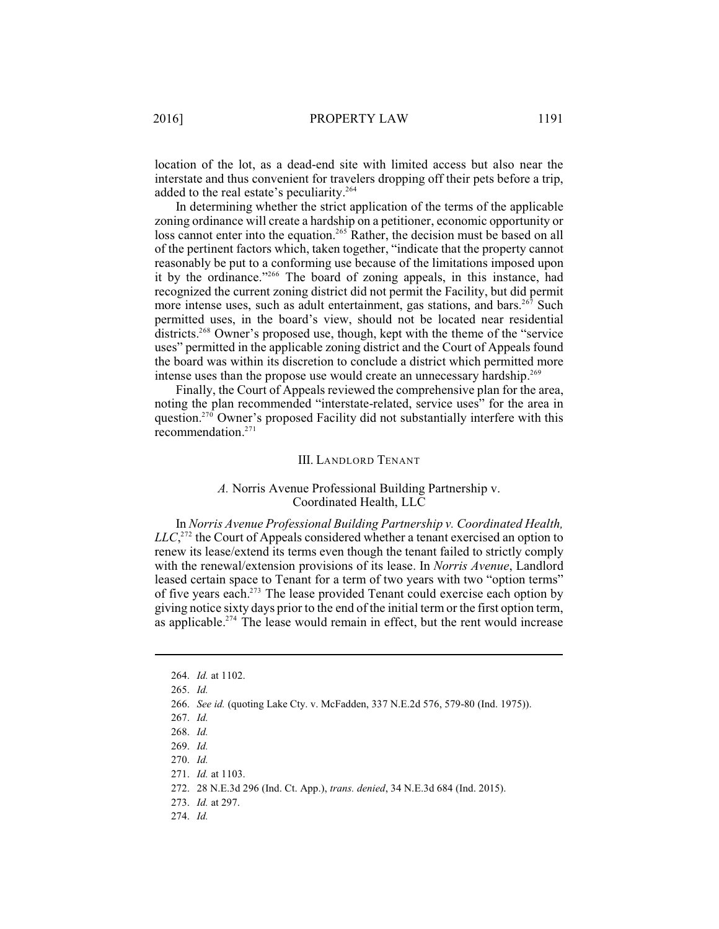location of the lot, as a dead-end site with limited access but also near the interstate and thus convenient for travelers dropping off their pets before a trip, added to the real estate's peculiarity.<sup>264</sup>

In determining whether the strict application of the terms of the applicable zoning ordinance will create a hardship on a petitioner, economic opportunity or loss cannot enter into the equation.<sup>265</sup> Rather, the decision must be based on all of the pertinent factors which, taken together, "indicate that the property cannot reasonably be put to a conforming use because of the limitations imposed upon it by the ordinance."<sup>266</sup> The board of zoning appeals, in this instance, had recognized the current zoning district did not permit the Facility, but did permit more intense uses, such as adult entertainment, gas stations, and bars.  $267$  Such permitted uses, in the board's view, should not be located near residential districts.<sup> $268$ </sup> Owner's proposed use, though, kept with the theme of the "service" uses" permitted in the applicable zoning district and the Court of Appeals found the board was within its discretion to conclude a district which permitted more intense uses than the propose use would create an unnecessary hardship.<sup>269</sup>

Finally, the Court of Appeals reviewed the comprehensive plan for the area, noting the plan recommended "interstate-related, service uses" for the area in question.<sup>270</sup> Owner's proposed Facility did not substantially interfere with this recommendation. 271

#### III. LANDLORD TENANT

## *A.* Norris Avenue Professional Building Partnership v. Coordinated Health, LLC

In *Norris Avenue Professional Building Partnership v. Coordinated Health,*  $LLC<sub>1</sub><sup>272</sup>$  the Court of Appeals considered whether a tenant exercised an option to renew its lease/extend its terms even though the tenant failed to strictly comply with the renewal/extension provisions of its lease. In *Norris Avenue*, Landlord leased certain space to Tenant for a term of two years with two "option terms" of five years each.<sup>273</sup> The lease provided Tenant could exercise each option by giving notice sixty days prior to the end of the initial term or the first option term, as applicable.<sup> $274$ </sup> The lease would remain in effect, but the rent would increase

<sup>264.</sup> *Id.* at 1102.

<sup>265.</sup> *Id.*

<sup>266.</sup> *See id.* (quoting Lake Cty. v. McFadden, 337 N.E.2d 576, 579-80 (Ind. 1975)).

<sup>267.</sup> *Id.* 

<sup>268.</sup> *Id.*

<sup>269.</sup> *Id.*

<sup>270.</sup> *Id.*

<sup>271.</sup> *Id.* at 1103.

<sup>272.</sup> 28 N.E.3d 296 (Ind. Ct. App.), *trans. denied*, 34 N.E.3d 684 (Ind. 2015).

<sup>273.</sup> *Id.* at 297.

<sup>274.</sup> *Id.*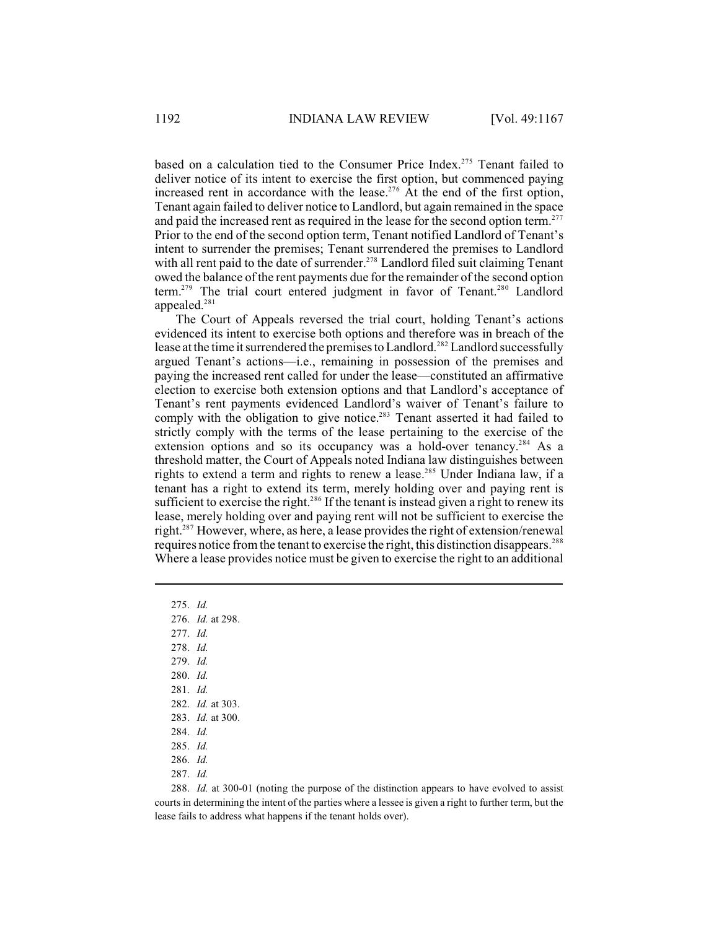based on a calculation tied to the Consumer Price Index.<sup>275</sup> Tenant failed to deliver notice of its intent to exercise the first option, but commenced paying increased rent in accordance with the lease.<sup>276</sup> At the end of the first option, Tenant again failed to deliver notice to Landlord, but again remained in the space and paid the increased rent as required in the lease for the second option term.<sup>277</sup> Prior to the end of the second option term, Tenant notified Landlord of Tenant's intent to surrender the premises; Tenant surrendered the premises to Landlord with all rent paid to the date of surrender.<sup> $278$ </sup> Landlord filed suit claiming Tenant owed the balance of the rent payments due for the remainder of the second option term.<sup>279</sup> The trial court entered judgment in favor of Tenant.<sup>280</sup> Landlord appealed.<sup>281</sup>

The Court of Appeals reversed the trial court, holding Tenant's actions evidenced its intent to exercise both options and therefore was in breach of the lease at the time it surrendered the premises to Landlord.<sup>282</sup> Landlord successfully argued Tenant's actions—i.e., remaining in possession of the premises and paying the increased rent called for under the lease—constituted an affirmative election to exercise both extension options and that Landlord's acceptance of Tenant's rent payments evidenced Landlord's waiver of Tenant's failure to comply with the obligation to give notice.<sup>283</sup> Tenant asserted it had failed to strictly comply with the terms of the lease pertaining to the exercise of the extension options and so its occupancy was a hold-over tenancy.<sup>284</sup> As a threshold matter, the Court of Appeals noted Indiana law distinguishes between rights to extend a term and rights to renew a lease.<sup>285</sup> Under Indiana law, if a tenant has a right to extend its term, merely holding over and paying rent is sufficient to exercise the right.<sup>286</sup> If the tenant is instead given a right to renew its lease, merely holding over and paying rent will not be sufficient to exercise the right. $287$  However, where, as here, a lease provides the right of extension/renewal requires notice from the tenant to exercise the right, this distinction disappears.<sup>288</sup> Where a lease provides notice must be given to exercise the right to an additional

- 276. *Id.* at 298.
- 277. *Id.*
- 278. *Id.*
- 279. *Id.*
- 280. *Id.*
- 281. *Id.*
- 282. *Id.* at 303.
- 283. *Id.* at 300.
- 284. *Id.*
- 285. *Id.*
- 286. *Id.*
- 287. *Id.*

288. *Id.* at 300-01 (noting the purpose of the distinction appears to have evolved to assist courts in determining the intent of the parties where a lessee is given a right to further term, but the lease fails to address what happens if the tenant holds over).

<sup>275.</sup> *Id.*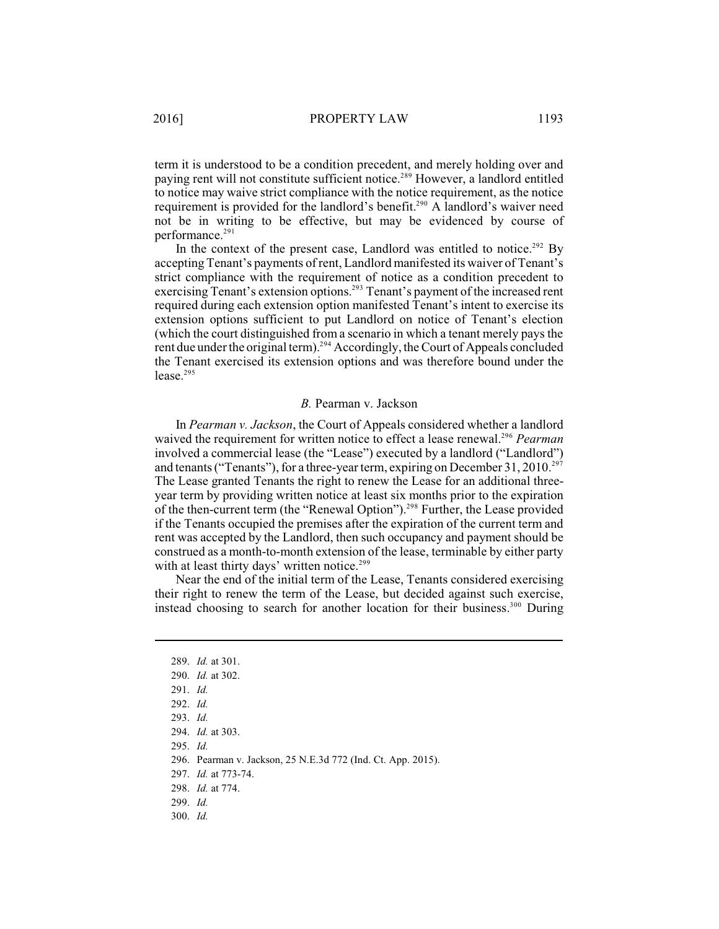term it is understood to be a condition precedent, and merely holding over and paying rent will not constitute sufficient notice.<sup>289</sup> However, a landlord entitled to notice may waive strict compliance with the notice requirement, as the notice requirement is provided for the landlord's benefit.<sup>290</sup> A landlord's waiver need not be in writing to be effective, but may be evidenced by course of performance.<sup>291</sup>

In the context of the present case, Landlord was entitled to notice.<sup>292</sup> By accepting Tenant's payments of rent, Landlord manifested its waiver of Tenant's strict compliance with the requirement of notice as a condition precedent to exercising Tenant's extension options.<sup>293</sup> Tenant's payment of the increased rent required during each extension option manifested Tenant's intent to exercise its extension options sufficient to put Landlord on notice of Tenant's election (which the court distinguished from a scenario in which a tenant merely pays the rent due under the original term).<sup>294</sup> Accordingly, the Court of Appeals concluded the Tenant exercised its extension options and was therefore bound under the lease. 295

#### *B.* Pearman v. Jackson

In *Pearman v. Jackson*, the Court of Appeals considered whether a landlord waived the requirement for written notice to effect a lease renewal.<sup>296</sup> Pearman involved a commercial lease (the "Lease") executed by a landlord ("Landlord") and tenants ("Tenants"), for a three-year term, expiring on December 31, 2010.<sup>297</sup> The Lease granted Tenants the right to renew the Lease for an additional threeyear term by providing written notice at least six months prior to the expiration of the then-current term (the "Renewal Option").<sup>298</sup> Further, the Lease provided if the Tenants occupied the premises after the expiration of the current term and rent was accepted by the Landlord, then such occupancy and payment should be construed as a month-to-month extension of the lease, terminable by either party with at least thirty days' written notice.<sup>299</sup>

Near the end of the initial term of the Lease, Tenants considered exercising their right to renew the term of the Lease, but decided against such exercise, instead choosing to search for another location for their business. $300$  During

295. *Id.*

296. Pearman v. Jackson, 25 N.E.3d 772 (Ind. Ct. App. 2015).

297. *Id.* at 773-74.

<sup>289.</sup> *Id.* at 301.

<sup>290.</sup> *Id.* at 302.

<sup>291.</sup> *Id.*

<sup>292.</sup> *Id.*

<sup>293.</sup> *Id.*

<sup>294.</sup> *Id.* at 303.

<sup>298.</sup> *Id.* at 774.

<sup>299.</sup> *Id.*

<sup>300.</sup> *Id.*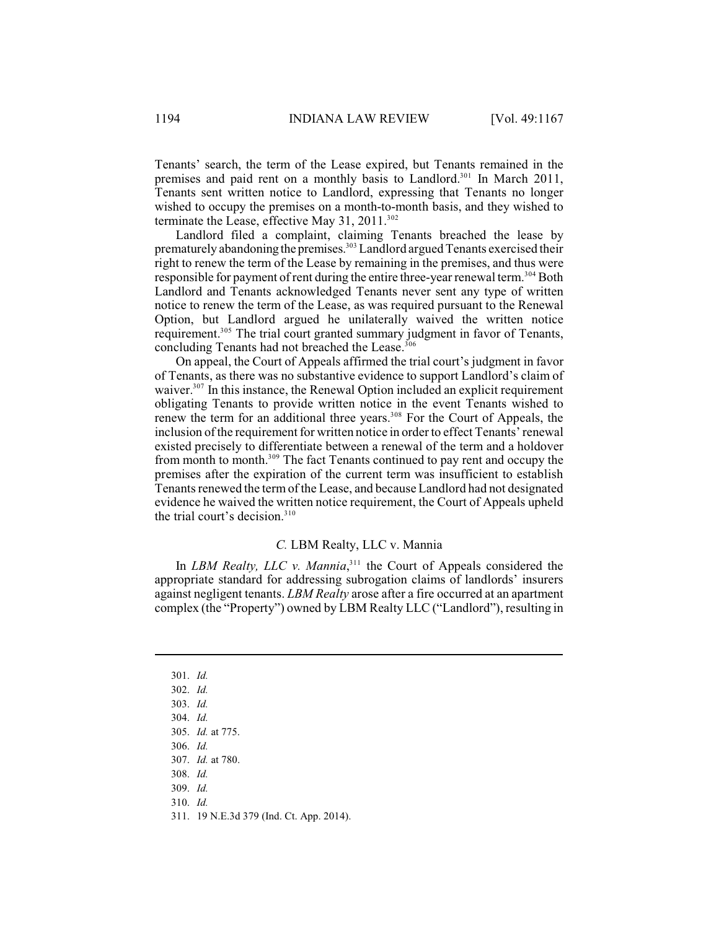Tenants' search, the term of the Lease expired, but Tenants remained in the premises and paid rent on a monthly basis to Landlord.<sup>301</sup> In March 2011, Tenants sent written notice to Landlord, expressing that Tenants no longer wished to occupy the premises on a month-to-month basis, and they wished to terminate the Lease, effective May 31, 2011. $302$ 

Landlord filed a complaint, claiming Tenants breached the lease by prematurely abandoning the premises.<sup>303</sup> Landlord argued Tenants exercised their right to renew the term of the Lease by remaining in the premises, and thus were responsible for payment of rent during the entire three-year renewal term.<sup>304</sup> Both Landlord and Tenants acknowledged Tenants never sent any type of written notice to renew the term of the Lease, as was required pursuant to the Renewal Option, but Landlord argued he unilaterally waived the written notice requirement.<sup>305</sup> The trial court granted summary judgment in favor of Tenants, concluding Tenants had not breached the Lease. 306

On appeal, the Court of Appeals affirmed the trial court's judgment in favor of Tenants, as there was no substantive evidence to support Landlord's claim of waiver.<sup>307</sup> In this instance, the Renewal Option included an explicit requirement obligating Tenants to provide written notice in the event Tenants wished to renew the term for an additional three years.<sup>308</sup> For the Court of Appeals, the inclusion of the requirement for written notice in order to effect Tenants' renewal existed precisely to differentiate between a renewal of the term and a holdover from month to month.<sup>309</sup> The fact Tenants continued to pay rent and occupy the premises after the expiration of the current term was insufficient to establish Tenants renewed the term of the Lease, and because Landlord had not designated evidence he waived the written notice requirement, the Court of Appeals upheld the trial court's decision.<sup>310</sup>

### *C.* LBM Realty, LLC v. Mannia

In *LBM Realty, LLC v. Mannia*<sup>311</sup>, the Court of Appeals considered the appropriate standard for addressing subrogation claims of landlords' insurers against negligent tenants. *LBM Realty* arose after a fire occurred at an apartment complex (the "Property") owned by LBM Realty LLC ("Landlord"), resulting in

<sup>301.</sup> *Id.*

<sup>302.</sup> *Id.*

<sup>303.</sup> *Id.*

<sup>304.</sup> *Id.*

<sup>305.</sup> *Id.* at 775.

<sup>306.</sup> *Id.*

<sup>307.</sup> *Id.* at 780.

<sup>308.</sup> *Id.*

<sup>309.</sup> *Id.*

<sup>310.</sup> *Id.*

<sup>311.</sup> 19 N.E.3d 379 (Ind. Ct. App. 2014).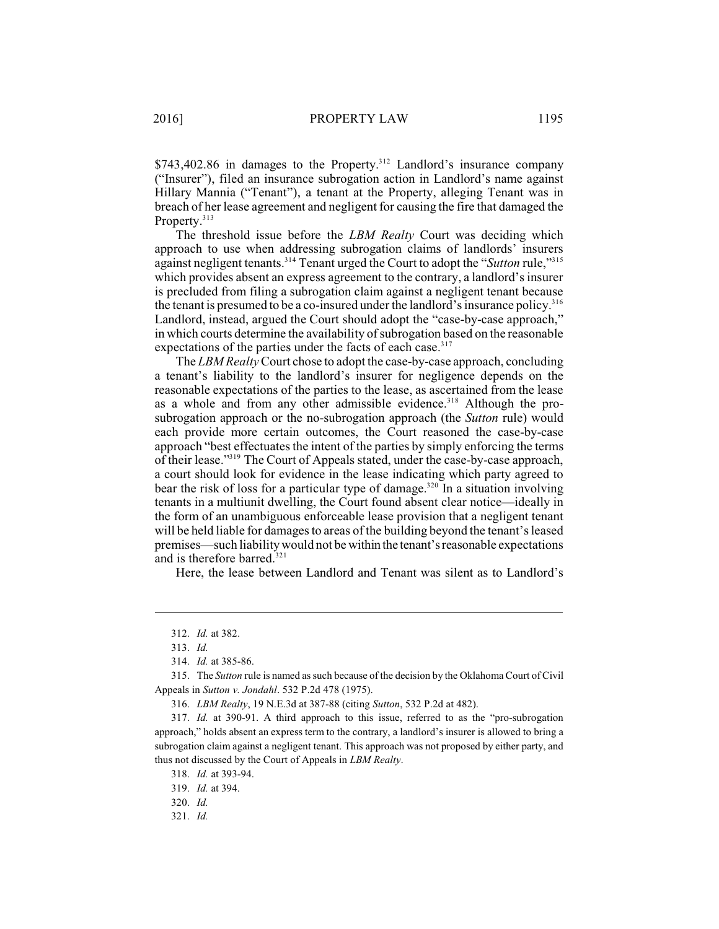$$743,402.86$  in damages to the Property.<sup>312</sup> Landlord's insurance company ("Insurer"), filed an insurance subrogation action in Landlord's name against Hillary Mannia ("Tenant"), a tenant at the Property, alleging Tenant was in breach of her lease agreement and negligent for causing the fire that damaged the Property.<sup>313</sup>

The threshold issue before the *LBM Realty* Court was deciding which approach to use when addressing subrogation claims of landlords' insurers against negligent tenants.<sup>314</sup> Tenant urged the Court to adopt the "*Sutton* rule,"<sup>315</sup> which provides absent an express agreement to the contrary, a landlord's insurer is precluded from filing a subrogation claim against a negligent tenant because the tenant is presumed to be a co-insured under the landlord's insurance policy.<sup>316</sup> Landlord, instead, argued the Court should adopt the "case-by-case approach," in which courts determine the availability of subrogation based on the reasonable expectations of the parties under the facts of each case.<sup>317</sup>

The *LBM Realty*Court chose to adopt the case-by-case approach, concluding a tenant's liability to the landlord's insurer for negligence depends on the reasonable expectations of the parties to the lease, as ascertained from the lease as a whole and from any other admissible evidence.<sup>318</sup> Although the prosubrogation approach or the no-subrogation approach (the *Sutton* rule) would each provide more certain outcomes, the Court reasoned the case-by-case approach "best effectuates the intent of the parties by simply enforcing the terms of their lease."<sup>319</sup> The Court of Appeals stated, under the case-by-case approach, a court should look for evidence in the lease indicating which party agreed to bear the risk of loss for a particular type of damage.<sup>320</sup> In a situation involving tenants in a multiunit dwelling, the Court found absent clear notice—ideally in the form of an unambiguous enforceable lease provision that a negligent tenant will be held liable for damages to areas of the building beyond the tenant's leased premises—such liability would not be within the tenant'sreasonable expectations and is therefore barred.<sup>321</sup>

Here, the lease between Landlord and Tenant was silent as to Landlord's

<sup>312.</sup> *Id.* at 382.

<sup>313.</sup> *Id.*

<sup>314.</sup> *Id.* at 385-86.

<sup>315.</sup> The *Sutton* rule is named as such because of the decision by the Oklahoma Court of Civil Appeals in *Sutton v. Jondahl*. 532 P.2d 478 (1975).

<sup>316.</sup> *LBM Realty*, 19 N.E.3d at 387-88 (citing *Sutton*, 532 P.2d at 482).

<sup>317.</sup> *Id.* at 390-91. A third approach to this issue, referred to as the "pro-subrogation approach," holds absent an express term to the contrary, a landlord's insurer is allowed to bring a subrogation claim against a negligent tenant. This approach was not proposed by either party, and thus not discussed by the Court of Appeals in *LBM Realty*.

<sup>318.</sup> *Id.* at 393-94.

<sup>319.</sup> *Id.* at 394.

<sup>320.</sup> *Id.*

<sup>321.</sup> *Id.*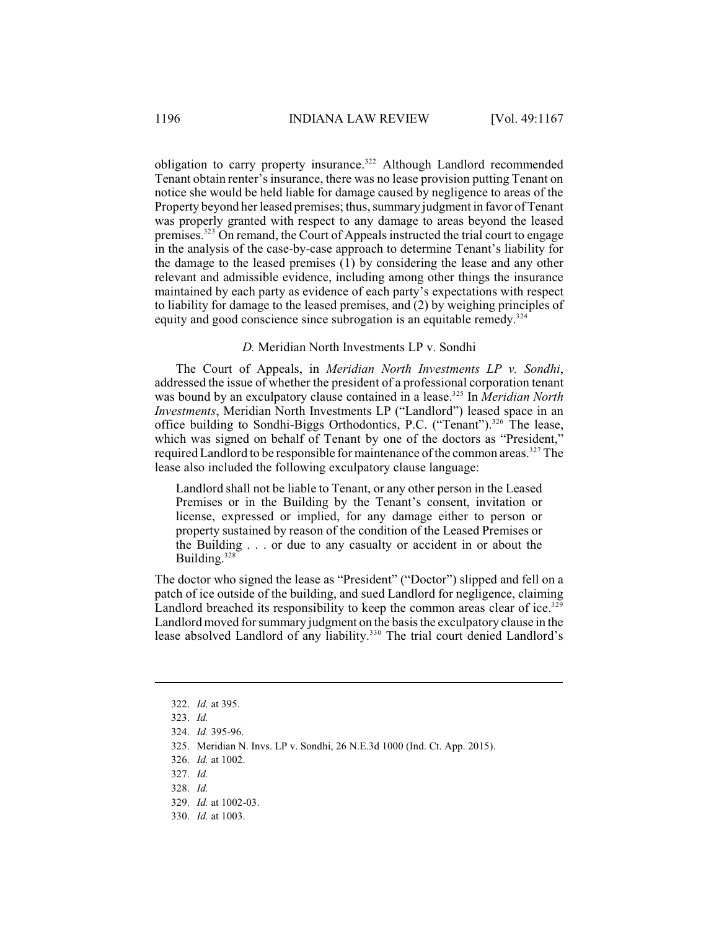obligation to carry property insurance.<sup>322</sup> Although Landlord recommended Tenant obtain renter's insurance, there was no lease provision putting Tenant on notice she would be held liable for damage caused by negligence to areas of the Property beyond her leased premises; thus, summary judgment in favor of Tenant was properly granted with respect to any damage to areas beyond the leased premises.<sup>323</sup> On remand, the Court of Appeals instructed the trial court to engage in the analysis of the case-by-case approach to determine Tenant's liability for the damage to the leased premises (1) by considering the lease and any other relevant and admissible evidence, including among other things the insurance maintained by each party as evidence of each party's expectations with respect to liability for damage to the leased premises, and (2) by weighing principles of equity and good conscience since subrogation is an equitable remedy.<sup>324</sup>

## *D.* Meridian North Investments LP v. Sondhi

The Court of Appeals, in *Meridian North Investments LP v. Sondhi*, addressed the issue of whether the president of a professional corporation tenant was bound by an exculpatory clause contained in a lease.<sup>325</sup> In *Meridian North Investments*, Meridian North Investments LP ("Landlord") leased space in an office building to Sondhi-Biggs Orthodontics, P.C. ("Tenant").<sup>326</sup> The lease, which was signed on behalf of Tenant by one of the doctors as "President," required Landlord to be responsible for maintenance of the common areas.<sup>327</sup> The lease also included the following exculpatory clause language:

Landlord shall not be liable to Tenant, or any other person in the Leased Premises or in the Building by the Tenant's consent, invitation or license, expressed or implied, for any damage either to person or property sustained by reason of the condition of the Leased Premises or the Building . . . or due to any casualty or accident in or about the Building.<sup>328</sup>

The doctor who signed the lease as "President" ("Doctor") slipped and fell on a patch of ice outside of the building, and sued Landlord for negligence, claiming Landlord breached its responsibility to keep the common areas clear of ice.<sup>329</sup> Landlord moved for summary judgment on the basis the exculpatory clause in the lease absolved Landlord of any liability.<sup>330</sup> The trial court denied Landlord's

<sup>322.</sup> *Id.* at 395.

<sup>323.</sup> *Id.*

<sup>324.</sup> *Id.* 395-96.

<sup>325.</sup> Meridian N. Invs. LP v. Sondhi, 26 N.E.3d 1000 (Ind. Ct. App. 2015).

<sup>326.</sup> *Id.* at 1002.

<sup>327.</sup> *Id.*

<sup>328.</sup> *Id.*

<sup>329.</sup> *Id.* at 1002-03.

<sup>330.</sup> *Id.* at 1003.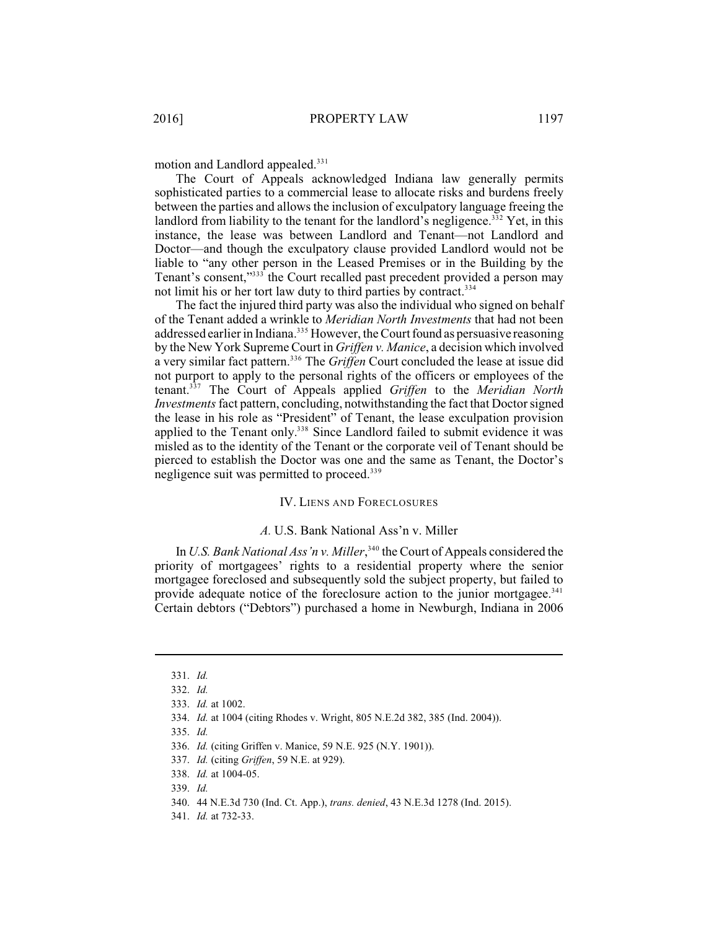motion and Landlord appealed.<sup>331</sup>

The Court of Appeals acknowledged Indiana law generally permits sophisticated parties to a commercial lease to allocate risks and burdens freely between the parties and allows the inclusion of exculpatory language freeing the landlord from liability to the tenant for the landlord's negligence.<sup>332</sup> Yet, in this instance, the lease was between Landlord and Tenant—not Landlord and Doctor—and though the exculpatory clause provided Landlord would not be liable to "any other person in the Leased Premises or in the Building by the Tenant's consent,"<sup>3333</sup> the Court recalled past precedent provided a person may not limit his or her tort law duty to third parties by contract. 334

The fact the injured third party was also the individual who signed on behalf of the Tenant added a wrinkle to *Meridian North Investments* that had not been addressed earlier in Indiana.<sup>335</sup> However, the Court found as persuasive reasoning by the New York Supreme Court in *Griffen v. Manice*, a decision which involved a very similar fact pattern.<sup>336</sup> The *Griffen* Court concluded the lease at issue did not purport to apply to the personal rights of the officers or employees of the tenant.<sup>337</sup> The Court of Appeals applied *Griffen* to the *Meridian North Investments*fact pattern, concluding, notwithstanding the fact that Doctor signed the lease in his role as "President" of Tenant, the lease exculpation provision applied to the Tenant only.<sup>338</sup> Since Landlord failed to submit evidence it was misled as to the identity of the Tenant or the corporate veil of Tenant should be pierced to establish the Doctor was one and the same as Tenant, the Doctor's negligence suit was permitted to proceed.<sup>339</sup>

### IV. LIENS AND FORECLOSURES

#### *A.* U.S. Bank National Ass'n v. Miller

In *U.S. Bank National Ass'n v. Miller*,<sup> $340$ </sup> the Court of Appeals considered the priority of mortgagees' rights to a residential property where the senior mortgagee foreclosed and subsequently sold the subject property, but failed to provide adequate notice of the foreclosure action to the junior mortgagee.<sup>341</sup> Certain debtors ("Debtors") purchased a home in Newburgh, Indiana in 2006

<sup>331.</sup> *Id.*

<sup>332.</sup> *Id.*

<sup>333.</sup> *Id.* at 1002.

<sup>334.</sup> *Id.* at 1004 (citing Rhodes v. Wright, 805 N.E.2d 382, 385 (Ind. 2004)).

<sup>335.</sup> *Id.*

<sup>336.</sup> *Id.* (citing Griffen v. Manice, 59 N.E. 925 (N.Y. 1901)).

<sup>337.</sup> *Id.* (citing *Griffen*, 59 N.E. at 929).

<sup>338.</sup> *Id.* at 1004-05.

<sup>339.</sup> *Id.*

<sup>340.</sup> 44 N.E.3d 730 (Ind. Ct. App.), *trans. denied*, 43 N.E.3d 1278 (Ind. 2015).

<sup>341.</sup> *Id.* at 732-33.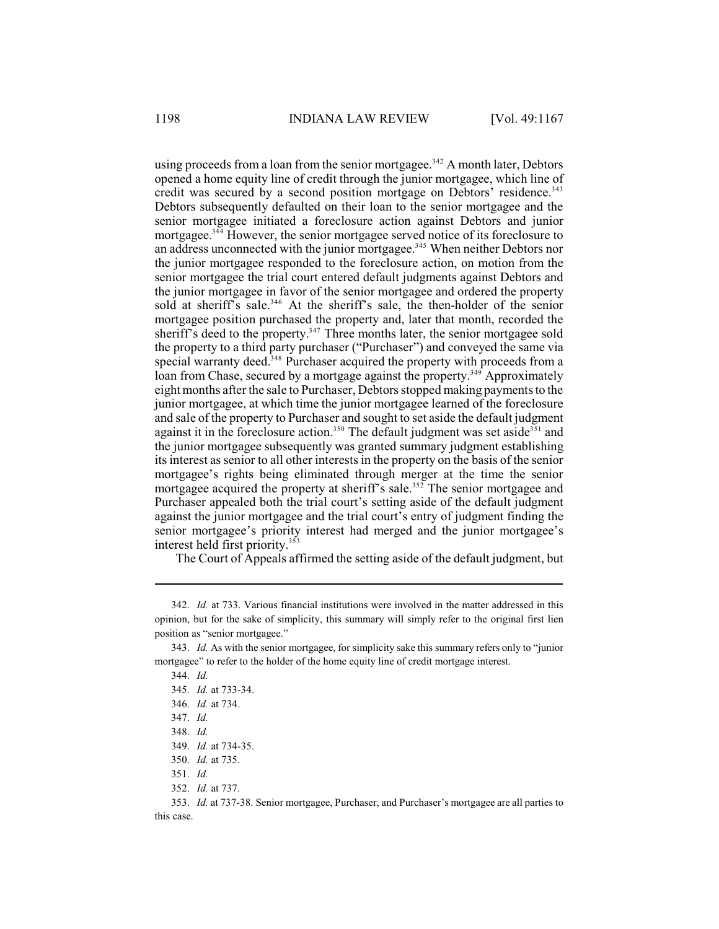using proceeds from a loan from the senior mortgages.<sup> $342$ </sup> A month later, Debtors opened a home equity line of credit through the junior mortgagee, which line of credit was secured by a second position mortgage on Debtors' residence.<sup>343</sup> Debtors subsequently defaulted on their loan to the senior mortgagee and the senior mortgagee initiated a foreclosure action against Debtors and junior mortgagee.<sup> $344$ </sup> However, the senior mortgagee served notice of its foreclosure to an address unconnected with the junior mortgagee.<sup>345</sup> When neither Debtors nor the junior mortgagee responded to the foreclosure action, on motion from the senior mortgagee the trial court entered default judgments against Debtors and the junior mortgagee in favor of the senior mortgagee and ordered the property sold at sheriff's sale.<sup>346</sup> At the sheriff's sale, the then-holder of the senior mortgagee position purchased the property and, later that month, recorded the sheriff's deed to the property.<sup>347</sup> Three months later, the senior mortgagee sold the property to a third party purchaser ("Purchaser") and conveyed the same via special warranty deed.<sup>348</sup> Purchaser acquired the property with proceeds from a loan from Chase, secured by a mortgage against the property.<sup>349</sup> Approximately eight months after the sale to Purchaser, Debtorsstopped making payments to the junior mortgagee, at which time the junior mortgagee learned of the foreclosure and sale of the property to Purchaser and sought to set aside the default judgment against it in the foreclosure action.<sup>350</sup> The default judgment was set aside<sup>351</sup> and the junior mortgagee subsequently was granted summary judgment establishing its interest as senior to all other interests in the property on the basis of the senior mortgagee's rights being eliminated through merger at the time the senior mortgagee acquired the property at sheriff's sale.<sup>352</sup> The senior mortgagee and Purchaser appealed both the trial court's setting aside of the default judgment against the junior mortgagee and the trial court's entry of judgment finding the senior mortgagee's priority interest had merged and the junior mortgagee's interest held first priority. 353

The Court of Appeals affirmed the setting aside of the default judgment, but

<sup>342.</sup> *Id.* at 733. Various financial institutions were involved in the matter addressed in this opinion, but for the sake of simplicity, this summary will simply refer to the original first lien position as "senior mortgagee."

<sup>343.</sup> *Id.* As with the senior mortgagee, for simplicity sake this summary refers only to "junior mortgagee" to refer to the holder of the home equity line of credit mortgage interest.

<sup>344.</sup> *Id.*

<sup>345.</sup> *Id.* at 733-34.

<sup>346.</sup> *Id.* at 734.

<sup>347.</sup> *Id.*

<sup>348.</sup> *Id.*

<sup>349.</sup> *Id.* at 734-35.

<sup>350.</sup> *Id.* at 735.

<sup>351.</sup> *Id.*

<sup>352.</sup> *Id.* at 737.

<sup>353.</sup> *Id.* at 737-38. Senior mortgagee, Purchaser, and Purchaser's mortgagee are all parties to this case.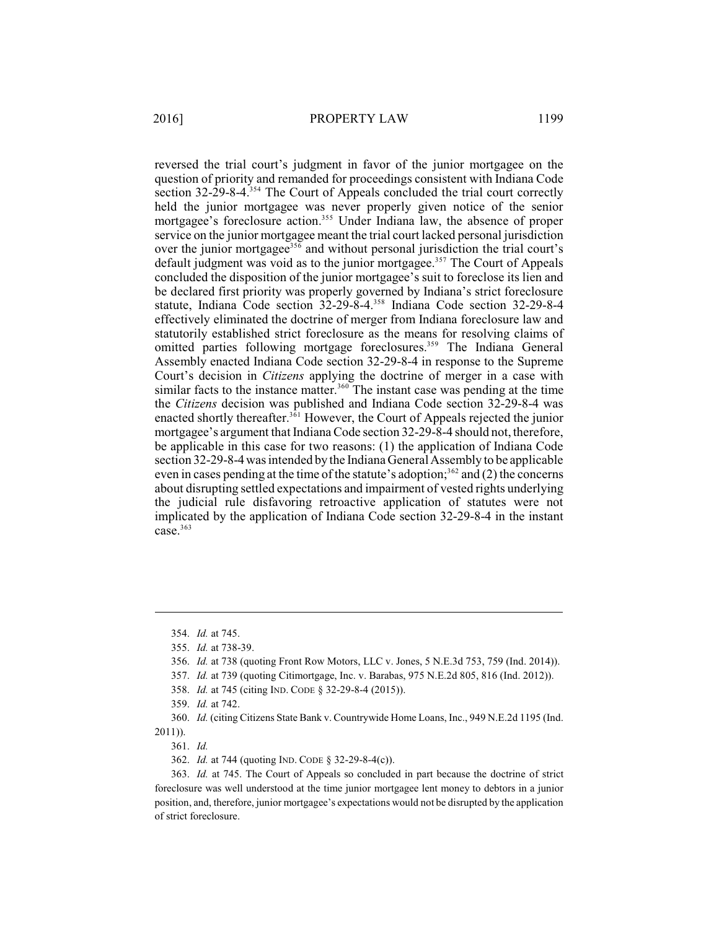reversed the trial court's judgment in favor of the junior mortgagee on the question of priority and remanded for proceedings consistent with Indiana Code section  $32-29-8-4$ .<sup>354</sup> The Court of Appeals concluded the trial court correctly held the junior mortgagee was never properly given notice of the senior mortgagee's foreclosure action.<sup>355</sup> Under Indiana law, the absence of proper service on the junior mortgagee meant the trial court lacked personal jurisdiction over the junior mortgagee<sup>356</sup> and without personal jurisdiction the trial court's default judgment was void as to the junior mortgagee.<sup>357</sup> The Court of Appeals concluded the disposition of the junior mortgagee's suit to foreclose its lien and be declared first priority was properly governed by Indiana's strict foreclosure statute, Indiana Code section 32-29-8-4.<sup>358</sup> Indiana Code section 32-29-8-4 effectively eliminated the doctrine of merger from Indiana foreclosure law and statutorily established strict foreclosure as the means for resolving claims of omitted parties following mortgage foreclosures.<sup>359</sup> The Indiana General Assembly enacted Indiana Code section 32-29-8-4 in response to the Supreme Court's decision in *Citizens* applying the doctrine of merger in a case with similar facts to the instance matter.<sup>360</sup> The instant case was pending at the time the *Citizens* decision was published and Indiana Code section 32-29-8-4 was enacted shortly thereafter.<sup> $3\overline{6}1$ </sup> However, the Court of Appeals rejected the junior mortgagee's argument that Indiana Code section 32-29-8-4 should not, therefore, be applicable in this case for two reasons: (1) the application of Indiana Code section 32-29-8-4 was intended by the Indiana General Assembly to be applicable even in cases pending at the time of the statute's adoption;<sup>362</sup> and (2) the concerns about disrupting settled expectations and impairment of vested rights underlying the judicial rule disfavoring retroactive application of statutes were not implicated by the application of Indiana Code section 32-29-8-4 in the instant case. $363$ 

357. *Id.* at 739 (quoting Citimortgage, Inc. v. Barabas, 975 N.E.2d 805, 816 (Ind. 2012)).

360. *Id.* (citing Citizens State Bank v. Countrywide Home Loans, Inc., 949 N.E.2d 1195 (Ind. 2011)).

361. *Id.*

362. *Id.* at 744 (quoting IND. CODE § 32-29-8-4(c)).

363. *Id.* at 745. The Court of Appeals so concluded in part because the doctrine of strict foreclosure was well understood at the time junior mortgagee lent money to debtors in a junior position, and, therefore, junior mortgagee's expectations would not be disrupted by the application of strict foreclosure.

<sup>354.</sup> *Id.* at 745.

<sup>355.</sup> *Id.* at 738-39.

<sup>356.</sup> *Id.* at 738 (quoting Front Row Motors, LLC v. Jones, 5 N.E.3d 753, 759 (Ind. 2014)).

<sup>358.</sup> *Id.* at 745 (citing IND. CODE § 32-29-8-4 (2015)).

<sup>359.</sup> *Id.* at 742.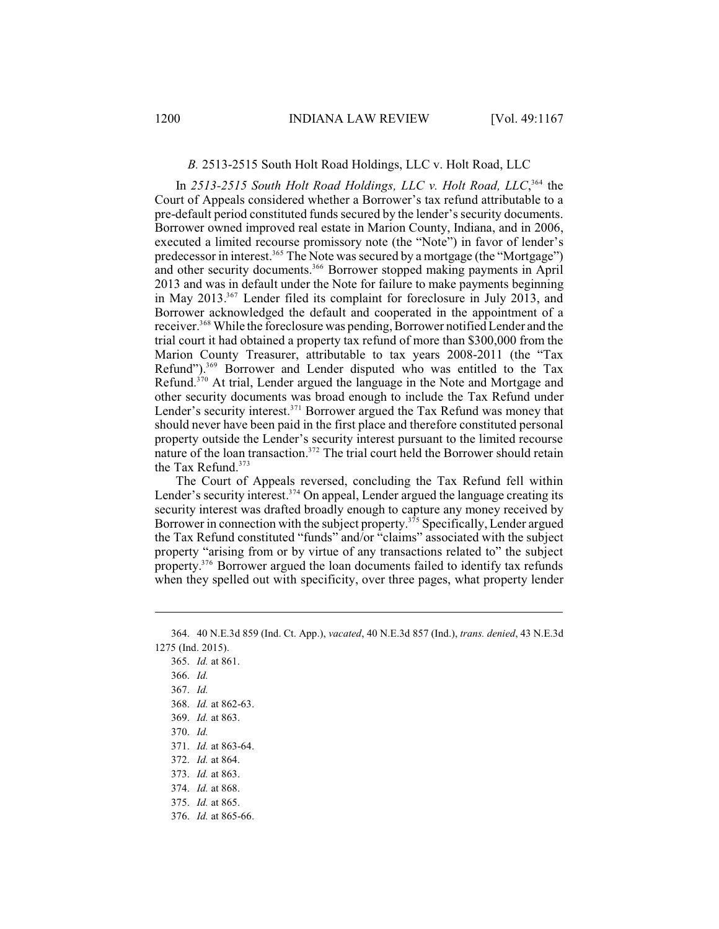#### *B.* 2513-2515 South Holt Road Holdings, LLC v. Holt Road, LLC

In  $2513-2515$  *South Holt Road Holdings, LLC v. Holt Road, LLC*,  $364$  the Court of Appeals considered whether a Borrower's tax refund attributable to a pre-default period constituted funds secured by the lender's security documents. Borrower owned improved real estate in Marion County, Indiana, and in 2006, executed a limited recourse promissory note (the "Note") in favor of lender's predecessor in interest.<sup>365</sup> The Note was secured by a mortgage (the "Mortgage") and other security documents.<sup>366</sup> Borrower stopped making payments in April 2013 and was in default under the Note for failure to make payments beginning in May  $2013^{367}$  Lender filed its complaint for foreclosure in July 2013, and Borrower acknowledged the default and cooperated in the appointment of a receiver.<sup>368</sup> While the foreclosure was pending, Borrower notified Lender and the trial court it had obtained a property tax refund of more than \$300,000 from the Marion County Treasurer, attributable to tax years 2008-2011 (the "Tax Refund"). $369$  Borrower and Lender disputed who was entitled to the Tax Refund.<sup>370</sup> At trial, Lender argued the language in the Note and Mortgage and other security documents was broad enough to include the Tax Refund under Lender's security interest. $371$  Borrower argued the Tax Refund was money that should never have been paid in the first place and therefore constituted personal property outside the Lender's security interest pursuant to the limited recourse nature of the loan transaction.<sup> $372$ </sup> The trial court held the Borrower should retain the Tax Refund.<sup>373</sup>

The Court of Appeals reversed, concluding the Tax Refund fell within Lender's security interest.<sup>374</sup> On appeal, Lender argued the language creating its security interest was drafted broadly enough to capture any money received by Borrower in connection with the subject property.<sup> $375$ </sup> Specifically, Lender argued the Tax Refund constituted "funds" and/or "claims" associated with the subject property "arising from or by virtue of any transactions related to" the subject property.<sup> $376$ </sup> Borrower argued the loan documents failed to identify tax refunds when they spelled out with specificity, over three pages, what property lender

365. *Id.* at 861. 366. *Id.* 367. *Id.* 368. *Id.* at 862-63. 369. *Id.* at 863. 370. *Id.* 371. *Id.* at 863-64. 372. *Id.* at 864. 373. *Id.* at 863. 374. *Id.* at 868. 375. *Id.* at 865.

<sup>364.</sup> 40 N.E.3d 859 (Ind. Ct. App.), *vacated*, 40 N.E.3d 857 (Ind.), *trans. denied*, 43 N.E.3d 1275 (Ind. 2015).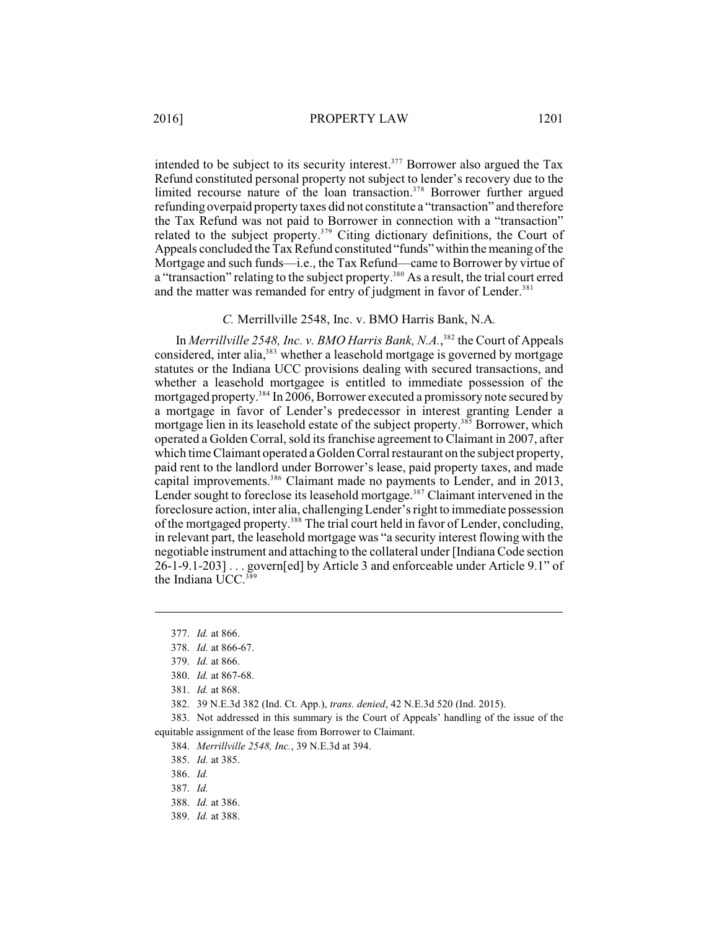intended to be subject to its security interest.<sup>377</sup> Borrower also argued the Tax Refund constituted personal property not subject to lender's recovery due to the limited recourse nature of the loan transaction.<sup>378</sup> Borrower further argued refunding overpaid property taxes did not constitute a "transaction" and therefore the Tax Refund was not paid to Borrower in connection with a "transaction" related to the subject property.<sup>379</sup> Citing dictionary definitions, the Court of Appeals concluded the Tax Refund constituted "funds" within the meaning of the Mortgage and such funds—i.e., the Tax Refund—came to Borrower by virtue of a "transaction" relating to the subject property.<sup>380</sup> As a result, the trial court erred and the matter was remanded for entry of judgment in favor of Lender.<sup>381</sup>

*C.* Merrillville 2548, Inc. v. BMO Harris Bank, N.A*.*

In *Merrillville 2548, Inc. v. BMO Harris Bank, N.A.*,<sup>382</sup> the Court of Appeals considered, inter alia,<sup>383</sup> whether a leasehold mortgage is governed by mortgage statutes or the Indiana UCC provisions dealing with secured transactions, and whether a leasehold mortgagee is entitled to immediate possession of the mortgaged property.<sup>384</sup> In 2006, Borrower executed a promissory note secured by a mortgage in favor of Lender's predecessor in interest granting Lender a mortgage lien in its leasehold estate of the subject property.<sup>385</sup> Borrower, which operated a Golden Corral, sold its franchise agreement to Claimant in 2007, after which time Claimant operated a Golden Corral restaurant on the subject property, paid rent to the landlord under Borrower's lease, paid property taxes, and made capital improvements.<sup>386</sup> Claimant made no payments to Lender, and in 2013, Lender sought to foreclose its leasehold mortgage.<sup>387</sup> Claimant intervened in the foreclosure action, inter alia, challenging Lender's right to immediate possession of the mortgaged property.<sup>388</sup> The trial court held in favor of Lender, concluding, in relevant part, the leasehold mortgage was "a security interest flowing with the negotiable instrument and attaching to the collateral under [Indiana Code section 26-1-9.1-203] . . . govern[ed] by Article 3 and enforceable under Article 9.1" of the Indiana UCC.<sup>389</sup>

384. *Merrillville 2548, Inc.*, 39 N.E.3d at 394.

<sup>377.</sup> *Id.* at 866.

<sup>378.</sup> *Id.* at 866-67.

<sup>379.</sup> *Id.* at 866.

<sup>380.</sup> *Id.* at 867-68.

<sup>381.</sup> *Id.* at 868.

<sup>382.</sup> 39 N.E.3d 382 (Ind. Ct. App.), *trans. denied*, 42 N.E.3d 520 (Ind. 2015).

<sup>383.</sup> Not addressed in this summary is the Court of Appeals' handling of the issue of the equitable assignment of the lease from Borrower to Claimant.

<sup>385.</sup> *Id.* at 385.

<sup>386.</sup> *Id.*

<sup>387.</sup> *Id.*

<sup>388.</sup> *Id.* at 386.

<sup>389.</sup> *Id.* at 388.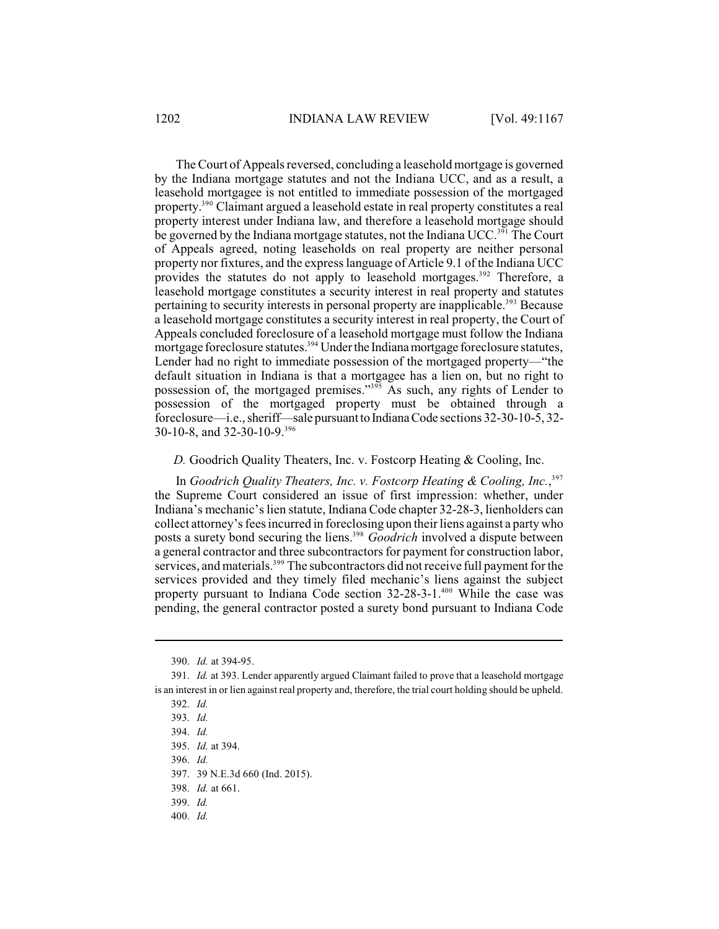The Court of Appeals reversed, concluding a leasehold mortgage is governed by the Indiana mortgage statutes and not the Indiana UCC, and as a result, a leasehold mortgagee is not entitled to immediate possession of the mortgaged property.<sup>390</sup> Claimant argued a leasehold estate in real property constitutes a real property interest under Indiana law, and therefore a leasehold mortgage should be governed by the Indiana mortgage statutes, not the Indiana UCC.<sup>391</sup> The Court of Appeals agreed, noting leaseholds on real property are neither personal property nor fixtures, and the express language of Article 9.1 of the Indiana UCC provides the statutes do not apply to leasehold mortgages.<sup>392</sup> Therefore, a leasehold mortgage constitutes a security interest in real property and statutes pertaining to security interests in personal property are inapplicable.<sup>393</sup> Because a leasehold mortgage constitutes a security interest in real property, the Court of Appeals concluded foreclosure of a leasehold mortgage must follow the Indiana mortgage foreclosure statutes.<sup>394</sup> Under the Indiana mortgage foreclosure statutes, Lender had no right to immediate possession of the mortgaged property—"the default situation in Indiana is that a mortgagee has a lien on, but no right to possession of, the mortgaged premises."<sup>395</sup> As such, any rights of Lender to possession of the mortgaged property must be obtained through a foreclosure—i.e., sheriff—sale pursuant to Indiana Code sections 32-30-10-5, 32-30-10-8, and 32-30-10-9.<sup>396</sup>

*D.* Goodrich Quality Theaters, Inc. v. Fostcorp Heating & Cooling, Inc.

In *Goodrich Quality Theaters, Inc. v. Fostcorp Heating & Cooling, Inc.*, 397 the Supreme Court considered an issue of first impression: whether, under Indiana's mechanic's lien statute, Indiana Code chapter 32-28-3, lienholders can collect attorney's fees incurred in foreclosing upon theirliens against a party who posts a surety bond securing the liens.<sup>398</sup> Goodrich involved a dispute between a general contractor and three subcontractors for payment for construction labor, services, and materials.<sup>399</sup> The subcontractors did not receive full payment for the services provided and they timely filed mechanic's liens against the subject property pursuant to Indiana Code section  $32-28-3-1.^{400}$  While the case was pending, the general contractor posted a surety bond pursuant to Indiana Code

<sup>390.</sup> *Id.* at 394-95.

<sup>391.</sup> *Id.* at 393. Lender apparently argued Claimant failed to prove that a leasehold mortgage is an interest in or lien against real property and, therefore, the trial court holding should be upheld.

<sup>392.</sup> *Id.*

<sup>393.</sup> *Id.*

<sup>394.</sup> *Id.*

<sup>395.</sup> *Id.* at 394.

<sup>396.</sup> *Id.*

<sup>397.</sup> 39 N.E.3d 660 (Ind. 2015).

<sup>398.</sup> *Id.* at 661.

<sup>399.</sup> *Id.*

<sup>400.</sup> *Id.*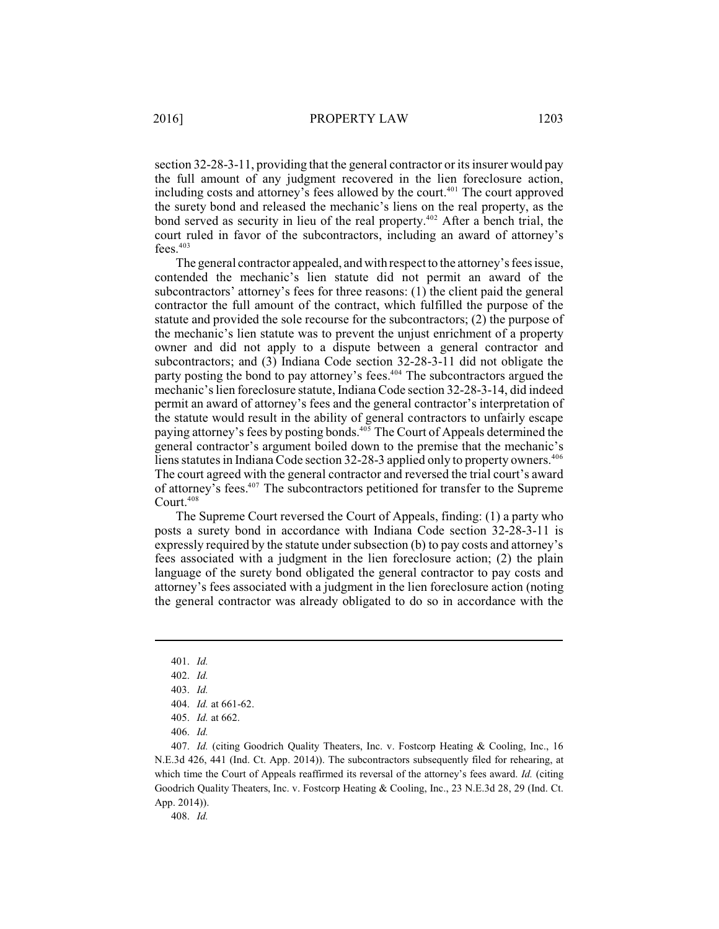section 32-28-3-11, providing that the general contractor or its insurer would pay the full amount of any judgment recovered in the lien foreclosure action, including costs and attorney's fees allowed by the court. $401$  The court approved the surety bond and released the mechanic's liens on the real property, as the bond served as security in lieu of the real property.<sup> $402$ </sup> After a bench trial, the court ruled in favor of the subcontractors, including an award of attorney's fees.<sup>403</sup>

The general contractor appealed, and with respect to the attorney's fees issue, contended the mechanic's lien statute did not permit an award of the subcontractors' attorney's fees for three reasons: (1) the client paid the general contractor the full amount of the contract, which fulfilled the purpose of the statute and provided the sole recourse for the subcontractors; (2) the purpose of the mechanic's lien statute was to prevent the unjust enrichment of a property owner and did not apply to a dispute between a general contractor and subcontractors; and (3) Indiana Code section 32-28-3-11 did not obligate the party posting the bond to pay attorney's fees. $404$  The subcontractors argued the mechanic's lien foreclosure statute, Indiana Code section 32-28-3-14, did indeed permit an award of attorney's fees and the general contractor's interpretation of the statute would result in the ability of general contractors to unfairly escape paying attorney's fees by posting bonds.<sup>405</sup> The Court of Appeals determined the general contractor's argument boiled down to the premise that the mechanic's liens statutes in Indiana Code section 32-28-3 applied only to property owners.<sup>406</sup> The court agreed with the general contractor and reversed the trial court's award of attorney's fees.<sup>407</sup> The subcontractors petitioned for transfer to the Supreme Court.<sup>408</sup>

The Supreme Court reversed the Court of Appeals, finding: (1) a party who posts a surety bond in accordance with Indiana Code section 32-28-3-11 is expressly required by the statute under subsection (b) to pay costs and attorney's fees associated with a judgment in the lien foreclosure action; (2) the plain language of the surety bond obligated the general contractor to pay costs and attorney's fees associated with a judgment in the lien foreclosure action (noting the general contractor was already obligated to do so in accordance with the

408. *Id.*

<sup>401.</sup> *Id.*

<sup>402.</sup> *Id.*

<sup>403.</sup> *Id.*

<sup>404.</sup> *Id.* at 661-62.

<sup>405.</sup> *Id.* at 662.

<sup>406.</sup> *Id.*

<sup>407.</sup> *Id.* (citing Goodrich Quality Theaters, Inc. v. Fostcorp Heating & Cooling, Inc., 16 N.E.3d 426, 441 (Ind. Ct. App. 2014)). The subcontractors subsequently filed for rehearing, at which time the Court of Appeals reaffirmed its reversal of the attorney's fees award. *Id.* (citing Goodrich Quality Theaters, Inc. v. Fostcorp Heating & Cooling, Inc., 23 N.E.3d 28, 29 (Ind. Ct. App. 2014)).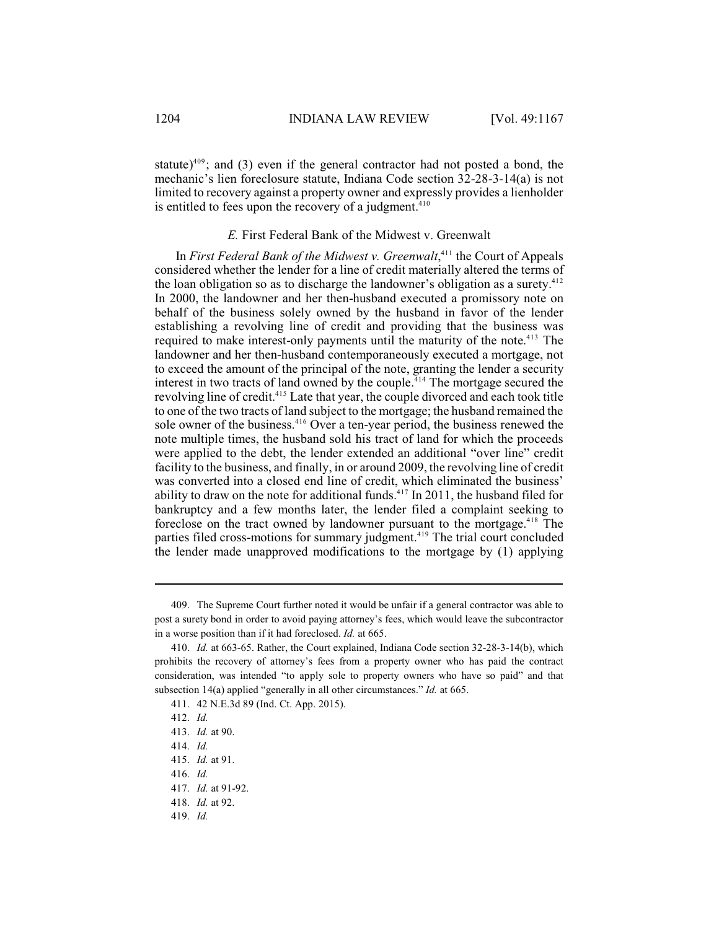statute)<sup>409</sup>; and (3) even if the general contractor had not posted a bond, the mechanic's lien foreclosure statute, Indiana Code section 32-28-3-14(a) is not limited to recovery against a property owner and expressly provides a lienholder is entitled to fees upon the recovery of a judgment.<sup>410</sup>

#### *E.* First Federal Bank of the Midwest v. Greenwalt

In *First Federal Bank of the Midwest v. Greenwalt*,<sup>411</sup> the Court of Appeals considered whether the lender for a line of credit materially altered the terms of the loan obligation so as to discharge the landowner's obligation as a surety. $412$ In 2000, the landowner and her then-husband executed a promissory note on behalf of the business solely owned by the husband in favor of the lender establishing a revolving line of credit and providing that the business was required to make interest-only payments until the maturity of the note.<sup>413</sup> The landowner and her then-husband contemporaneously executed a mortgage, not to exceed the amount of the principal of the note, granting the lender a security interest in two tracts of land owned by the couple.<sup> $14$ </sup> The mortgage secured the revolving line of credit.<sup>415</sup> Late that year, the couple divorced and each took title to one of the two tracts of land subject to the mortgage; the husband remained the sole owner of the business. $416$  Over a ten-year period, the business renewed the note multiple times, the husband sold his tract of land for which the proceeds were applied to the debt, the lender extended an additional "over line" credit facility to the business, and finally, in or around 2009, the revolving line of credit was converted into a closed end line of credit, which eliminated the business' ability to draw on the note for additional funds.  $417$  In 2011, the husband filed for bankruptcy and a few months later, the lender filed a complaint seeking to foreclose on the tract owned by landowner pursuant to the mortgage.<sup>418</sup> The parties filed cross-motions for summary judgment.<sup>419</sup> The trial court concluded the lender made unapproved modifications to the mortgage by (1) applying

<sup>409.</sup> The Supreme Court further noted it would be unfair if a general contractor was able to post a surety bond in order to avoid paying attorney's fees, which would leave the subcontractor in a worse position than if it had foreclosed. *Id.* at 665.

<sup>410.</sup> *Id.* at 663-65. Rather, the Court explained, Indiana Code section 32-28-3-14(b), which prohibits the recovery of attorney's fees from a property owner who has paid the contract consideration, was intended "to apply sole to property owners who have so paid" and that subsection 14(a) applied "generally in all other circumstances." *Id.* at 665.

<sup>411.</sup> 42 N.E.3d 89 (Ind. Ct. App. 2015).

<sup>412.</sup> *Id.*

<sup>413.</sup> *Id.* at 90.

<sup>414.</sup> *Id.*

<sup>415.</sup> *Id.* at 91.

<sup>416.</sup> *Id.*

<sup>417.</sup> *Id.* at 91-92.

<sup>418.</sup> *Id.* at 92.

<sup>419.</sup> *Id.*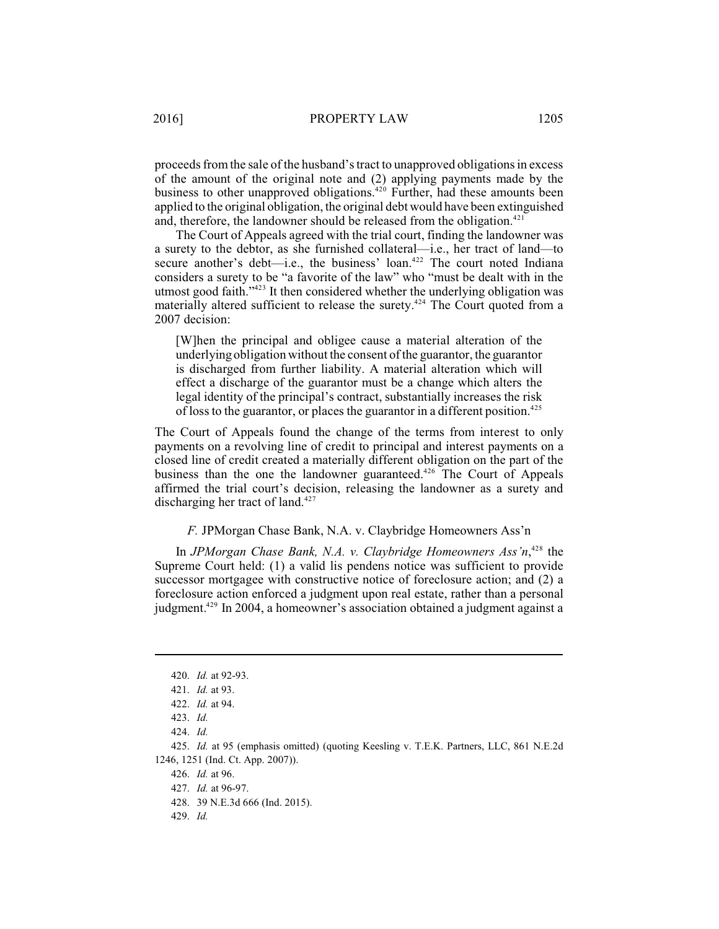proceeds from the sale of the husband's tract to unapproved obligations in excess of the amount of the original note and (2) applying payments made by the business to other unapproved obligations.<sup>420</sup> Further, had these amounts been applied to the original obligation, the original debt would have been extinguished and, therefore, the landowner should be released from the obligation. $421$ 

The Court of Appeals agreed with the trial court, finding the landowner was a surety to the debtor, as she furnished collateral—i.e., her tract of land—to secure another's debt—i.e., the business' loan. $422$  The court noted Indiana considers a surety to be "a favorite of the law" who "must be dealt with in the utmost good faith. $"423$  It then considered whether the underlying obligation was materially altered sufficient to release the surety.<sup>424</sup> The Court quoted from a 2007 decision:

[W]hen the principal and obligee cause a material alteration of the underlying obligation without the consent of the guarantor, the guarantor is discharged from further liability. A material alteration which will effect a discharge of the guarantor must be a change which alters the legal identity of the principal's contract, substantially increases the risk of loss to the guarantor, or places the guarantor in a different position.<sup>425</sup>

The Court of Appeals found the change of the terms from interest to only payments on a revolving line of credit to principal and interest payments on a closed line of credit created a materially different obligation on the part of the business than the one the landowner guaranteed.<sup>426</sup> The Court of Appeals affirmed the trial court's decision, releasing the landowner as a surety and discharging her tract of land.<sup>427</sup>

## *F.* JPMorgan Chase Bank, N.A. v. Claybridge Homeowners Ass'n

In *JPMorgan Chase Bank, N.A. v. Claybridge Homeowners Ass'n*,<sup>428</sup> the Supreme Court held: (1) a valid lis pendens notice was sufficient to provide successor mortgagee with constructive notice of foreclosure action; and (2) a foreclosure action enforced a judgment upon real estate, rather than a personal judgment.<sup>429</sup> In 2004, a homeowner's association obtained a judgment against a

<sup>420.</sup> *Id.* at 92-93.

<sup>421.</sup> *Id.* at 93.

<sup>422.</sup> *Id.* at 94.

<sup>423.</sup> *Id.*

<sup>424.</sup> *Id.*

<sup>425.</sup> *Id.* at 95 (emphasis omitted) (quoting Keesling v. T.E.K. Partners, LLC, 861 N.E.2d 1246, 1251 (Ind. Ct. App. 2007)).

<sup>426.</sup> *Id.* at 96.

<sup>427.</sup> *Id.* at 96-97.

<sup>428.</sup> 39 N.E.3d 666 (Ind. 2015).

<sup>429.</sup> *Id.*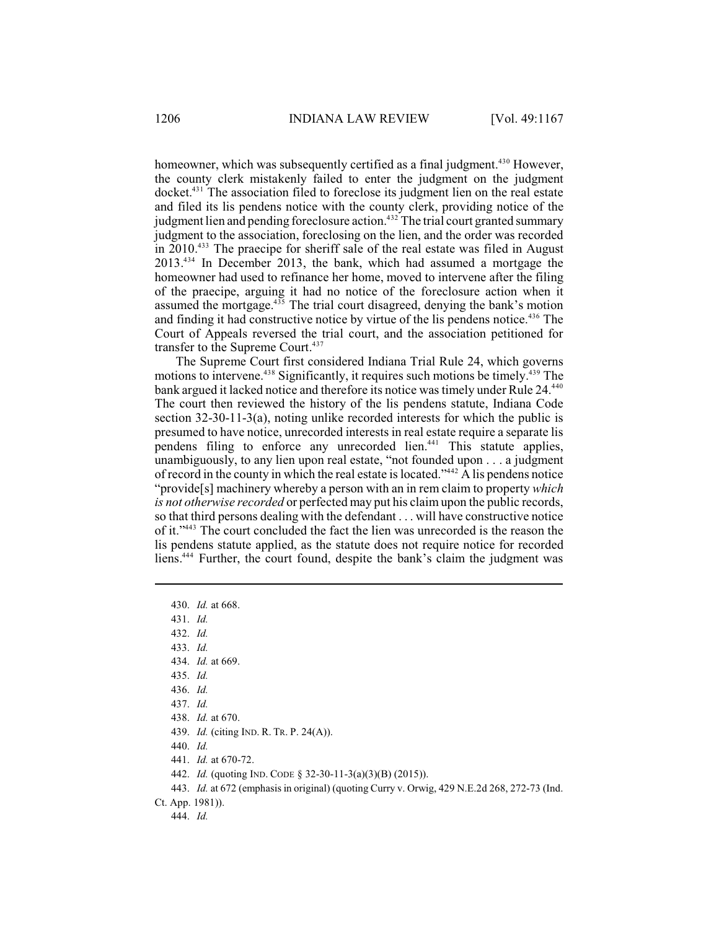homeowner, which was subsequently certified as a final judgment.<sup>430</sup> However, the county clerk mistakenly failed to enter the judgment on the judgment docket.<sup>431</sup> The association filed to foreclose its judgment lien on the real estate and filed its lis pendens notice with the county clerk, providing notice of the judgment lien and pending foreclosure action.<sup>432</sup> The trial court granted summary judgment to the association, foreclosing on the lien, and the order was recorded in  $2010^{433}$  The praecipe for sheriff sale of the real estate was filed in August  $2013^{434}$  In December 2013, the bank, which had assumed a mortgage the homeowner had used to refinance her home, moved to intervene after the filing of the praecipe, arguing it had no notice of the foreclosure action when it assumed the mortgage. $435$  The trial court disagreed, denying the bank's motion and finding it had constructive notice by virtue of the lis pendens notice.<sup> $436$ </sup> The Court of Appeals reversed the trial court, and the association petitioned for transfer to the Supreme Court. 437

The Supreme Court first considered Indiana Trial Rule 24, which governs motions to intervene.<sup>438</sup> Significantly, it requires such motions be timely.<sup>439</sup> The bank argued it lacked notice and therefore its notice was timely under Rule 24.<sup>440</sup> The court then reviewed the history of the lis pendens statute, Indiana Code section 32-30-11-3(a), noting unlike recorded interests for which the public is presumed to have notice, unrecorded interests in real estate require a separate lis pendens filing to enforce any unrecorded lien.<sup>441</sup> This statute applies, unambiguously, to any lien upon real estate, "not founded upon . . . a judgment of record in the county in which the real estate is located." $42$  A lis pendens notice "provide[s] machinery whereby a person with an in rem claim to property *which is not otherwise recorded* or perfected may put his claimupon the public records, so that third persons dealing with the defendant . . . will have constructive notice of it."<sup>443</sup> The court concluded the fact the lien was unrecorded is the reason the lis pendens statute applied, as the statute does not require notice for recorded liens.<sup>444</sup> Further, the court found, despite the bank's claim the judgment was

- 433. *Id.*
- 434. *Id.* at 669.
- 435. *Id.*
- 436. *Id.*
- 437. *Id.*
- 438. *Id.* at 670.
- 439. *Id.* (citing IND. R. TR. P. 24(A)).
- 440. *Id.*
- 441. *Id.* at 670-72.
- 442. *Id.* (quoting IND. CODE § 32-30-11-3(a)(3)(B) (2015)).
- 443. *Id.* at 672 (emphasis in original) (quoting Curry v. Orwig, 429 N.E.2d 268, 272-73 (Ind.
- Ct. App. 1981)).

444. *Id.*

<sup>430.</sup> *Id.* at 668.

<sup>431.</sup> *Id.*

<sup>432.</sup> *Id.*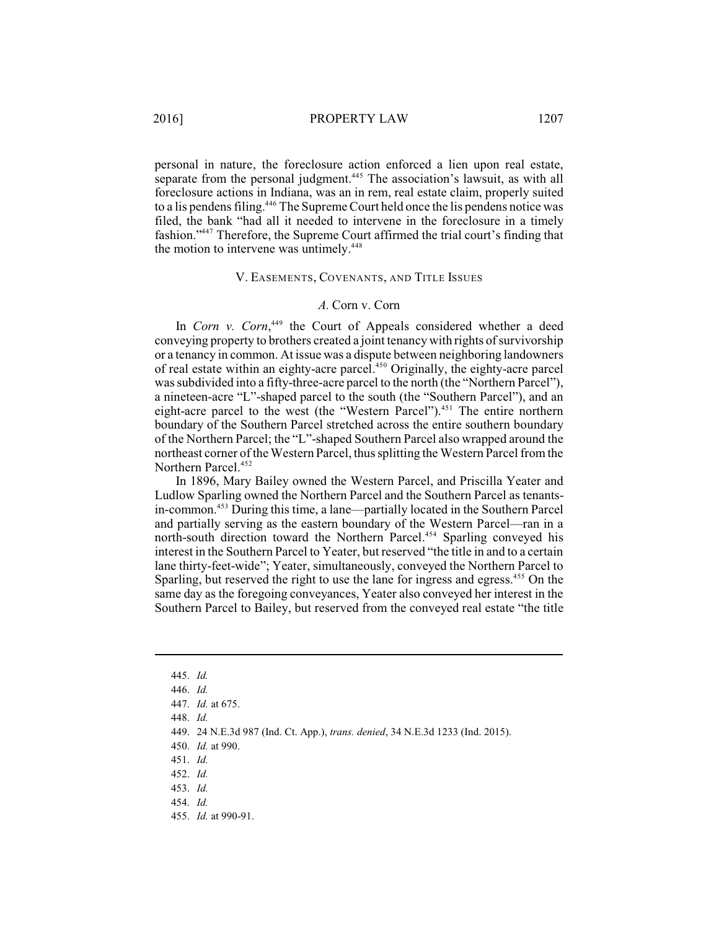personal in nature, the foreclosure action enforced a lien upon real estate, separate from the personal judgment.<sup>445</sup> The association's lawsuit, as with all foreclosure actions in Indiana, was an in rem, real estate claim, properly suited to a lis pendens filing.<sup>446</sup> The Supreme Court held once the lis pendens notice was filed, the bank "had all it needed to intervene in the foreclosure in a timely fashion."<sup>447</sup> Therefore, the Supreme Court affirmed the trial court's finding that the motion to intervene was untimely.<sup>448</sup>

### V. EASEMENTS, COVENANTS, AND TITLE ISSUES

#### *A.* Corn v. Corn

In *Corn v. Corn*,<sup>449</sup> the Court of Appeals considered whether a deed conveying property to brothers created a joint tenancy with rights of survivorship or a tenancy in common. At issue was a dispute between neighboring landowners of real estate within an eighty-acre parcel.<sup>450</sup> Originally, the eighty-acre parcel was subdivided into a fifty-three-acre parcel to the north (the "Northern Parcel"), a nineteen-acre "L"-shaped parcel to the south (the "Southern Parcel"), and an eight-acre parcel to the west (the "Western Parcel").<sup>451</sup> The entire northern boundary of the Southern Parcel stretched across the entire southern boundary of the Northern Parcel; the "L"-shaped Southern Parcel also wrapped around the northeast corner of the Western Parcel, thus splitting the Western Parcel fromthe Northern Parcel. 452

In 1896, Mary Bailey owned the Western Parcel, and Priscilla Yeater and Ludlow Sparling owned the Northern Parcel and the Southern Parcel as tenantsin-common.<sup>453</sup> During this time, a lane—partially located in the Southern Parcel and partially serving as the eastern boundary of the Western Parcel—ran in a north-south direction toward the Northern Parcel.<sup>454</sup> Sparling conveyed his interest in the Southern Parcel to Yeater, but reserved "the title in and to a certain lane thirty-feet-wide"; Yeater, simultaneously, conveyed the Northern Parcel to Sparling, but reserved the right to use the lane for ingress and egress.<sup>455</sup> On the same day as the foregoing conveyances, Yeater also conveyed her interest in the Southern Parcel to Bailey, but reserved from the conveyed real estate "the title

448. *Id.*

450. *Id.* at 990.

<sup>445.</sup> *Id.*

<sup>446.</sup> *Id.*

<sup>447.</sup> *Id.* at 675.

<sup>449.</sup> 24 N.E.3d 987 (Ind. Ct. App.), *trans. denied*, 34 N.E.3d 1233 (Ind. 2015).

<sup>451.</sup> *Id.*

<sup>452.</sup> *Id.*

<sup>453.</sup> *Id.*

<sup>454.</sup> *Id.*

<sup>455.</sup> *Id.* at 990-91.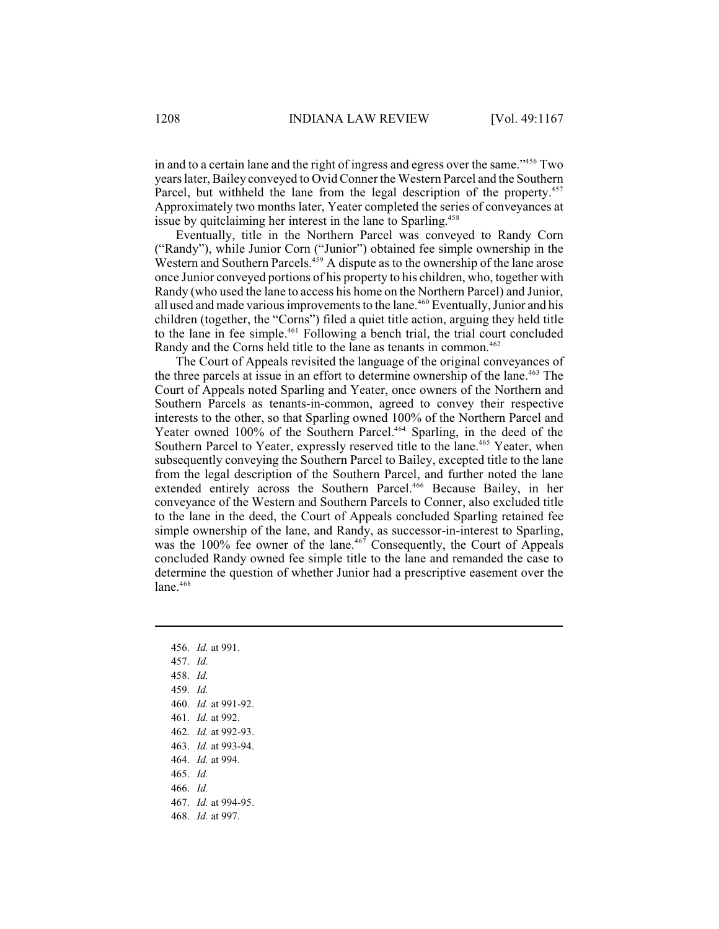in and to a certain lane and the right of ingress and egress over the same."<sup>456</sup> Two yearslater, Bailey conveyed to Ovid Conner the Western Parcel and the Southern Parcel, but withheld the lane from the legal description of the property.<sup>457</sup> Approximately two months later, Yeater completed the series of conveyances at issue by quitclaiming her interest in the lane to Sparling.<sup>458</sup>

Eventually, title in the Northern Parcel was conveyed to Randy Corn ("Randy"), while Junior Corn ("Junior") obtained fee simple ownership in the Western and Southern Parcels.  $459$  A dispute as to the ownership of the lane arose once Junior conveyed portions of his property to his children, who, together with Randy (who used the lane to access his home on the Northern Parcel) and Junior, all used and made various improvements to the lane.<sup>460</sup> Eventually, Junior and his children (together, the "Corns") filed a quiet title action, arguing they held title to the lane in fee simple.<sup>461</sup> Following a bench trial, the trial court concluded Randy and the Corns held title to the lane as tenants in common.<sup>462</sup>

The Court of Appeals revisited the language of the original conveyances of the three parcels at issue in an effort to determine ownership of the lane.<sup> $463$ </sup> The Court of Appeals noted Sparling and Yeater, once owners of the Northern and Southern Parcels as tenants-in-common, agreed to convey their respective interests to the other, so that Sparling owned 100% of the Northern Parcel and Yeater owned 100% of the Southern Parcel.<sup>464</sup> Sparling, in the deed of the Southern Parcel to Yeater, expressly reserved title to the lane.<sup>465</sup> Yeater, when subsequently conveying the Southern Parcel to Bailey, excepted title to the lane from the legal description of the Southern Parcel, and further noted the lane extended entirely across the Southern Parcel.<sup>466</sup> Because Bailey, in her conveyance of the Western and Southern Parcels to Conner, also excluded title to the lane in the deed, the Court of Appeals concluded Sparling retained fee simple ownership of the lane, and Randy, as successor-in-interest to Sparling, was the 100% fee owner of the lane.<sup> $467$ </sup> Consequently, the Court of Appeals concluded Randy owned fee simple title to the lane and remanded the case to determine the question of whether Junior had a prescriptive easement over the lane.<sup>468</sup>

- 456. *Id.* at 991.
- 457. *Id.*
- 458. *Id.*
- 459. *Id.*
- 460. *Id.* at 991-92.
- 461. *Id.* at 992.
- 462. *Id.* at 992-93.
- 463. *Id.* at 993-94.
- 464. *Id.* at 994.
- 465. *Id.*
- 466. *Id.*
- 467. *Id.* at 994-95.
- 468. *Id.* at 997.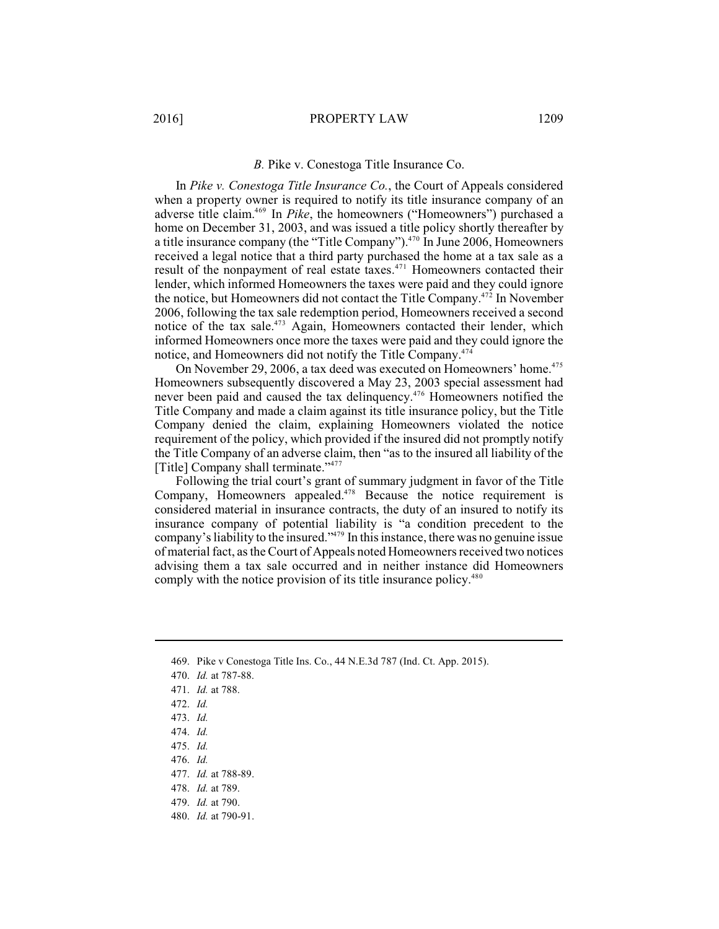#### *B.* Pike v. Conestoga Title Insurance Co.

In *Pike v. Conestoga Title Insurance Co.*, the Court of Appeals considered when a property owner is required to notify its title insurance company of an adverse title claim.<sup>469</sup> In *Pike*, the homeowners ("Homeowners") purchased a home on December 31, 2003, and was issued a title policy shortly thereafter by a title insurance company (the "Title Company").<sup>470</sup> In June 2006, Homeowners received a legal notice that a third party purchased the home at a tax sale as a result of the nonpayment of real estate taxes.<sup>471</sup> Homeowners contacted their lender, which informed Homeowners the taxes were paid and they could ignore the notice, but Homeowners did not contact the Title Company.<sup> $472$ </sup> In November 2006, following the tax sale redemption period, Homeowners received a second notice of the tax sale.<sup>473</sup> Again, Homeowners contacted their lender, which informed Homeowners once more the taxes were paid and they could ignore the notice, and Homeowners did not notify the Title Company.<sup>474</sup>

On November 29, 2006, a tax deed was executed on Homeowners' home.<sup>475</sup> Homeowners subsequently discovered a May 23, 2003 special assessment had never been paid and caused the tax delinquency.<sup>476</sup> Homeowners notified the Title Company and made a claim against its title insurance policy, but the Title Company denied the claim, explaining Homeowners violated the notice requirement of the policy, which provided if the insured did not promptly notify the Title Company of an adverse claim, then "as to the insured all liability of the [Title] Company shall terminate."<sup>477</sup>

Following the trial court's grant of summary judgment in favor of the Title Company, Homeowners appealed.<sup>478</sup> Because the notice requirement is considered material in insurance contracts, the duty of an insured to notify its insurance company of potential liability is "a condition precedent to the company's liability to the insured." In this instance, there was no genuine issue of material fact, as the Court of Appeals noted Homeowners received two notices advising them a tax sale occurred and in neither instance did Homeowners comply with the notice provision of its title insurance policy.<sup>480</sup>

- 472. *Id.*
- 473. *Id.*
- 474. *Id.*
- 475. *Id.*
- 476. *Id.*
- 477. *Id.* at 788-89.
- 478. *Id.* at 789.
- 479. *Id.* at 790.
- 480. *Id.* at 790-91.

<sup>469.</sup> Pike v Conestoga Title Ins. Co., 44 N.E.3d 787 (Ind. Ct. App. 2015).

<sup>470.</sup> *Id.* at 787-88.

<sup>471.</sup> *Id.* at 788.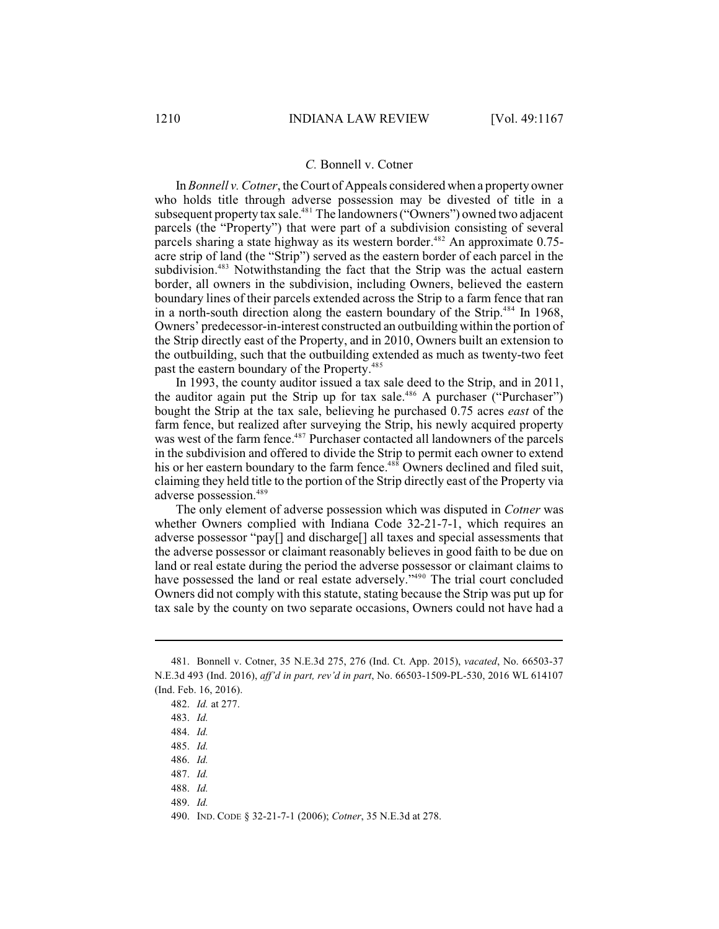#### *C.* Bonnell v. Cotner

In *Bonnell v. Cotner*, theCourt of Appeals considered when a property owner who holds title through adverse possession may be divested of title in a subsequent property tax sale.<sup>481</sup> The landowners ("Owners") owned two adjacent parcels (the "Property") that were part of a subdivision consisting of several parcels sharing a state highway as its western border. $482$  An approximate 0.75acre strip of land (the "Strip") served as the eastern border of each parcel in the subdivision.<sup>483</sup> Notwithstanding the fact that the Strip was the actual eastern border, all owners in the subdivision, including Owners, believed the eastern boundary lines of their parcels extended across the Strip to a farm fence that ran in a north-south direction along the eastern boundary of the Strip.<sup>484</sup> In 1968, Owners' predecessor-in-interest constructed an outbuilding within the portion of the Strip directly east of the Property, and in 2010, Owners built an extension to the outbuilding, such that the outbuilding extended as much as twenty-two feet past the eastern boundary of the Property.<sup>485</sup>

In 1993, the county auditor issued a tax sale deed to the Strip, and in 2011, the auditor again put the Strip up for tax sale.<sup>486</sup> A purchaser ("Purchaser") bought the Strip at the tax sale, believing he purchased 0.75 acres *east* of the farm fence, but realized after surveying the Strip, his newly acquired property was west of the farm fence.<sup>487</sup> Purchaser contacted all landowners of the parcels in the subdivision and offered to divide the Strip to permit each owner to extend his or her eastern boundary to the farm fence.  $488$  Owners declined and filed suit, claiming they held title to the portion of the Strip directly east of the Property via adverse possession.<sup>489</sup>

The only element of adverse possession which was disputed in *Cotner* was whether Owners complied with Indiana Code 32-21-7-1, which requires an adverse possessor "pay[] and discharge[] all taxes and special assessments that the adverse possessor or claimant reasonably believes in good faith to be due on land or real estate during the period the adverse possessor or claimant claims to have possessed the land or real estate adversely."<sup>490</sup> The trial court concluded Owners did not comply with this statute, stating because the Strip was put up for tax sale by the county on two separate occasions, Owners could not have had a

<sup>481.</sup> Bonnell v. Cotner, 35 N.E.3d 275, 276 (Ind. Ct. App. 2015), *vacated*, No. 66503-37 N.E.3d 493 (Ind. 2016), *aff'd in part, rev'd in part*, No. 66503-1509-PL-530, 2016 WL 614107 (Ind. Feb. 16, 2016).

<sup>482.</sup> *Id.* at 277.

<sup>483.</sup> *Id.*

<sup>484.</sup> *Id.*

<sup>485.</sup> *Id.*

<sup>486.</sup> *Id.*

<sup>487.</sup> *Id.*

<sup>488.</sup> *Id.*

<sup>489.</sup> *Id.*

<sup>490.</sup> IND. CODE § 32-21-7-1 (2006); *Cotner*, 35 N.E.3d at 278.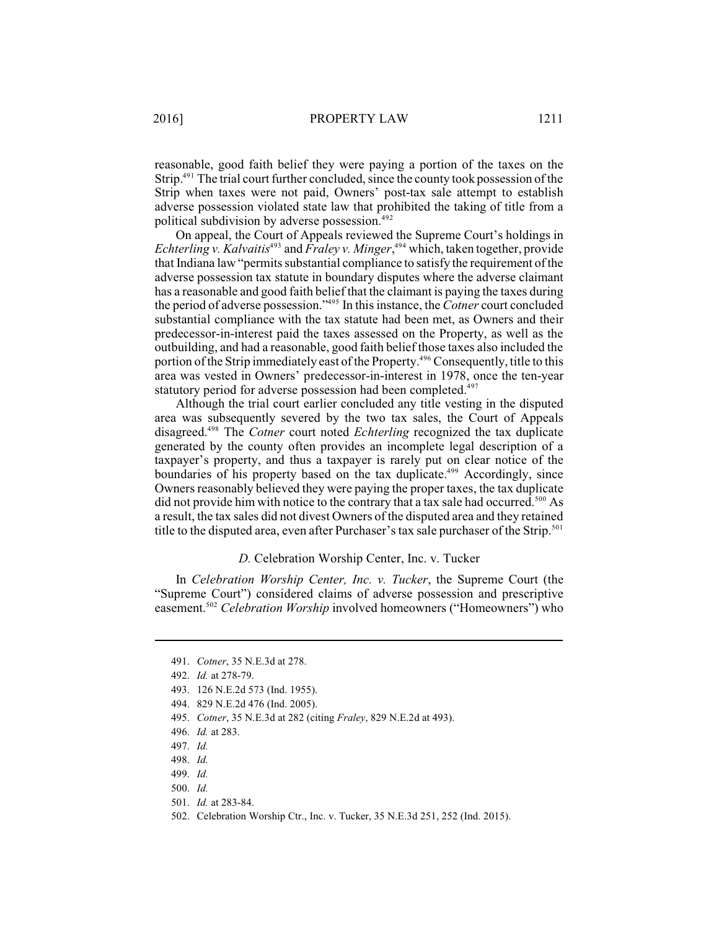reasonable, good faith belief they were paying a portion of the taxes on the Strip. $491$  The trial court further concluded, since the county took possession of the Strip when taxes were not paid, Owners' post-tax sale attempt to establish adverse possession violated state law that prohibited the taking of title from a political subdivision by adverse possession. 492

On appeal, the Court of Appeals reviewed the Supreme Court's holdings in *Echterling v. Kalvaitis*<sup>493</sup> and *Fraley v. Minger*,<sup>494</sup> which, taken together, provide that Indiana law "permits substantial compliance to satisfy the requirement of the adverse possession tax statute in boundary disputes where the adverse claimant has a reasonable and good faith belief that the claimant is paying the taxes during the period of adverse possession."<sup>495</sup> In this instance, the *Cotner* court concluded substantial compliance with the tax statute had been met, as Owners and their predecessor-in-interest paid the taxes assessed on the Property, as well as the outbuilding, and had a reasonable, good faith belief those taxes also included the portion of the Strip immediately east of the Property.<sup>496</sup> Consequently, title to this area was vested in Owners' predecessor-in-interest in 1978, once the ten-year statutory period for adverse possession had been completed.<sup>497</sup>

Although the trial court earlier concluded any title vesting in the disputed area was subsequently severed by the two tax sales, the Court of Appeals disagreed.<sup>498</sup> The *Cotner* court noted *Echterling* recognized the tax duplicate generated by the county often provides an incomplete legal description of a taxpayer's property, and thus a taxpayer is rarely put on clear notice of the boundaries of his property based on the tax duplicate.<sup>499</sup> Accordingly, since Owners reasonably believed they were paying the proper taxes, the tax duplicate did not provide him with notice to the contrary that a tax sale had occurred.<sup>500</sup> As a result, the tax sales did not divest Owners of the disputed area and they retained title to the disputed area, even after Purchaser's tax sale purchaser of the Strip.<sup>501</sup>

#### *D.* Celebration Worship Center, Inc. v. Tucker

In *Celebration Worship Center, Inc. v. Tucker*, the Supreme Court (the "Supreme Court") considered claims of adverse possession and prescriptive easement.<sup>502</sup> Celebration Worship involved homeowners ("Homeowners") who

<sup>491.</sup> *Cotner*, 35 N.E.3d at 278.

<sup>492.</sup> *Id.* at 278-79.

<sup>493.</sup> 126 N.E.2d 573 (Ind. 1955).

<sup>494.</sup> 829 N.E.2d 476 (Ind. 2005).

<sup>495.</sup> *Cotner*, 35 N.E.3d at 282 (citing *Fraley*, 829 N.E.2d at 493).

<sup>496.</sup> *Id.* at 283.

<sup>497.</sup> *Id.*

<sup>498.</sup> *Id.*

<sup>499.</sup> *Id.*

<sup>500.</sup> *Id.*

<sup>501.</sup> *Id.* at 283-84.

<sup>502.</sup> Celebration Worship Ctr., Inc. v. Tucker, 35 N.E.3d 251, 252 (Ind. 2015).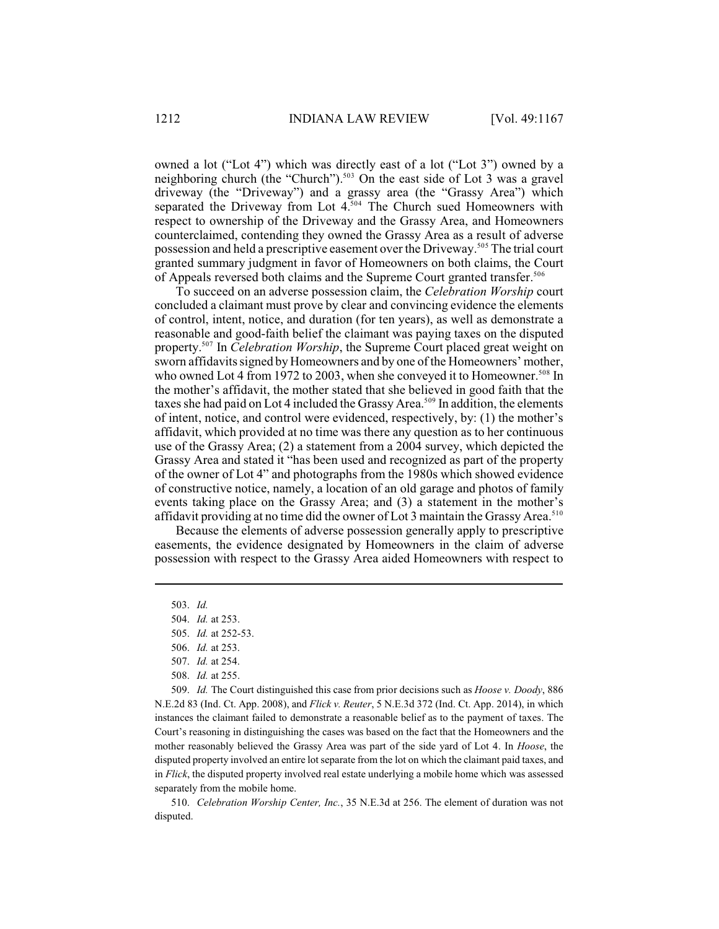owned a lot ("Lot 4") which was directly east of a lot ("Lot 3") owned by a neighboring church (the "Church").<sup>503</sup> On the east side of Lot 3 was a gravel driveway (the "Driveway") and a grassy area (the "Grassy Area") which separated the Driveway from Lot  $4^{504}$  The Church sued Homeowners with respect to ownership of the Driveway and the Grassy Area, and Homeowners counterclaimed, contending they owned the Grassy Area as a result of adverse possession and held a prescriptive easement over the Driveway.<sup>505</sup> The trial court granted summary judgment in favor of Homeowners on both claims, the Court of Appeals reversed both claims and the Supreme Court granted transfer.<sup>506</sup>

To succeed on an adverse possession claim, the *Celebration Worship* court concluded a claimant must prove by clear and convincing evidence the elements of control, intent, notice, and duration (for ten years), as well as demonstrate a reasonable and good-faith belief the claimant was paying taxes on the disputed property.<sup>507</sup> In *Celebration Worship*, the Supreme Court placed great weight on sworn affidavits signed by Homeowners and by one of the Homeowners' mother, who owned Lot 4 from 1972 to 2003, when she conveyed it to Homeowner.<sup>508</sup> In the mother's affidavit, the mother stated that she believed in good faith that the taxes she had paid on Lot 4 included the Grassy Area.<sup>509</sup> In addition, the elements of intent, notice, and control were evidenced, respectively, by: (1) the mother's affidavit, which provided at no time was there any question as to her continuous use of the Grassy Area; (2) a statement from a 2004 survey, which depicted the Grassy Area and stated it "has been used and recognized as part of the property of the owner of Lot 4" and photographs from the 1980s which showed evidence of constructive notice, namely, a location of an old garage and photos of family events taking place on the Grassy Area; and (3) a statement in the mother's affidavit providing at no time did the owner of Lot 3 maintain the Grassy Area.<sup>510</sup>

Because the elements of adverse possession generally apply to prescriptive easements, the evidence designated by Homeowners in the claim of adverse possession with respect to the Grassy Area aided Homeowners with respect to

509. *Id.* The Court distinguished this case from prior decisions such as *Hoose v. Doody*, 886 N.E.2d 83 (Ind. Ct. App. 2008), and *Flick v. Reuter*, 5 N.E.3d 372 (Ind. Ct. App. 2014), in which instances the claimant failed to demonstrate a reasonable belief as to the payment of taxes. The Court's reasoning in distinguishing the cases was based on the fact that the Homeowners and the mother reasonably believed the Grassy Area was part of the side yard of Lot 4. In *Hoose*, the disputed property involved an entire lot separate from the lot on which the claimant paid taxes, and in *Flick*, the disputed property involved real estate underlying a mobile home which was assessed separately from the mobile home.

510. *Celebration Worship Center, Inc.*, 35 N.E.3d at 256. The element of duration was not disputed.

<sup>503.</sup> *Id.*

<sup>504.</sup> *Id.* at 253.

<sup>505.</sup> *Id.* at 252-53.

<sup>506.</sup> *Id.* at 253.

<sup>507.</sup> *Id.* at 254.

<sup>508.</sup> *Id.* at 255.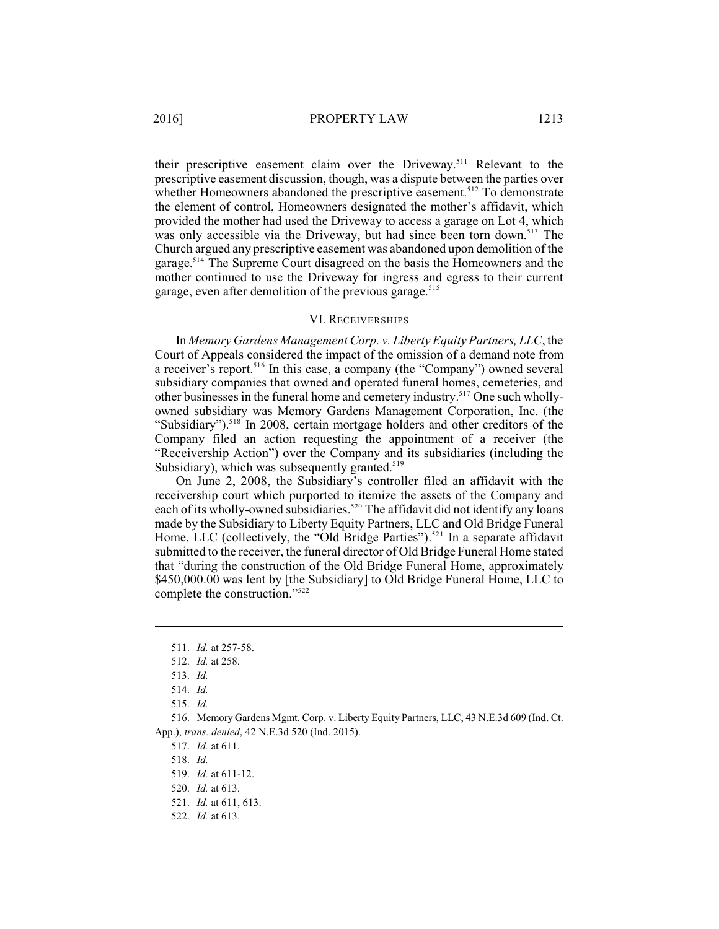their prescriptive easement claim over the Driveway.<sup>511</sup> Relevant to the prescriptive easement discussion, though, was a dispute between the parties over whether Homeowners abandoned the prescriptive easement.<sup>512</sup> To demonstrate the element of control, Homeowners designated the mother's affidavit, which provided the mother had used the Driveway to access a garage on Lot 4, which was only accessible via the Driveway, but had since been torn down.<sup>513</sup> The Church argued any prescriptive easement was abandoned upon demolition of the garage.<sup>514</sup> The Supreme Court disagreed on the basis the Homeowners and the mother continued to use the Driveway for ingress and egress to their current garage, even after demolition of the previous garage.<sup>515</sup>

### VI. RECEIVERSHIPS

In *Memory Gardens Management Corp. v. Liberty Equity Partners, LLC*, the Court of Appeals considered the impact of the omission of a demand note from a receiver's report.<sup>516</sup> In this case, a company (the "Company") owned several subsidiary companies that owned and operated funeral homes, cemeteries, and other businesses in the funeral home and cemetery industry.<sup>517</sup> One such whollyowned subsidiary was Memory Gardens Management Corporation, Inc. (the "Subsidiary").<sup>518</sup> In 2008, certain mortgage holders and other creditors of the Company filed an action requesting the appointment of a receiver (the "Receivership Action") over the Company and its subsidiaries (including the Subsidiary), which was subsequently granted. $519$ 

On June 2, 2008, the Subsidiary's controller filed an affidavit with the receivership court which purported to itemize the assets of the Company and each of its wholly-owned subsidiaries.<sup>520</sup> The affidavit did not identify any loans made by the Subsidiary to Liberty Equity Partners, LLC and Old Bridge Funeral Home, LLC (collectively, the "Old Bridge Parties").<sup>521</sup> In a separate affidavit submitted to the receiver, the funeral director of Old Bridge Funeral Home stated that "during the construction of the Old Bridge Funeral Home, approximately \$450,000.00 was lent by [the Subsidiary] to Old Bridge Funeral Home, LLC to complete the construction."<sup>522</sup>

516. Memory Gardens Mgmt. Corp. v. Liberty Equity Partners, LLC, 43 N.E.3d 609 (Ind. Ct. App.), *trans. denied*, 42 N.E.3d 520 (Ind. 2015).

517. *Id.* at 611.

518. *Id.*

<sup>511.</sup> *Id.* at 257-58.

<sup>512.</sup> *Id.* at 258.

<sup>513.</sup> *Id.*

<sup>514.</sup> *Id.*

<sup>515.</sup> *Id.*

<sup>519.</sup> *Id.* at 611-12.

<sup>520.</sup> *Id.* at 613.

<sup>521.</sup> *Id.* at 611, 613.

<sup>522.</sup> *Id.* at 613.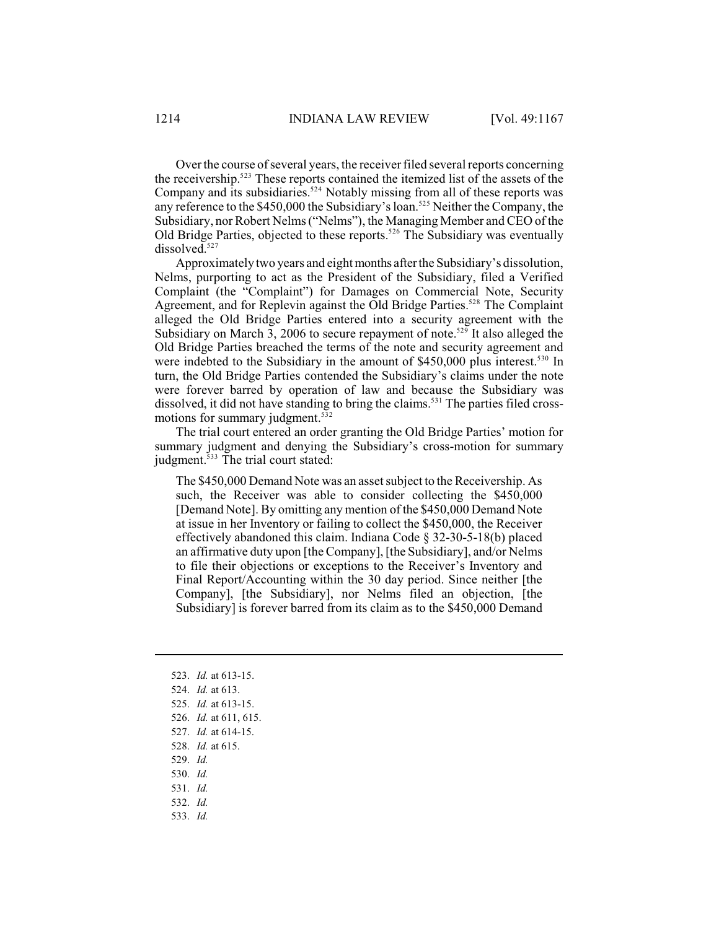Over the course of several years, the receiver filed several reports concerning the receivership.<sup>523</sup> These reports contained the itemized list of the assets of the Company and its subsidiaries.<sup> $524$ </sup> Notably missing from all of these reports was any reference to the  $$450,000$  the Subsidiary's loan.<sup>525</sup> Neither the Company, the Subsidiary, nor Robert Nelms ("Nelms"), the Managing Member and CEO of the Old Bridge Parties, objected to these reports.<sup>526</sup> The Subsidiary was eventually dissolved.<sup>527</sup>

Approximately two years and eight months after the Subsidiary's dissolution, Nelms, purporting to act as the President of the Subsidiary, filed a Verified Complaint (the "Complaint") for Damages on Commercial Note, Security Agreement, and for Replevin against the Old Bridge Parties.<sup>528</sup> The Complaint alleged the Old Bridge Parties entered into a security agreement with the Subsidiary on March 3, 2006 to secure repayment of note.<sup>529</sup> It also alleged the Old Bridge Parties breached the terms of the note and security agreement and were indebted to the Subsidiary in the amount of  $$450,000$  plus interest.<sup>530</sup> In turn, the Old Bridge Parties contended the Subsidiary's claims under the note were forever barred by operation of law and because the Subsidiary was dissolved, it did not have standing to bring the claims.<sup>531</sup> The parties filed crossmotions for summary judgment. 532

The trial court entered an order granting the Old Bridge Parties' motion for summary judgment and denying the Subsidiary's cross-motion for summary judgment. $533$  The trial court stated:

The \$450,000 Demand Note was an asset subject to the Receivership. As such, the Receiver was able to consider collecting the \$450,000 [Demand Note]. By omitting any mention of the \$450,000 Demand Note at issue in her Inventory or failing to collect the \$450,000, the Receiver effectively abandoned this claim. Indiana Code § 32-30-5-18(b) placed an affirmative duty upon [the Company], [the Subsidiary], and/or Nelms to file their objections or exceptions to the Receiver's Inventory and Final Report/Accounting within the 30 day period. Since neither [the Company], [the Subsidiary], nor Nelms filed an objection, [the Subsidiary] is forever barred from its claim as to the \$450,000 Demand

- 523. *Id.* at 613-15.
- 524. *Id.* at 613.
- 525. *Id.* at 613-15.
- 526. *Id.* at 611, 615.
- 527. *Id.* at 614-15.
- 528. *Id.* at 615.
- 529. *Id.*
- 530. *Id.*
- 531. *Id.*
- 532. *Id.*
- 
- 533. *Id.*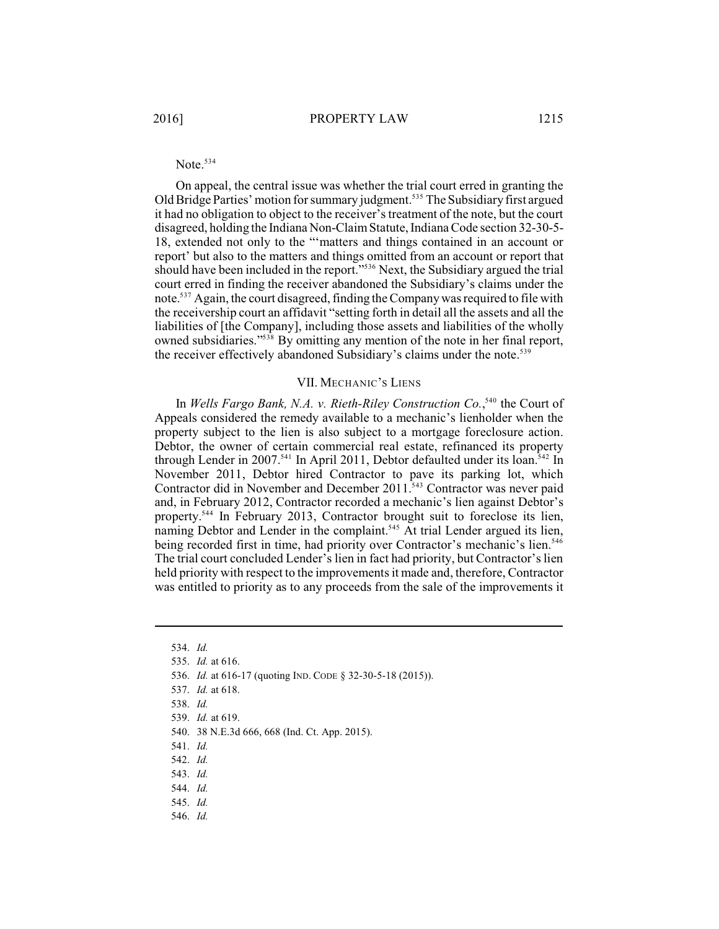## Note. 534

On appeal, the central issue was whether the trial court erred in granting the Old Bridge Parties' motion for summary judgment.<sup>535</sup> The Subsidiary first argued it had no obligation to object to the receiver'streatment of the note, but the court disagreed, holding the Indiana Non-Claim Statute, IndianaCode section 32-30-5- 18, extended not only to the "'matters and things contained in an account or report' but also to the matters and things omitted from an account or report that should have been included in the report."<sup>536</sup> Next, the Subsidiary argued the trial court erred in finding the receiver abandoned the Subsidiary's claims under the note.<sup>537</sup> Again, the court disagreed, finding the Company was required to file with the receivership court an affidavit "setting forth in detail all the assets and all the liabilities of [the Company], including those assets and liabilities of the wholly owned subsidiaries."<sup>538</sup> By omitting any mention of the note in her final report, the receiver effectively abandoned Subsidiary's claims under the note.<sup>539</sup>

#### VII. MECHANIC'S LIENS

In *Wells Fargo Bank, N.A. v. Rieth-Riley Construction Co.*<sup>540</sup> the Court of Appeals considered the remedy available to a mechanic's lienholder when the property subject to the lien is also subject to a mortgage foreclosure action. Debtor, the owner of certain commercial real estate, refinanced its property through Lender in 2007.<sup>541</sup> In April 2011, Debtor defaulted under its loan.<sup>542</sup> In November 2011, Debtor hired Contractor to pave its parking lot, which Contractor did in November and December 2011.<sup>543</sup> Contractor was never paid and, in February 2012, Contractor recorded a mechanic's lien against Debtor's property.<sup>544</sup> In February 2013, Contractor brought suit to foreclose its lien, naming Debtor and Lender in the complaint.<sup>545</sup> At trial Lender argued its lien, being recorded first in time, had priority over Contractor's mechanic's lien.<sup>546</sup> The trial court concluded Lender's lien in fact had priority, but Contractor's lien held priority with respect to the improvements it made and, therefore, Contractor was entitled to priority as to any proceeds from the sale of the improvements it

- 536. *Id.* at 616-17 (quoting IND. CODE § 32-30-5-18 (2015)).
- 537. *Id.* at 618.
- 538. *Id.*
- 539. *Id.* at 619.

- 541. *Id.*
- 542. *Id.*
- 543. *Id.*
- 544. *Id.*
- 545. *Id.*
- 546. *Id.*

<sup>534.</sup> *Id.*

<sup>535.</sup> *Id.* at 616.

<sup>540.</sup> 38 N.E.3d 666, 668 (Ind. Ct. App. 2015).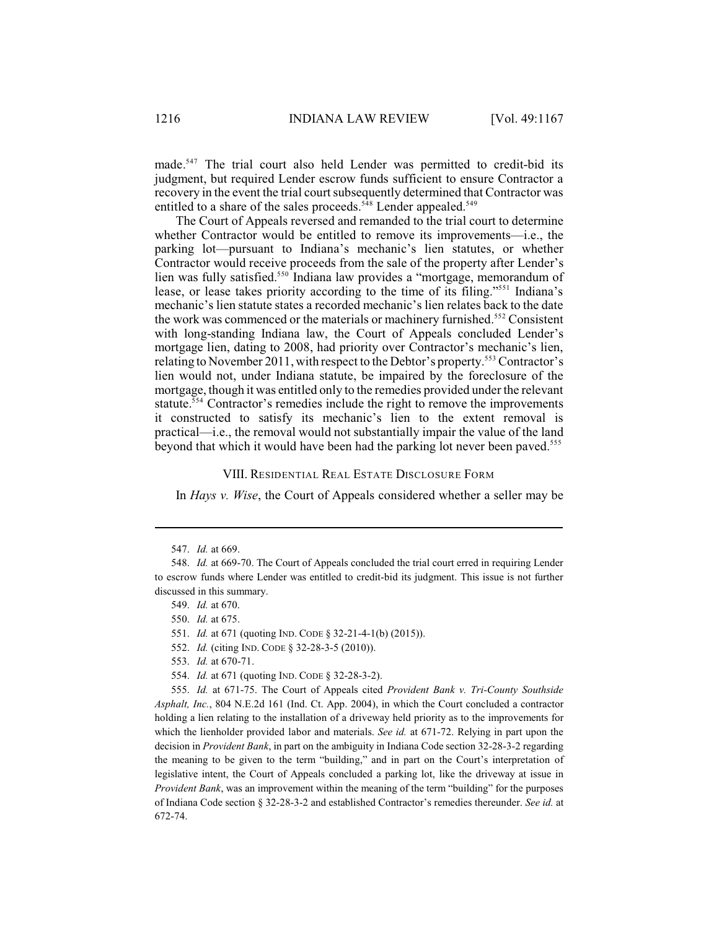made.<sup>547</sup> The trial court also held Lender was permitted to credit-bid its judgment, but required Lender escrow funds sufficient to ensure Contractor a recovery in the event the trial court subsequently determined that Contractor was entitled to a share of the sales proceeds.<sup> $548$ </sup> Lender appealed.<sup> $549$ </sup>

The Court of Appeals reversed and remanded to the trial court to determine whether Contractor would be entitled to remove its improvements—i.e., the parking lot—pursuant to Indiana's mechanic's lien statutes, or whether Contractor would receive proceeds from the sale of the property after Lender's lien was fully satisfied.<sup>550</sup> Indiana law provides a "mortgage, memorandum of lease, or lease takes priority according to the time of its filing."<sup>551</sup> Indiana's mechanic's lien statute states a recorded mechanic's lien relates back to the date the work was commenced or the materials or machinery furnished.<sup>552</sup> Consistent with long-standing Indiana law, the Court of Appeals concluded Lender's mortgage lien, dating to 2008, had priority over Contractor's mechanic's lien, relating to November 2011, with respect to the Debtor's property.<sup>553</sup> Contractor's lien would not, under Indiana statute, be impaired by the foreclosure of the mortgage, though it was entitled only to the remedies provided under the relevant statute.<sup>554</sup> Contractor's remedies include the right to remove the improvements it constructed to satisfy its mechanic's lien to the extent removal is practical—i.e., the removal would not substantially impair the value of the land beyond that which it would have been had the parking lot never been paved.<sup>555</sup>

#### VIII. RESIDENTIAL REAL ESTATE DISCLOSURE FORM

In *Hays v. Wise*, the Court of Appeals considered whether a seller may be

- 552. *Id.* (citing IND. CODE § 32-28-3-5 (2010)).
- 553. *Id.* at 670-71.
- 554. *Id.* at 671 (quoting IND. CODE § 32-28-3-2).

555. *Id.* at 671-75. The Court of Appeals cited *Provident Bank v. Tri-County Southside Asphalt, Inc.*, 804 N.E.2d 161 (Ind. Ct. App. 2004), in which the Court concluded a contractor holding a lien relating to the installation of a driveway held priority as to the improvements for which the lienholder provided labor and materials. *See id.* at 671-72. Relying in part upon the decision in *Provident Bank*, in part on the ambiguity in Indiana Code section 32-28-3-2 regarding the meaning to be given to the term "building," and in part on the Court's interpretation of legislative intent, the Court of Appeals concluded a parking lot, like the driveway at issue in *Provident Bank*, was an improvement within the meaning of the term "building" for the purposes of Indiana Code section § 32-28-3-2 and established Contractor's remedies thereunder. *See id.* at 672-74.

<sup>547.</sup> *Id.* at 669.

<sup>548.</sup> *Id.* at 669-70. The Court of Appeals concluded the trial court erred in requiring Lender to escrow funds where Lender was entitled to credit-bid its judgment. This issue is not further discussed in this summary.

<sup>549.</sup> *Id.* at 670.

<sup>550.</sup> *Id.* at 675.

<sup>551.</sup> *Id.* at 671 (quoting IND. CODE § 32-21-4-1(b) (2015)).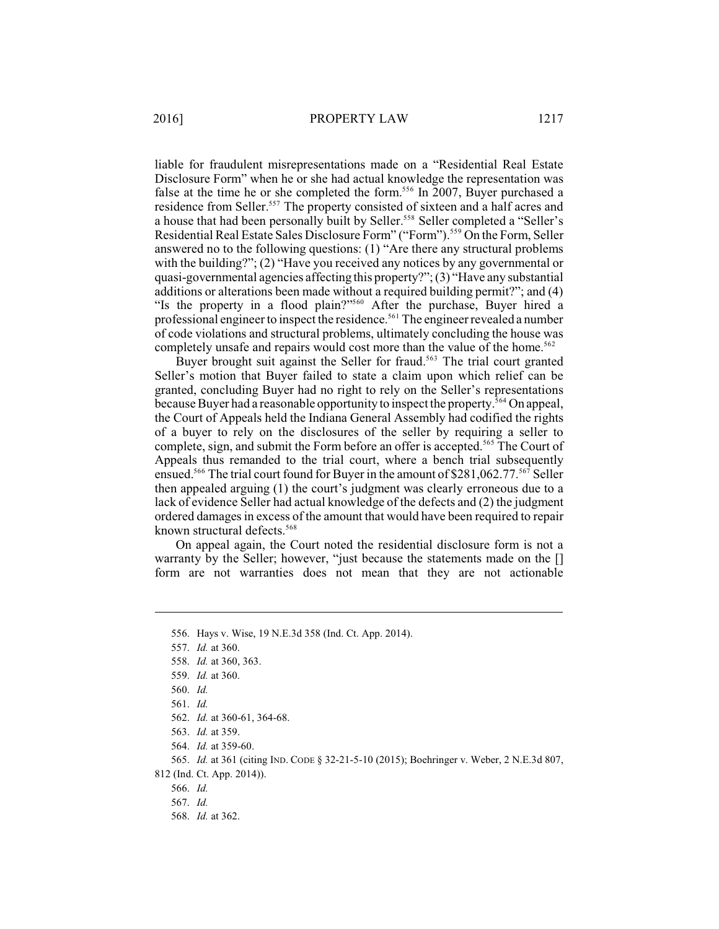liable for fraudulent misrepresentations made on a "Residential Real Estate Disclosure Form" when he or she had actual knowledge the representation was false at the time he or she completed the form.<sup>556</sup> In 2007, Buyer purchased a residence from Seller.<sup>557</sup> The property consisted of sixteen and a half acres and a house that had been personally built by Seller.<sup>558</sup> Seller completed a "Seller's Residential Real Estate Sales Disclosure Form" ("Form").<sup>559</sup> On the Form, Seller answered no to the following questions: (1) "Are there any structural problems with the building?"; (2) "Have you received any notices by any governmental or quasi-governmental agencies affecting this property?";(3) "Have any substantial additions or alterations been made without a required building permit?"; and (4) "Is the property in a flood plain?"<sup>560</sup> After the purchase, Buyer hired a professional engineer to inspect the residence.<sup>561</sup> The engineer revealed a number of code violations and structural problems, ultimately concluding the house was completely unsafe and repairs would cost more than the value of the home.<sup>562</sup>

Buyer brought suit against the Seller for fraud.<sup>563</sup> The trial court granted Seller's motion that Buyer failed to state a claim upon which relief can be granted, concluding Buyer had no right to rely on the Seller's representations because Buyer had a reasonable opportunity to inspect the property.<sup>564</sup> On appeal, the Court of Appeals held the Indiana General Assembly had codified the rights of a buyer to rely on the disclosures of the seller by requiring a seller to complete, sign, and submit the Form before an offer is accepted.<sup>565</sup> The Court of Appeals thus remanded to the trial court, where a bench trial subsequently ensued.<sup>566</sup> The trial court found for Buyer in the amount of \$281,062.77.<sup>567</sup> Seller then appealed arguing (1) the court's judgment was clearly erroneous due to a lack of evidence Seller had actual knowledge of the defects and (2) the judgment ordered damages in excess of the amount that would have been required to repair known structural defects.<sup>568</sup>

On appeal again, the Court noted the residential disclosure form is not a warranty by the Seller; however, "just because the statements made on the [] form are not warranties does not mean that they are not actionable

561. *Id.*

812 (Ind. Ct. App. 2014)).

566. *Id.*

567. *Id.*

568. *Id.* at 362.

<sup>556.</sup> Hays v. Wise, 19 N.E.3d 358 (Ind. Ct. App. 2014).

<sup>557.</sup> *Id.* at 360.

<sup>558.</sup> *Id.* at 360, 363.

<sup>559.</sup> *Id.* at 360.

<sup>560.</sup> *Id.*

<sup>562.</sup> *Id.* at 360-61, 364-68.

<sup>563.</sup> *Id.* at 359.

<sup>564.</sup> *Id.* at 359-60.

<sup>565.</sup> *Id.* at 361 (citing IND. CODE § 32-21-5-10 (2015); Boehringer v. Weber, 2 N.E.3d 807,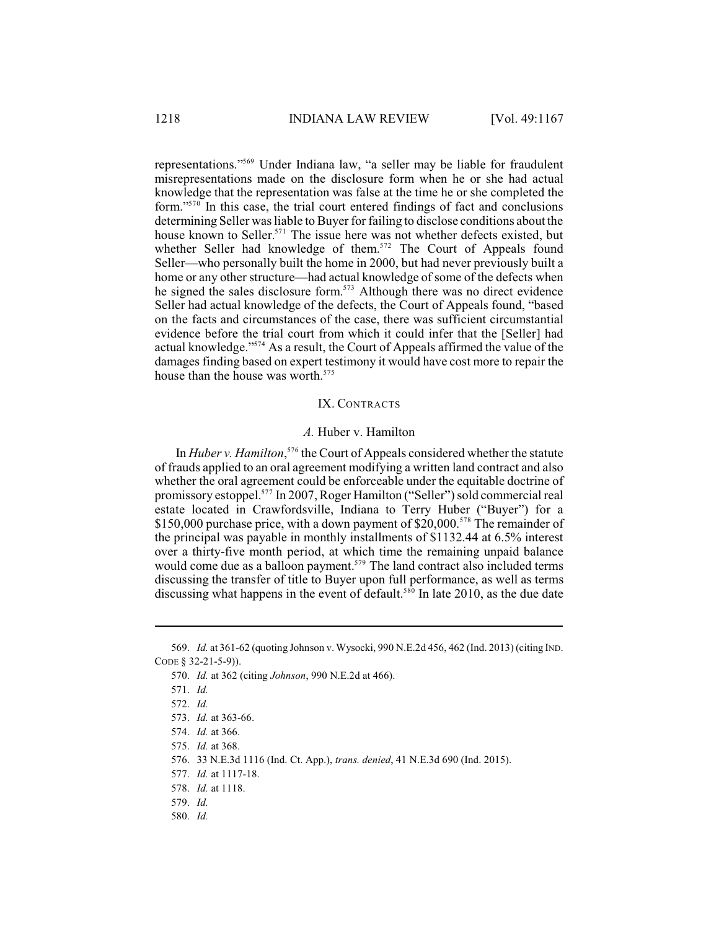representations."<sup>569</sup> Under Indiana law, "a seller may be liable for fraudulent misrepresentations made on the disclosure form when he or she had actual knowledge that the representation was false at the time he or she completed the form." $570$  In this case, the trial court entered findings of fact and conclusions determining Seller was liable to Buyer for failing to disclose conditions about the house known to Seller.<sup>571</sup> The issue here was not whether defects existed, but whether Seller had knowledge of them.<sup>572</sup> The Court of Appeals found Seller—who personally built the home in 2000, but had never previously built a home or any other structure—had actual knowledge of some of the defects when he signed the sales disclosure form.<sup>573</sup> Although there was no direct evidence Seller had actual knowledge of the defects, the Court of Appeals found, "based on the facts and circumstances of the case, there was sufficient circumstantial evidence before the trial court from which it could infer that the [Seller] had actual knowledge."<sup>574</sup> As a result, the Court of Appeals affirmed the value of the damages finding based on expert testimony it would have cost more to repair the house than the house was worth.<sup>575</sup>

#### IX. CONTRACTS

### *A.* Huber v. Hamilton

In *Huber v. Hamilton*,<sup>576</sup> the Court of Appeals considered whether the statute of frauds applied to an oral agreement modifying a written land contract and also whether the oral agreement could be enforceable under the equitable doctrine of promissory estoppel.<sup>577</sup> In 2007, Roger Hamilton ("Seller") sold commercial real estate located in Crawfordsville, Indiana to Terry Huber ("Buyer") for a \$150,000 purchase price, with a down payment of \$20,000.<sup>578</sup> The remainder of the principal was payable in monthly installments of \$1132.44 at 6.5% interest over a thirty-five month period, at which time the remaining unpaid balance would come due as a balloon payment.<sup> $579$ </sup> The land contract also included terms discussing the transfer of title to Buyer upon full performance, as well as terms discussing what happens in the event of default.<sup>580</sup> In late 2010, as the due date

<sup>569.</sup> *Id.* at 361-62 (quoting Johnson v. Wysocki, 990 N.E.2d 456, 462 (Ind. 2013) (citing IND. CODE § 32-21-5-9)).

<sup>570.</sup> *Id.* at 362 (citing *Johnson*, 990 N.E.2d at 466).

<sup>571.</sup> *Id.* 

<sup>572.</sup> *Id.*

<sup>573.</sup> *Id.* at 363-66.

<sup>574.</sup> *Id.* at 366.

<sup>575.</sup> *Id.* at 368.

<sup>576.</sup> 33 N.E.3d 1116 (Ind. Ct. App.), *trans. denied*, 41 N.E.3d 690 (Ind. 2015).

<sup>577.</sup> *Id.* at 1117-18.

<sup>578.</sup> *Id.* at 1118.

<sup>579.</sup> *Id.*

<sup>580.</sup> *Id.*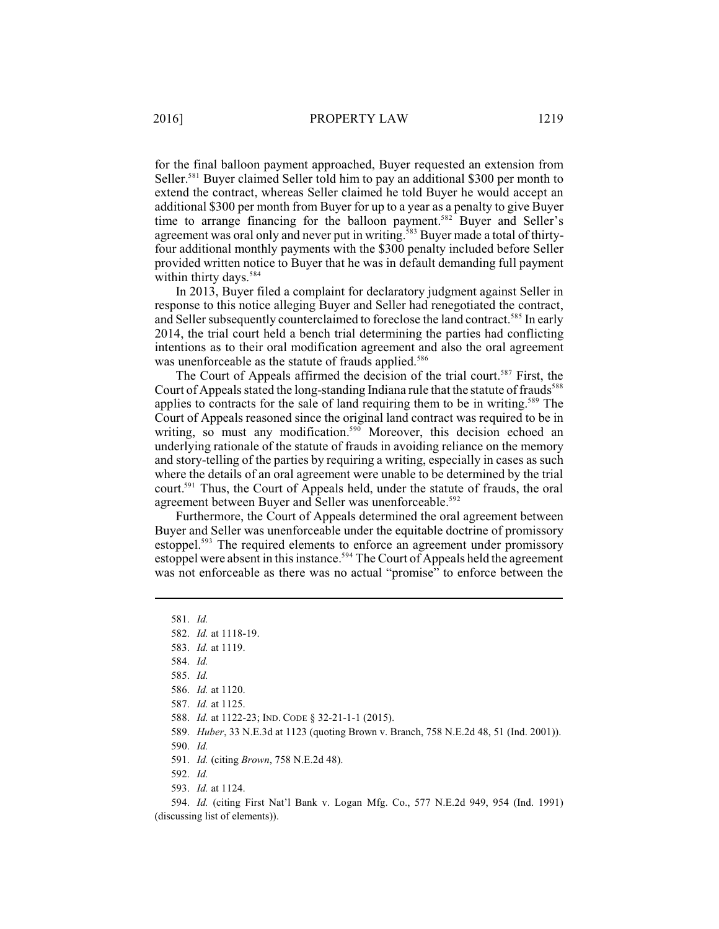for the final balloon payment approached, Buyer requested an extension from Seller.<sup>581</sup> Buyer claimed Seller told him to pay an additional \$300 per month to extend the contract, whereas Seller claimed he told Buyer he would accept an additional \$300 per month from Buyer for up to a year as a penalty to give Buyer time to arrange financing for the balloon payment.<sup>582</sup> Buyer and Seller's agreement was oral only and never put in writing.<sup>583</sup> Buyer made a total of thirtyfour additional monthly payments with the \$300 penalty included before Seller provided written notice to Buyer that he was in default demanding full payment within thirty days.<sup>584</sup>

In 2013, Buyer filed a complaint for declaratory judgment against Seller in response to this notice alleging Buyer and Seller had renegotiated the contract, and Seller subsequently counterclaimed to foreclose the land contract.<sup>585</sup> In early 2014, the trial court held a bench trial determining the parties had conflicting intentions as to their oral modification agreement and also the oral agreement was unenforceable as the statute of frauds applied.<sup>586</sup>

The Court of Appeals affirmed the decision of the trial court.<sup>587</sup> First, the Court of Appeals stated the long-standing Indiana rule that the statute of frauds<sup>588</sup> applies to contracts for the sale of land requiring them to be in writing.<sup>589</sup> The Court of Appeals reasoned since the original land contract was required to be in writing, so must any modification.<sup>590</sup> Moreover, this decision echoed an underlying rationale of the statute of frauds in avoiding reliance on the memory and story-telling of the parties by requiring a writing, especially in cases as such where the details of an oral agreement were unable to be determined by the trial court.<sup>591</sup> Thus, the Court of Appeals held, under the statute of frauds, the oral agreement between Buyer and Seller was unenforceable.<sup>592</sup>

Furthermore, the Court of Appeals determined the oral agreement between Buyer and Seller was unenforceable under the equitable doctrine of promissory estoppel.<sup>593</sup> The required elements to enforce an agreement under promissory estoppel were absent in this instance.<sup>594</sup> The Court of Appeals held the agreement was not enforceable as there was no actual "promise" to enforce between the

588. *Id.* at 1122-23; IND. CODE § 32-21-1-1 (2015).

593. *Id.* at 1124.

594. *Id.* (citing First Nat'l Bank v. Logan Mfg. Co., 577 N.E.2d 949, 954 (Ind. 1991) (discussing list of elements)).

<sup>581.</sup> *Id.*

<sup>582.</sup> *Id.* at 1118-19.

<sup>583.</sup> *Id.* at 1119.

<sup>584.</sup> *Id.*

<sup>585.</sup> *Id.*

<sup>586.</sup> *Id.* at 1120.

<sup>587.</sup> *Id.* at 1125.

<sup>589.</sup> *Huber*, 33 N.E.3d at 1123 (quoting Brown v. Branch, 758 N.E.2d 48, 51 (Ind. 2001)).

<sup>590.</sup> *Id.*

<sup>591.</sup> *Id.* (citing *Brown*, 758 N.E.2d 48).

<sup>592.</sup> *Id.*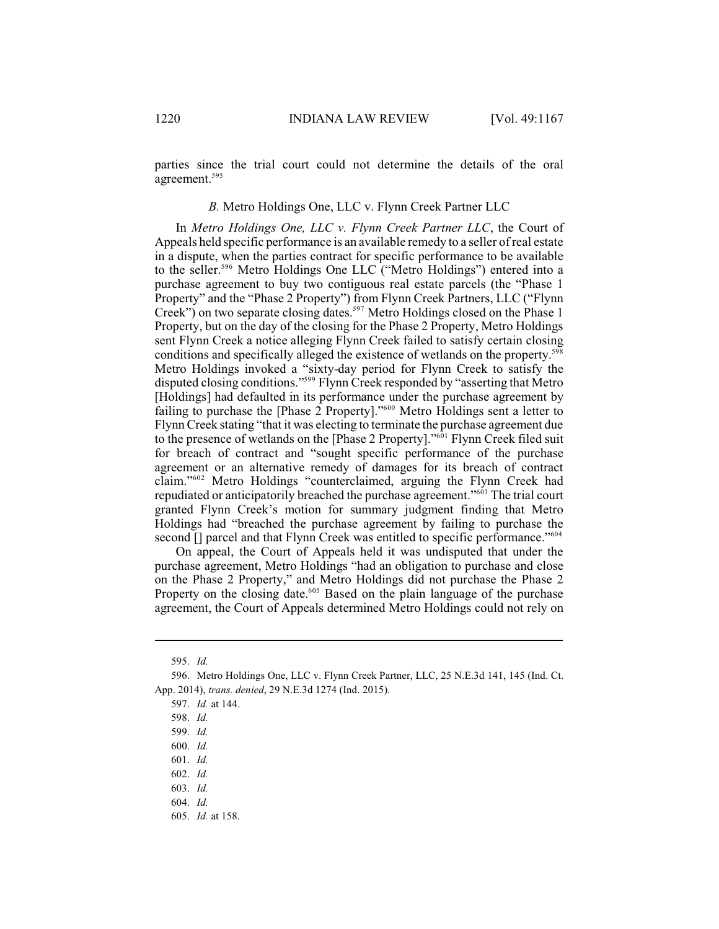parties since the trial court could not determine the details of the oral agreement. 595

### *B.* Metro Holdings One, LLC v. Flynn Creek Partner LLC

In *Metro Holdings One, LLC v. Flynn Creek Partner LLC*, the Court of Appeals held specific performance is an available remedy to a seller of real estate in a dispute, when the parties contract for specific performance to be available to the seller.<sup>596</sup> Metro Holdings One LLC ("Metro Holdings") entered into a purchase agreement to buy two contiguous real estate parcels (the "Phase 1 Property" and the "Phase 2 Property") from Flynn Creek Partners, LLC ("Flynn Creek") on two separate closing dates.<sup>597</sup> Metro Holdings closed on the Phase 1 Property, but on the day of the closing for the Phase 2 Property, Metro Holdings sent Flynn Creek a notice alleging Flynn Creek failed to satisfy certain closing conditions and specifically alleged the existence of wetlands on the property.<sup>598</sup> Metro Holdings invoked a "sixty-day period for Flynn Creek to satisfy the disputed closing conditions."<sup>599</sup> Flynn Creek responded by "asserting that Metro [Holdings] had defaulted in its performance under the purchase agreement by failing to purchase the [Phase  $2$  Property]."<sup>600</sup> Metro Holdings sent a letter to Flynn Creek stating "that it was electing to terminate the purchase agreement due to the presence of wetlands on the [Phase 2 Property]."<sup>601</sup> Flynn Creek filed suit for breach of contract and "sought specific performance of the purchase agreement or an alternative remedy of damages for its breach of contract claim."<sup>602</sup> Metro Holdings "counterclaimed, arguing the Flynn Creek had repudiated or anticipatorily breached the purchase agreement."<sup>603</sup> The trial court granted Flynn Creek's motion for summary judgment finding that Metro Holdings had "breached the purchase agreement by failing to purchase the second [] parcel and that Flynn Creek was entitled to specific performance."<sup>604</sup>

On appeal, the Court of Appeals held it was undisputed that under the purchase agreement, Metro Holdings "had an obligation to purchase and close on the Phase 2 Property," and Metro Holdings did not purchase the Phase 2 Property on the closing date.<sup> $605$ </sup> Based on the plain language of the purchase agreement, the Court of Appeals determined Metro Holdings could not rely on

<sup>595.</sup> *Id.*

<sup>596.</sup> Metro Holdings One, LLC v. Flynn Creek Partner, LLC, 25 N.E.3d 141, 145 (Ind. Ct. App. 2014), *trans. denied*, 29 N.E.3d 1274 (Ind. 2015).

<sup>597.</sup> *Id.* at 144.

<sup>598.</sup> *Id.*

<sup>599.</sup> *Id.*

<sup>600.</sup> *Id.*

<sup>601.</sup> *Id.*

<sup>602.</sup> *Id.*

<sup>603.</sup> *Id.*

<sup>604.</sup> *Id.*

<sup>605.</sup> *Id.* at 158.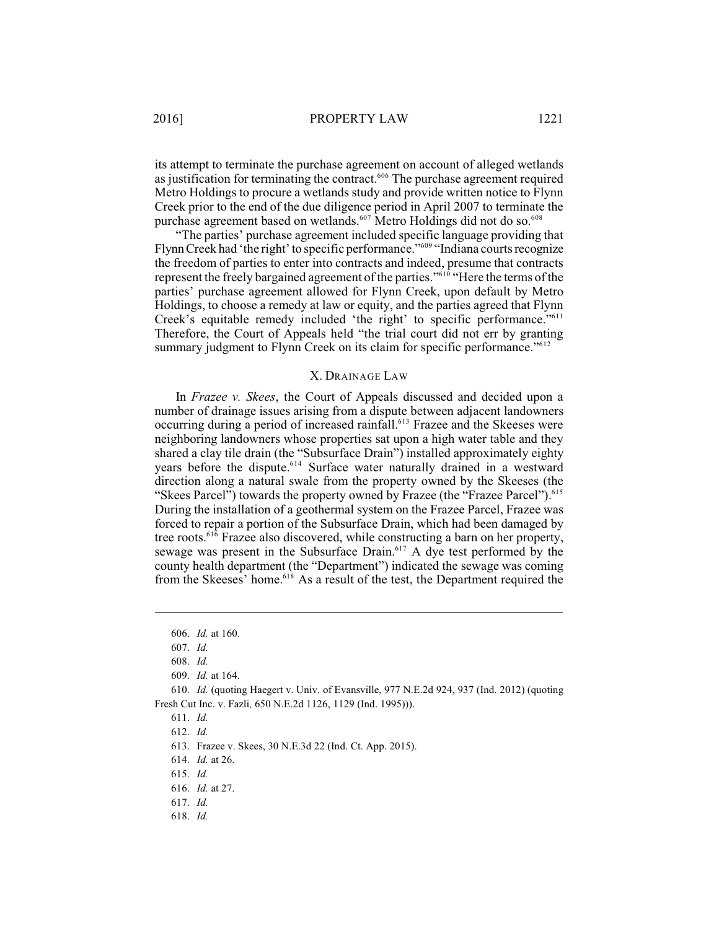its attempt to terminate the purchase agreement on account of alleged wetlands as justification for terminating the contract. $606$  The purchase agreement required Metro Holdings to procure a wetlands study and provide written notice to Flynn Creek prior to the end of the due diligence period in April 2007 to terminate the purchase agreement based on wetlands.<sup>607</sup> Metro Holdings did not do so.<sup>608</sup>

"The parties' purchase agreement included specific language providing that Flynn Creek had 'the right' to specific performance."<sup>609</sup> "Indiana courts recognize the freedom of parties to enter into contracts and indeed, presume that contracts represent the freely bargained agreement of the parties."<sup>610</sup> "Here the terms of the parties' purchase agreement allowed for Flynn Creek, upon default by Metro Holdings, to choose a remedy at law or equity, and the parties agreed that Flynn Creek's equitable remedy included 'the right' to specific performance."<sup>611</sup> Therefore, the Court of Appeals held "the trial court did not err by granting summary judgment to Flynn Creek on its claim for specific performance."<sup>612</sup>

#### X. DRAINAGE LAW

In *Frazee v. Skees*, the Court of Appeals discussed and decided upon a number of drainage issues arising from a dispute between adjacent landowners occurring during a period of increased rainfall.<sup>613</sup> Frazee and the Skeeses were neighboring landowners whose properties sat upon a high water table and they shared a clay tile drain (the "Subsurface Drain") installed approximately eighty years before the dispute.<sup>614</sup> Surface water naturally drained in a westward direction along a natural swale from the property owned by the Skeeses (the "Skees Parcel") towards the property owned by Frazee (the "Frazee Parcel").<sup>615</sup> During the installation of a geothermal system on the Frazee Parcel, Frazee was forced to repair a portion of the Subsurface Drain, which had been damaged by tree roots.  $61\overline{6}$  Frazee also discovered, while constructing a barn on her property, sewage was present in the Subsurface Drain. $617$  A dye test performed by the county health department (the "Department") indicated the sewage was coming from the Skeeses' home.<sup>618</sup> As a result of the test, the Department required the

614. *Id.* at 26.

<sup>606.</sup> *Id.* at 160.

<sup>607.</sup> *Id.*

<sup>608.</sup> *Id.*

<sup>609.</sup> *Id.* at 164.

<sup>610.</sup> *Id.* (quoting Haegert v. Univ. of Evansville, 977 N.E.2d 924, 937 (Ind. 2012) (quoting Fresh Cut Inc. v. Fazli*,* 650 N.E.2d 1126, 1129 (Ind. 1995))).

<sup>611.</sup> *Id.*

<sup>612.</sup> *Id.*

<sup>613.</sup> Frazee v. Skees, 30 N.E.3d 22 (Ind. Ct. App. 2015).

<sup>615.</sup> *Id.*

<sup>616.</sup> *Id.* at 27.

<sup>617.</sup> *Id.*

<sup>618.</sup> *Id.*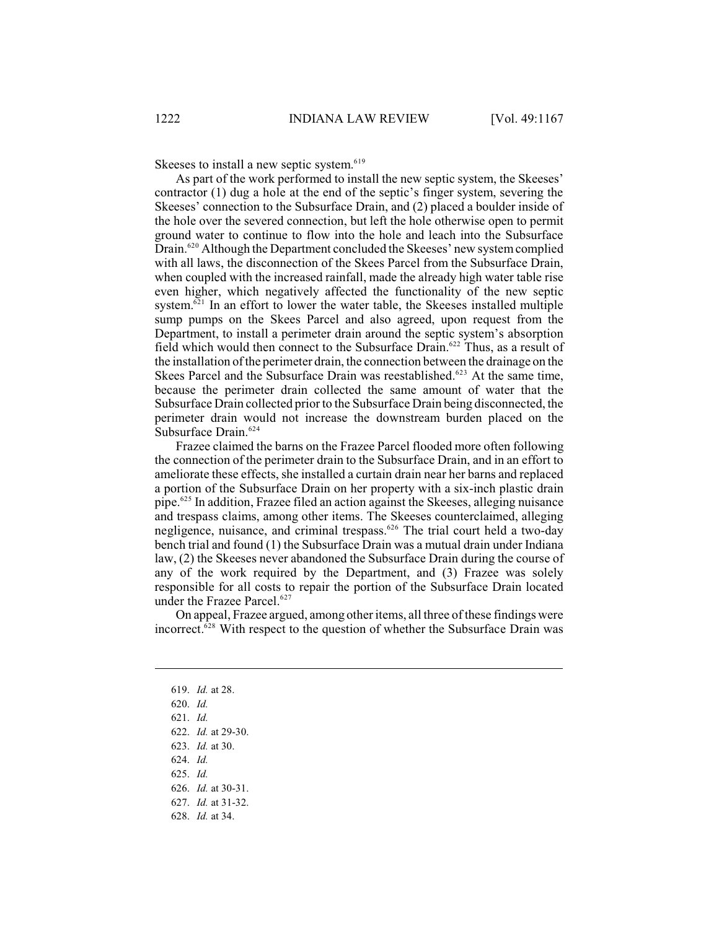Skeeses to install a new septic system.<sup>619</sup>

As part of the work performed to install the new septic system, the Skeeses' contractor (1) dug a hole at the end of the septic's finger system, severing the Skeeses' connection to the Subsurface Drain, and (2) placed a boulder inside of the hole over the severed connection, but left the hole otherwise open to permit ground water to continue to flow into the hole and leach into the Subsurface Drain.<sup>620</sup> Although the Department concluded the Skeeses' new system complied with all laws, the disconnection of the Skees Parcel from the Subsurface Drain, when coupled with the increased rainfall, made the already high water table rise even higher, which negatively affected the functionality of the new septic system. $621$  In an effort to lower the water table, the Skeeses installed multiple sump pumps on the Skees Parcel and also agreed, upon request from the Department, to install a perimeter drain around the septic system's absorption field which would then connect to the Subsurface Drain.<sup>622</sup> Thus, as a result of the installation of the perimeter drain, the connection between the drainage on the Skees Parcel and the Subsurface Drain was reestablished.<sup> $623$ </sup> At the same time, because the perimeter drain collected the same amount of water that the Subsurface Drain collected prior to the Subsurface Drain being disconnected, the perimeter drain would not increase the downstream burden placed on the Subsurface Drain.<sup>624</sup>

Frazee claimed the barns on the Frazee Parcel flooded more often following the connection of the perimeter drain to the Subsurface Drain, and in an effort to ameliorate these effects, she installed a curtain drain near her barns and replaced a portion of the Subsurface Drain on her property with a six-inch plastic drain pipe.<sup>625</sup> In addition, Frazee filed an action against the Skeeses, alleging nuisance and trespass claims, among other items. The Skeeses counterclaimed, alleging negligence, nuisance, and criminal trespass.<sup> $626$ </sup> The trial court held a two-day bench trial and found (1) the Subsurface Drain was a mutual drain under Indiana law, (2) the Skeeses never abandoned the Subsurface Drain during the course of any of the work required by the Department, and (3) Frazee was solely responsible for all costs to repair the portion of the Subsurface Drain located under the Frazee Parcel. 627

On appeal, Frazee argued, among otheritems, all three of these findings were incorrect.<sup> $628$ </sup> With respect to the question of whether the Subsurface Drain was

- 624. *Id.*
- 625. *Id.*

<sup>619.</sup> *Id.* at 28.

<sup>620.</sup> *Id.*

<sup>621.</sup> *Id.*

<sup>622.</sup> *Id.* at 29-30.

<sup>623.</sup> *Id.* at 30.

<sup>626.</sup> *Id.* at 30-31.

<sup>627.</sup> *Id.* at 31-32.

<sup>628.</sup> *Id.* at 34.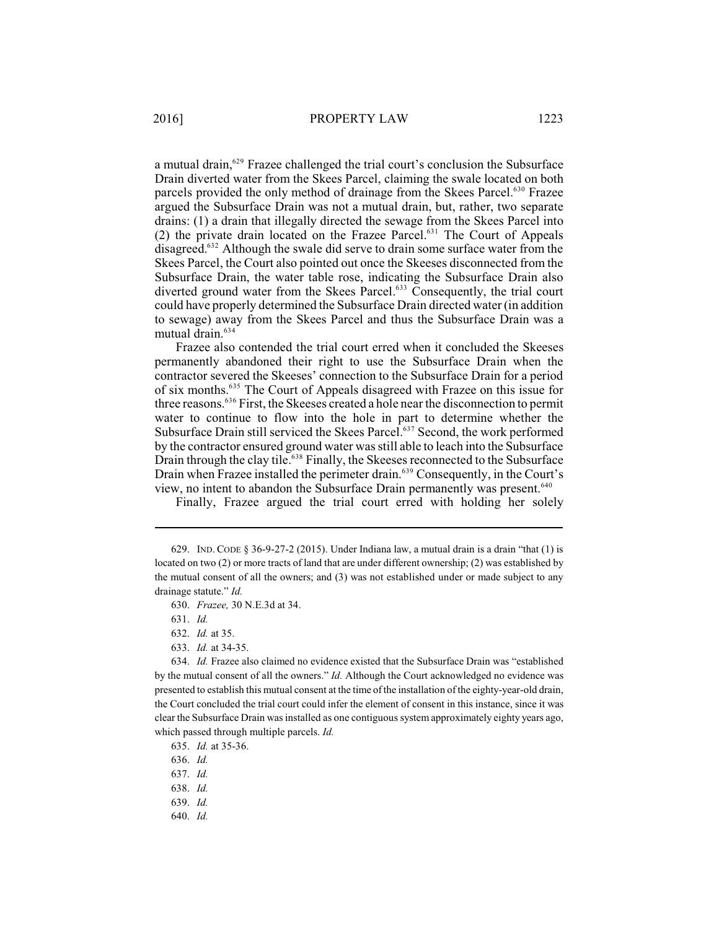a mutual drain,<sup>629</sup> Frazee challenged the trial court's conclusion the Subsurface Drain diverted water from the Skees Parcel, claiming the swale located on both parcels provided the only method of drainage from the Skees Parcel.<sup>630</sup> Frazee argued the Subsurface Drain was not a mutual drain, but, rather, two separate drains: (1) a drain that illegally directed the sewage from the Skees Parcel into (2) the private drain located on the Frazee Parcel. $631$  The Court of Appeals disagreed. $632$  Although the swale did serve to drain some surface water from the Skees Parcel, the Court also pointed out once the Skeeses disconnected from the Subsurface Drain, the water table rose, indicating the Subsurface Drain also diverted ground water from the Skees Parcel.<sup>633</sup> Consequently, the trial court could have properly determined the Subsurface Drain directed water (in addition to sewage) away from the Skees Parcel and thus the Subsurface Drain was a mutual drain.<sup>634</sup>

Frazee also contended the trial court erred when it concluded the Skeeses permanently abandoned their right to use the Subsurface Drain when the contractor severed the Skeeses' connection to the Subsurface Drain for a period of six months.<sup>635</sup> The Court of Appeals disagreed with Frazee on this issue for three reasons.<sup>636</sup> First, the Skeeses created a hole near the disconnection to permit water to continue to flow into the hole in part to determine whether the Subsurface Drain still serviced the Skees Parcel.<sup>637</sup> Second, the work performed by the contractor ensured ground water was still able to leach into the Subsurface Drain through the clay tile.<sup> $638$ </sup> Finally, the Skeeses reconnected to the Subsurface Drain when Frazee installed the perimeter drain.<sup>639</sup> Consequently, in the Court's view, no intent to abandon the Subsurface Drain permanently was present.<sup>640</sup>

Finally, Frazee argued the trial court erred with holding her solely

- 632. *Id.* at 35.
- 633. *Id.* at 34-35.

634. *Id.* Frazee also claimed no evidence existed that the Subsurface Drain was "established by the mutual consent of all the owners." *Id.* Although the Court acknowledged no evidence was presented to establish this mutual consent at the time of the installation of the eighty-year-old drain, the Court concluded the trial court could infer the element of consent in this instance, since it was clear the Subsurface Drain was installed as one contiguous system approximately eighty years ago, which passed through multiple parcels. *Id.*

- 636. *Id.*
- 637. *Id.*
- 638. *Id.*
- 639. *Id.*
- 640. *Id.*

<sup>629.</sup> IND. CODE § 36-9-27-2 (2015). Under Indiana law, a mutual drain is a drain "that (1) is located on two (2) or more tracts of land that are under different ownership; (2) was established by the mutual consent of all the owners; and (3) was not established under or made subject to any drainage statute." *Id.*

<sup>630.</sup> *Frazee,* 30 N.E.3d at 34.

<sup>631.</sup> *Id.*

<sup>635.</sup> *Id.* at 35-36.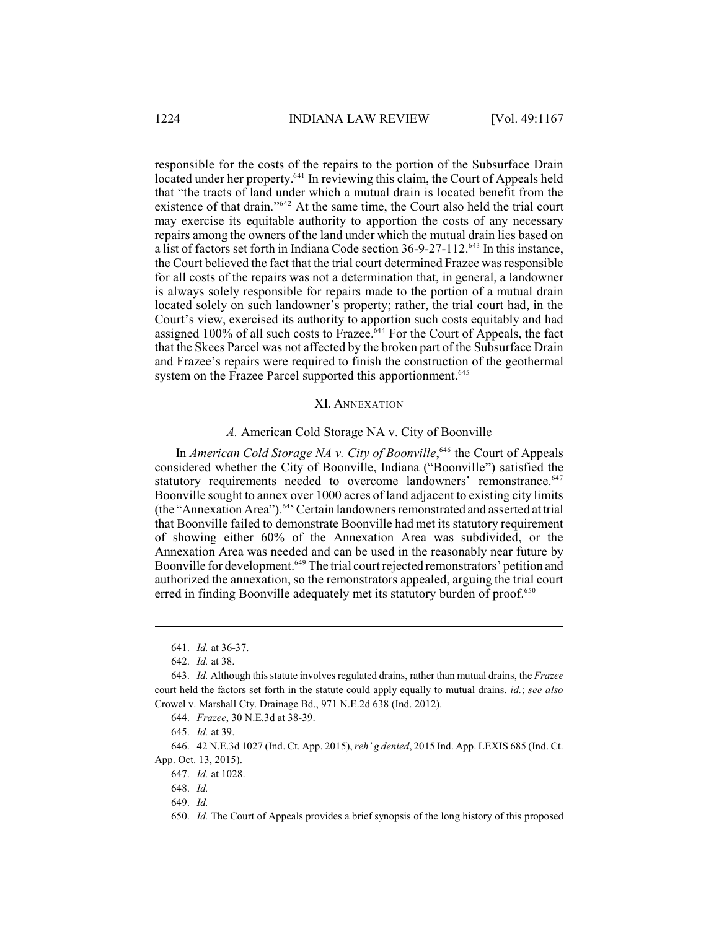responsible for the costs of the repairs to the portion of the Subsurface Drain located under her property.<sup>641</sup> In reviewing this claim, the Court of Appeals held that "the tracts of land under which a mutual drain is located benefit from the existence of that drain." $642$  At the same time, the Court also held the trial court may exercise its equitable authority to apportion the costs of any necessary repairs among the owners of the land under which the mutual drain lies based on a list of factors set forth in Indiana Code section 36-9-27-112.<sup>643</sup> In this instance, the Court believed the fact that the trial court determined Frazee was responsible for all costs of the repairs was not a determination that, in general, a landowner is always solely responsible for repairs made to the portion of a mutual drain located solely on such landowner's property; rather, the trial court had, in the Court's view, exercised its authority to apportion such costs equitably and had assigned 100% of all such costs to Frazee.<sup>644</sup> For the Court of Appeals, the fact that the Skees Parcel was not affected by the broken part of the Subsurface Drain and Frazee's repairs were required to finish the construction of the geothermal system on the Frazee Parcel supported this apportionment.<sup>645</sup>

#### XI. ANNEXATION

#### *A.* American Cold Storage NA v. City of Boonville

In *American Cold Storage NA v. City of Boonville*,<sup>646</sup> the Court of Appeals considered whether the City of Boonville, Indiana ("Boonville") satisfied the statutory requirements needed to overcome landowners' remonstrance.<sup>647</sup> Boonville sought to annex over 1000 acres of land adjacent to existing city limits (the "Annexation Area").<sup>648</sup> Certain landowners remonstrated and asserted at trial that Boonville failed to demonstrate Boonville had met its statutory requirement of showing either 60% of the Annexation Area was subdivided, or the Annexation Area was needed and can be used in the reasonably near future by Boonville for development.<sup>649</sup> The trial court rejected remonstrators' petition and authorized the annexation, so the remonstrators appealed, arguing the trial court erred in finding Boonville adequately met its statutory burden of proof.<sup>650</sup>

645. *Id.* at 39.

<sup>641.</sup> *Id.* at 36-37.

<sup>642.</sup> *Id.* at 38.

<sup>643.</sup> *Id.* Although this statute involves regulated drains, rather than mutual drains, the *Frazee* court held the factors set forth in the statute could apply equally to mutual drains. *id.*; *see also* Crowel v. Marshall Cty. Drainage Bd., 971 N.E.2d 638 (Ind. 2012).

<sup>644.</sup> *Frazee*, 30 N.E.3d at 38-39.

<sup>646.</sup> 42 N.E.3d 1027 (Ind. Ct. App. 2015), *reh' g denied*, 2015 Ind. App. LEXIS 685 (Ind. Ct. App. Oct. 13, 2015).

<sup>647.</sup> *Id.* at 1028.

<sup>648.</sup> *Id.*

<sup>649.</sup> *Id.*

<sup>650.</sup> *Id.* The Court of Appeals provides a brief synopsis of the long history of this proposed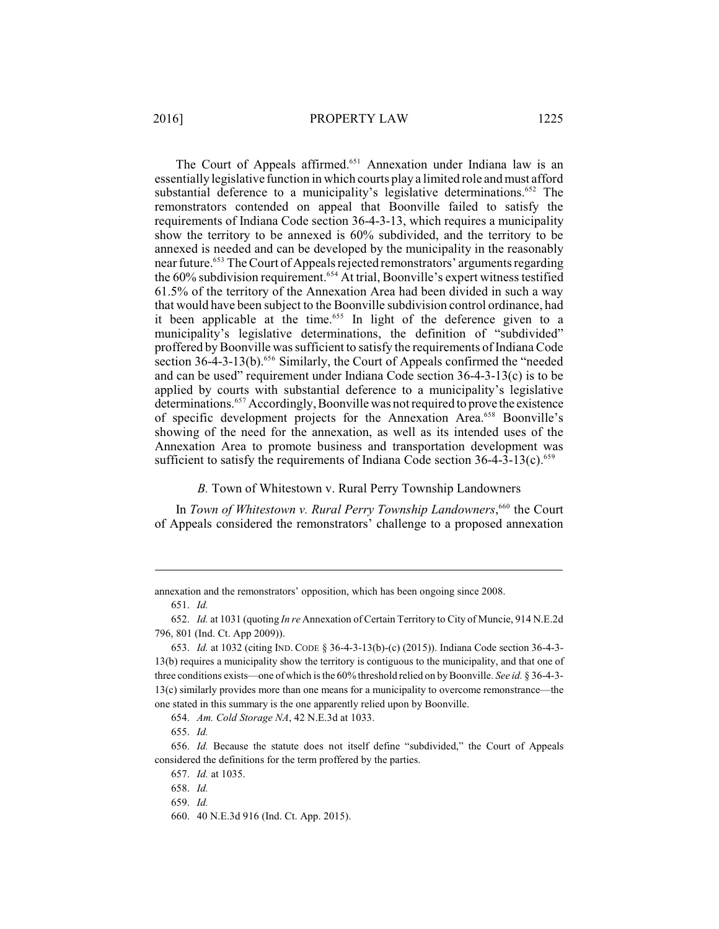The Court of Appeals affirmed.<sup>651</sup> Annexation under Indiana law is an essentially legislative function in which courts play a limited role and must afford substantial deference to a municipality's legislative determinations.<sup>652</sup> The remonstrators contended on appeal that Boonville failed to satisfy the requirements of Indiana Code section 36-4-3-13, which requires a municipality show the territory to be annexed is 60% subdivided, and the territory to be annexed is needed and can be developed by the municipality in the reasonably near future.<sup>653</sup> The Court of Appeals rejected remonstrators' arguments regarding the 60% subdivision requirement.<sup>654</sup> At trial, Boonville's expert witness testified 61.5% of the territory of the Annexation Area had been divided in such a way that would have been subject to the Boonville subdivision control ordinance, had it been applicable at the time.<sup>655</sup> In light of the deference given to a municipality's legislative determinations, the definition of "subdivided" proffered by Boonville was sufficient to satisfy the requirements of Indiana Code section 36-4-3-13(b).<sup>656</sup> Similarly, the Court of Appeals confirmed the "needed and can be used" requirement under Indiana Code section 36-4-3-13(c) is to be applied by courts with substantial deference to a municipality's legislative determinations.<sup>657</sup> Accordingly, Boonville was not required to prove the existence of specific development projects for the Annexation Area.<sup>658</sup> Boonville's showing of the need for the annexation, as well as its intended uses of the Annexation Area to promote business and transportation development was sufficient to satisfy the requirements of Indiana Code section  $36-4-3-13(c)$ .<sup>659</sup>

### *B.* Town of Whitestown v. Rural Perry Township Landowners

In *Town of Whitestown v. Rural Perry Township Landowners*,<sup>660</sup> the Court of Appeals considered the remonstrators' challenge to a proposed annexation

annexation and the remonstrators' opposition, which has been ongoing since 2008.

654. *Am. Cold Storage NA*, 42 N.E.3d at 1033.

655. *Id.*

<sup>651.</sup> *Id.*

<sup>652.</sup> *Id.* at 1031 (quoting *In re* Annexation of Certain Territory to City of Muncie, 914 N.E.2d 796, 801 (Ind. Ct. App 2009)).

<sup>653.</sup> *Id.* at 1032 (citing IND. CODE § 36-4-3-13(b)-(c) (2015)). Indiana Code section 36-4-3- 13(b) requires a municipality show the territory is contiguous to the municipality, and that one of three conditions exists—one of which is the 60% threshold relied on byBoonville. *See id.* § 36-4-3- 13(c) similarly provides more than one means for a municipality to overcome remonstrance—the one stated in this summary is the one apparently relied upon by Boonville.

<sup>656.</sup> *Id.* Because the statute does not itself define "subdivided," the Court of Appeals considered the definitions for the term proffered by the parties.

<sup>657.</sup> *Id.* at 1035.

<sup>658.</sup> *Id.*

<sup>659.</sup> *Id.*

<sup>660.</sup> 40 N.E.3d 916 (Ind. Ct. App. 2015).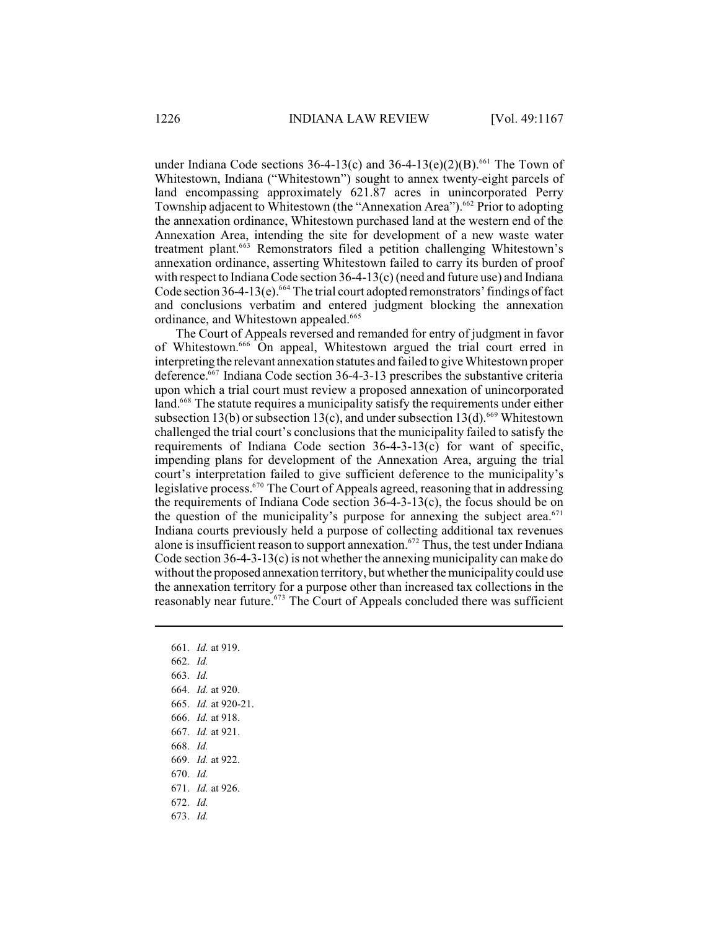under Indiana Code sections  $36-4-13(c)$  and  $36-4-13(e)(2)(B)$ . <sup>661</sup> The Town of Whitestown, Indiana ("Whitestown") sought to annex twenty-eight parcels of land encompassing approximately 621.87 acres in unincorporated Perry Township adjacent to Whitestown (the "Annexation Area").<sup>662</sup> Prior to adopting the annexation ordinance, Whitestown purchased land at the western end of the Annexation Area, intending the site for development of a new waste water treatment plant.<sup>663</sup> Remonstrators filed a petition challenging Whitestown's annexation ordinance, asserting Whitestown failed to carry its burden of proof with respect to Indiana Code section  $36-4-13(c)$  (need and future use) and Indiana Code section 36-4-13(e).  $664$  The trial court adopted remonstrators' findings of fact and conclusions verbatim and entered judgment blocking the annexation ordinance, and Whitestown appealed.<sup>665</sup>

The Court of Appeals reversed and remanded for entry of judgment in favor of Whitestown.<sup>666</sup> On appeal, Whitestown argued the trial court erred in interpreting the relevant annexation statutes and failed to give Whitestown proper deference. $667$  Indiana Code section 36-4-3-13 prescribes the substantive criteria upon which a trial court must review a proposed annexation of unincorporated land.<sup>668</sup> The statute requires a municipality satisfy the requirements under either subsection 13(b) or subsection 13(c), and under subsection 13(d). <sup>669</sup> Whitestown challenged the trial court's conclusions that the municipality failed to satisfy the requirements of Indiana Code section  $36-4-3-13(c)$  for want of specific, impending plans for development of the Annexation Area, arguing the trial court's interpretation failed to give sufficient deference to the municipality's legislative process.  $570$  The Court of Appeals agreed, reasoning that in addressing the requirements of Indiana Code section 36-4-3-13(c), the focus should be on the question of the municipality's purpose for annexing the subject area. $671$ Indiana courts previously held a purpose of collecting additional tax revenues alone is insufficient reason to support annexation.  $672$  Thus, the test under Indiana Code section 36-4-3-13(c) is not whether the annexing municipality can make do without the proposed annexation territory, but whether the municipality could use the annexation territory for a purpose other than increased tax collections in the reasonably near future.<sup>673</sup> The Court of Appeals concluded there was sufficient

661. *Id.* at 919. 662. *Id.* 663. *Id.* 664. *Id.* at 920. 665. *Id.* at 920-21. 666. *Id.* at 918. 667. *Id.* at 921. 668. *Id.* 669. *Id.* at 922. 670. *Id.* 671. *Id.* at 926. 672. *Id.* 673. *Id.*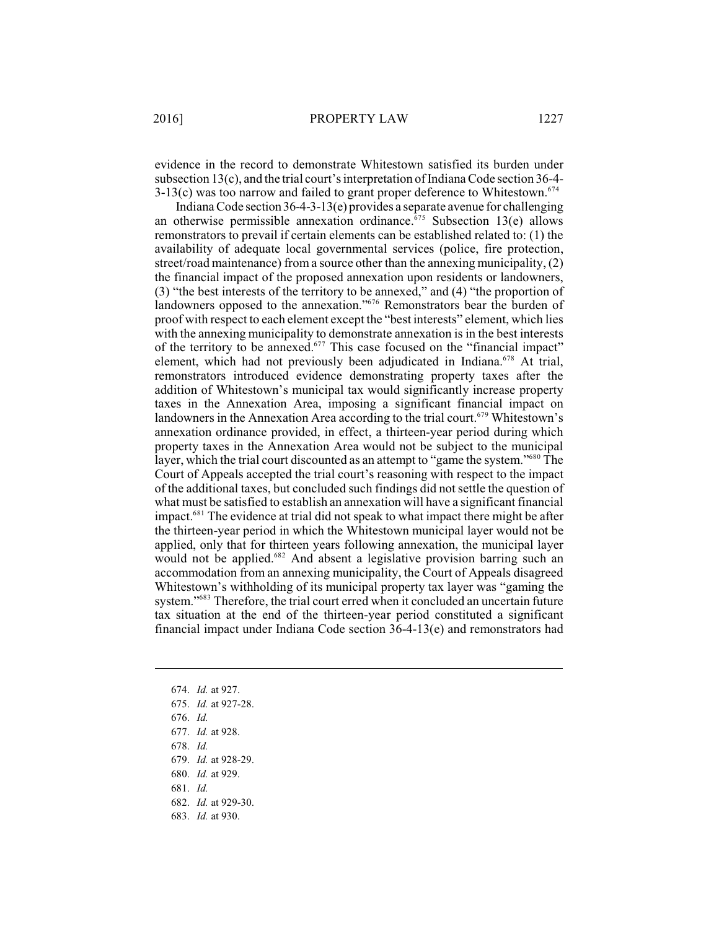2016] PROPERTY LAW 1227

evidence in the record to demonstrate Whitestown satisfied its burden under subsection  $13(c)$ , and the trial court's interpretation of Indiana Code section 36-4- $3-13(c)$  was too narrow and failed to grant proper deference to Whitestown.<sup>674</sup>

Indiana Code section 36-4-3-13(e) provides a separate avenue for challenging an otherwise permissible annexation ordinance.  $675$  Subsection 13(e) allows remonstrators to prevail if certain elements can be established related to: (1) the availability of adequate local governmental services (police, fire protection, street/road maintenance) from a source other than the annexing municipality, (2) the financial impact of the proposed annexation upon residents or landowners, (3) "the best interests of the territory to be annexed," and (4) "the proportion of landowners opposed to the annexation."<sup>676</sup> Remonstrators bear the burden of proof with respect to each element except the "best interests" element, which lies with the annexing municipality to demonstrate annexation is in the best interests of the territory to be annexed. $677$  This case focused on the "financial impact" element, which had not previously been adjudicated in Indiana.<sup> $678$ </sup> At trial, remonstrators introduced evidence demonstrating property taxes after the addition of Whitestown's municipal tax would significantly increase property taxes in the Annexation Area, imposing a significant financial impact on landowners in the Annexation Area according to the trial court.<sup>679</sup> Whitestown's annexation ordinance provided, in effect, a thirteen-year period during which property taxes in the Annexation Area would not be subject to the municipal layer, which the trial court discounted as an attempt to "game the system."<sup>680</sup> The Court of Appeals accepted the trial court's reasoning with respect to the impact of the additional taxes, but concluded such findings did not settle the question of what must be satisfied to establish an annexation will have a significant financial impact.<sup>681</sup> The evidence at trial did not speak to what impact there might be after the thirteen-year period in which the Whitestown municipal layer would not be applied, only that for thirteen years following annexation, the municipal layer would not be applied.<sup>682</sup> And absent a legislative provision barring such an accommodation from an annexing municipality, the Court of Appeals disagreed Whitestown's withholding of its municipal property tax layer was "gaming the system."<sup>683</sup> Therefore, the trial court erred when it concluded an uncertain future tax situation at the end of the thirteen-year period constituted a significant financial impact under Indiana Code section  $36-4-13(e)$  and remonstrators had

- 674. *Id.* at 927.
- 675. *Id.* at 927-28.
- 676. *Id.*
- 677. *Id.* at 928.
- 678. *Id.*
- 679. *Id.* at 928-29.
- 680. *Id.* at 929.
- 681. *Id.*
- 682. *Id.* at 929-30.
- 683. *Id.* at 930.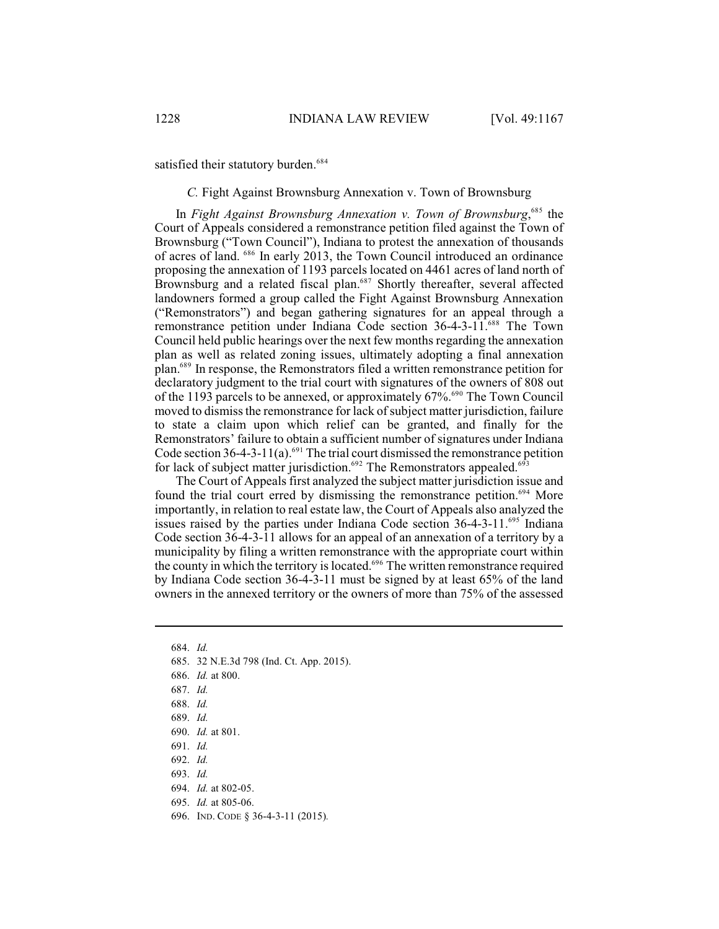satisfied their statutory burden.<sup>684</sup>

*C.* Fight Against Brownsburg Annexation v. Town of Brownsburg

In *Fight Against Brownsburg Annexation v. Town of Brownsburg*<sup>685</sup>, the Court of Appeals considered a remonstrance petition filed against the Town of Brownsburg ("Town Council"), Indiana to protest the annexation of thousands of acres of land. <sup>686</sup> In early 2013, the Town Council introduced an ordinance proposing the annexation of 1193 parcels located on 4461 acres of land north of Brownsburg and a related fiscal plan.<sup>687</sup> Shortly thereafter, several affected landowners formed a group called the Fight Against Brownsburg Annexation ("Remonstrators") and began gathering signatures for an appeal through a remonstrance petition under Indiana Code section 36-4-3-11.<sup>688</sup> The Town Council held public hearings over the next few months regarding the annexation plan as well as related zoning issues, ultimately adopting a final annexation plan.<sup>689</sup> In response, the Remonstrators filed a written remonstrance petition for declaratory judgment to the trial court with signatures of the owners of 808 out of the 1193 parcels to be annexed, or approximately  $67\%$ .<sup>690</sup> The Town Council moved to dismiss the remonstrance for lack of subject matter jurisdiction, failure to state a claim upon which relief can be granted, and finally for the Remonstrators' failure to obtain a sufficient number of signatures under Indiana Code section 36-4-3-11(a).<sup>691</sup> The trial court dismissed the remonstrance petition for lack of subject matter jurisdiction.<sup> $692$ </sup> The Remonstrators appealed.<sup> $693$ </sup>

The Court of Appeals first analyzed the subject matter jurisdiction issue and found the trial court erred by dismissing the remonstrance petition.<sup> $694$ </sup> More importantly, in relation to real estate law, the Court of Appeals also analyzed the issues raised by the parties under Indiana Code section  $36-4-3-11$ . <sup>695</sup> Indiana Code section 36-4-3-11 allows for an appeal of an annexation of a territory by a municipality by filing a written remonstrance with the appropriate court within the county in which the territory is located.<sup>696</sup> The written remonstrance required by Indiana Code section 36-4-3-11 must be signed by at least 65% of the land owners in the annexed territory or the owners of more than 75% of the assessed

<sup>684.</sup> *Id.*

<sup>685.</sup> 32 N.E.3d 798 (Ind. Ct. App. 2015).

<sup>686.</sup> *Id.* at 800.

<sup>687.</sup> *Id.*

<sup>688.</sup> *Id.*

<sup>689.</sup> *Id.*

<sup>690.</sup> *Id.* at 801.

<sup>691.</sup> *Id.*

<sup>692.</sup> *Id.*

<sup>693.</sup> *Id.*

<sup>694.</sup> *Id.* at 802-05.

<sup>695.</sup> *Id.* at 805-06.

<sup>696.</sup> IND. CODE § 36-4-3-11 (2015)*.*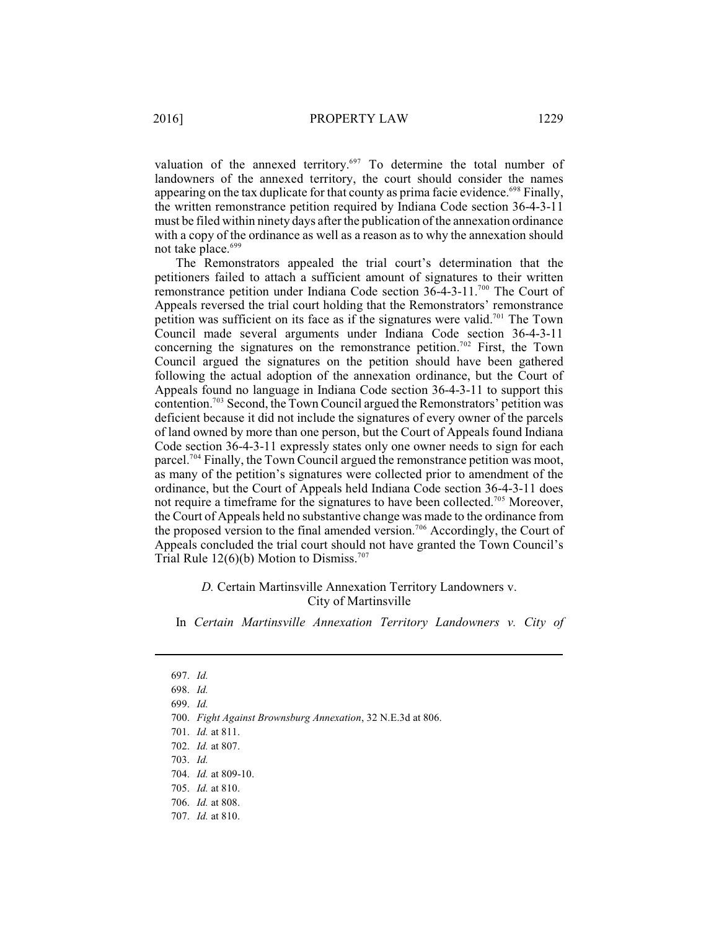valuation of the annexed territory.<sup>697</sup> To determine the total number of landowners of the annexed territory, the court should consider the names appearing on the tax duplicate for that county as prima facie evidence.<sup>698</sup> Finally, the written remonstrance petition required by Indiana Code section 36-4-3-11 must be filed within ninety days after the publication of the annexation ordinance with a copy of the ordinance as well as a reason as to why the annexation should not take place.<sup>699</sup>

The Remonstrators appealed the trial court's determination that the petitioners failed to attach a sufficient amount of signatures to their written remonstrance petition under Indiana Code section  $36-4-3-11$ .<sup>700</sup> The Court of Appeals reversed the trial court holding that the Remonstrators' remonstrance petition was sufficient on its face as if the signatures were valid.<sup>701</sup> The Town Council made several arguments under Indiana Code section 36-4-3-11 concerning the signatures on the remonstrance petition.<sup>702</sup> First, the Town Council argued the signatures on the petition should have been gathered following the actual adoption of the annexation ordinance, but the Court of Appeals found no language in Indiana Code section 36-4-3-11 to support this contention.<sup>703</sup> Second, the Town Council argued the Remonstrators' petition was deficient because it did not include the signatures of every owner of the parcels of land owned by more than one person, but the Court of Appeals found Indiana Code section 36-4-3-11 expressly states only one owner needs to sign for each parcel.<sup>704</sup> Finally, the Town Council argued the remonstrance petition was moot, as many of the petition's signatures were collected prior to amendment of the ordinance, but the Court of Appeals held Indiana Code section 36-4-3-11 does not require a timeframe for the signatures to have been collected.<sup>705</sup> Moreover, the Court of Appeals held no substantive change was made to the ordinance from the proposed version to the final amended version.<sup>706</sup> Accordingly, the Court of Appeals concluded the trial court should not have granted the Town Council's Trial Rule  $12(6)(b)$  Motion to Dismiss.<sup>707</sup>

> *D.* Certain Martinsville Annexation Territory Landowners v. City of Martinsville

In *Certain Martinsville Annexation Territory Landowners v. City of*

<sup>697.</sup> *Id.*

<sup>698.</sup> *Id.*

<sup>699.</sup> *Id.* 

<sup>700.</sup> *Fight Against Brownsburg Annexation*, 32 N.E.3d at 806.

<sup>701.</sup> *Id.* at 811.

<sup>702.</sup> *Id.* at 807.

<sup>703.</sup> *Id.*

<sup>704.</sup> *Id.* at 809-10.

<sup>705.</sup> *Id.* at 810.

<sup>706.</sup> *Id.* at 808.

<sup>707.</sup> *Id.* at 810.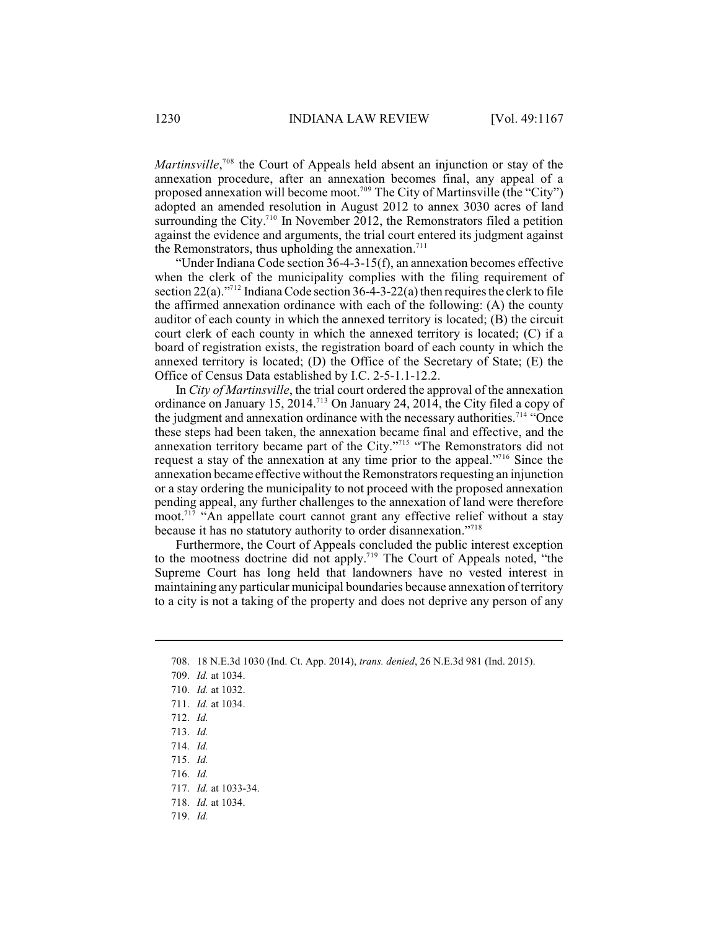*Martinsville*,<sup> $708$ </sup> the Court of Appeals held absent an injunction or stay of the annexation procedure, after an annexation becomes final, any appeal of a proposed annexation will become moot.<sup>709</sup> The City of Martinsville (the "City") adopted an amended resolution in August 2012 to annex 3030 acres of land surrounding the City.<sup> $710$ </sup> In November 2012, the Remonstrators filed a petition against the evidence and arguments, the trial court entered its judgment against the Remonstrators, thus upholding the annexation.<sup>711</sup>

"Under Indiana Code section 36-4-3-15(f), an annexation becomes effective when the clerk of the municipality complies with the filing requirement of section  $22(a)$ ."<sup>712</sup> Indiana Code section  $36-4-3-22(a)$  then requires the clerk to file the affirmed annexation ordinance with each of the following: (A) the county auditor of each county in which the annexed territory is located; (B) the circuit court clerk of each county in which the annexed territory is located; (C) if a board of registration exists, the registration board of each county in which the annexed territory is located; (D) the Office of the Secretary of State; (E) the Office of Census Data established by I.C. 2-5-1.1-12.2.

In *City of Martinsville*, the trial court ordered the approval of the annexation ordinance on January 15, 2014.<sup>713</sup> On January 24, 2014, the City filed a copy of the judgment and annexation ordinance with the necessary authorities.<sup>714</sup> "Once these steps had been taken, the annexation became final and effective, and the annexation territory became part of the City."<sup>715</sup> "The Remonstrators did not request a stay of the annexation at any time prior to the appeal."<sup>716</sup> Since the annexation became effective without the Remonstrators requesting an injunction or a stay ordering the municipality to not proceed with the proposed annexation pending appeal, any further challenges to the annexation of land were therefore moot.<sup> $717$ </sup> "An appellate court cannot grant any effective relief without a stay because it has no statutory authority to order disannexation."<sup>718</sup>

Furthermore, the Court of Appeals concluded the public interest exception to the mootness doctrine did not apply.<sup>719</sup> The Court of Appeals noted, "the Supreme Court has long held that landowners have no vested interest in maintaining any particular municipal boundaries because annexation of territory to a city is not a taking of the property and does not deprive any person of any

<sup>708.</sup> 18 N.E.3d 1030 (Ind. Ct. App. 2014), *trans. denied*, 26 N.E.3d 981 (Ind. 2015).

<sup>709.</sup> *Id.* at 1034.

<sup>710.</sup> *Id.* at 1032.

<sup>711.</sup> *Id.* at 1034.

<sup>712.</sup> *Id.*

<sup>713.</sup> *Id.*

<sup>714.</sup> *Id.*

<sup>715.</sup> *Id.*

<sup>716.</sup> *Id.*

<sup>717.</sup> *Id.* at 1033-34.

<sup>718.</sup> *Id.* at 1034.

<sup>719.</sup> *Id.*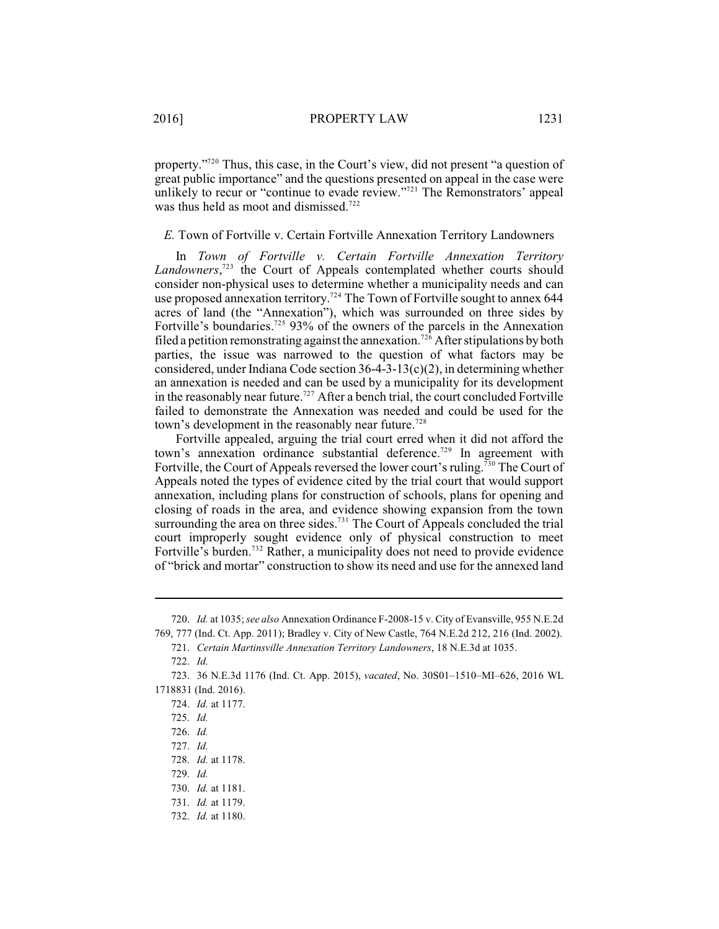property."<sup>720</sup> Thus, this case, in the Court's view, did not present "a question of great public importance" and the questions presented on appeal in the case were unlikely to recur or "continue to evade review."<sup>721</sup> The Remonstrators' appeal was thus held as moot and dismissed.<sup>722</sup>

#### *E.* Town of Fortville v. Certain Fortville Annexation Territory Landowners

In *Town of Fortville v. Certain Fortville Annexation Territory* Landowners,<sup>723</sup> the Court of Appeals contemplated whether courts should consider non-physical uses to determine whether a municipality needs and can use proposed annexation territory.<sup>724</sup> The Town of Fortville sought to annex 644 acres of land (the "Annexation"), which was surrounded on three sides by Fortville's boundaries.<sup>725</sup> 93% of the owners of the parcels in the Annexation filed a petition remonstrating against the annexation.<sup>726</sup> After stipulations by both parties, the issue was narrowed to the question of what factors may be considered, under Indiana Code section 36-4-3-13(c)(2), in determining whether an annexation is needed and can be used by a municipality for its development in the reasonably near future.<sup> $727$ </sup> After a bench trial, the court concluded Fortville failed to demonstrate the Annexation was needed and could be used for the town's development in the reasonably near future.<sup>728</sup>

Fortville appealed, arguing the trial court erred when it did not afford the town's annexation ordinance substantial deference.<sup>729</sup> In agreement with Fortville, the Court of Appeals reversed the lower court's ruling.<sup>730</sup> The Court of Appeals noted the types of evidence cited by the trial court that would support annexation, including plans for construction of schools, plans for opening and closing of roads in the area, and evidence showing expansion from the town surrounding the area on three sides.<sup>731</sup> The Court of Appeals concluded the trial court improperly sought evidence only of physical construction to meet Fortville's burden.<sup>732</sup> Rather, a municipality does not need to provide evidence of "brick and mortar" construction to show its need and use for the annexed land

<sup>720.</sup> *Id.* at 1035; *see also* Annexation Ordinance F-2008-15 v. City of Evansville, 955 N.E.2d 769, 777 (Ind. Ct. App. 2011); Bradley v. City of New Castle, 764 N.E.2d 212, 216 (Ind. 2002).

<sup>721.</sup> *Certain Martinsville Annexation Territory Landowners*, 18 N.E.3d at 1035.

<sup>722.</sup> *Id.*

<sup>723.</sup> 36 N.E.3d 1176 (Ind. Ct. App. 2015), *vacated*, No. 30S01–1510–MI–626, 2016 WL 1718831 (Ind. 2016).

<sup>724.</sup> *Id.* at 1177.

<sup>725.</sup> *Id.*

<sup>726.</sup> *Id.*

<sup>727.</sup> *Id.*

<sup>728.</sup> *Id.* at 1178.

<sup>729.</sup> *Id.*

<sup>730.</sup> *Id.* at 1181.

<sup>731.</sup> *Id.* at 1179.

<sup>732.</sup> *Id.* at 1180.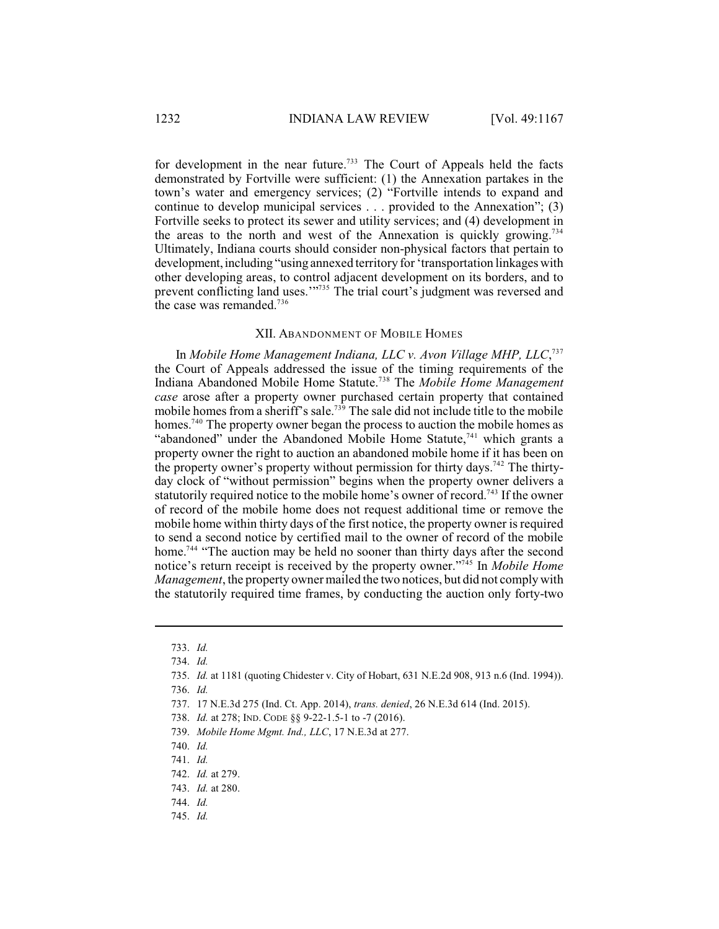for development in the near future.<sup>733</sup> The Court of Appeals held the facts demonstrated by Fortville were sufficient: (1) the Annexation partakes in the town's water and emergency services; (2) "Fortville intends to expand and continue to develop municipal services . . . provided to the Annexation"; (3) Fortville seeks to protect its sewer and utility services; and (4) development in the areas to the north and west of the Annexation is quickly growing.<sup>734</sup> Ultimately, Indiana courts should consider non-physical factors that pertain to development, including "using annexed territory for 'transportation linkages with other developing areas, to control adjacent development on its borders, and to prevent conflicting land uses."<sup>735</sup> The trial court's judgment was reversed and the case was remanded.<sup>736</sup>

#### XII. ABANDONMENT OF MOBILE HOMES

In *Mobile Home Management Indiana, LLC v. Avon Village MHP, LLC*, 737 the Court of Appeals addressed the issue of the timing requirements of the Indiana Abandoned Mobile Home Statute.<sup>738</sup> The *Mobile Home Management case* arose after a property owner purchased certain property that contained mobile homes from a sheriff's sale.<sup>739</sup> The sale did not include title to the mobile homes.<sup>740</sup> The property owner began the process to auction the mobile homes as "abandoned" under the Abandoned Mobile Home Statute, $741$  which grants a property owner the right to auction an abandoned mobile home if it has been on the property owner's property without permission for thirty days.<sup>742</sup> The thirtyday clock of "without permission" begins when the property owner delivers a statutorily required notice to the mobile home's owner of record.<sup> $743$ </sup> If the owner of record of the mobile home does not request additional time or remove the mobile home within thirty days of the first notice, the property owner is required to send a second notice by certified mail to the owner of record of the mobile home.<sup>744</sup> "The auction may be held no sooner than thirty days after the second notice's return receipt is received by the property owner."<sup>745</sup> In *Mobile Home Management*, the property owner mailed the two notices, but did not comply with the statutorily required time frames, by conducting the auction only forty-two

745. *Id.*

<sup>733.</sup> *Id.*

<sup>734.</sup> *Id.*

<sup>735.</sup> *Id.* at 1181 (quoting Chidester v. City of Hobart, 631 N.E.2d 908, 913 n.6 (Ind. 1994)).

<sup>736.</sup> *Id.*

<sup>737.</sup> 17 N.E.3d 275 (Ind. Ct. App. 2014), *trans. denied*, 26 N.E.3d 614 (Ind. 2015).

<sup>738.</sup> *Id.* at 278; IND. CODE §§ 9-22-1.5-1 to -7 (2016).

<sup>739.</sup> *Mobile Home Mgmt. Ind., LLC*, 17 N.E.3d at 277.

<sup>740.</sup> *Id.*

<sup>741.</sup> *Id.*

<sup>742.</sup> *Id.* at 279.

<sup>743.</sup> *Id.* at 280.

<sup>744.</sup> *Id.*